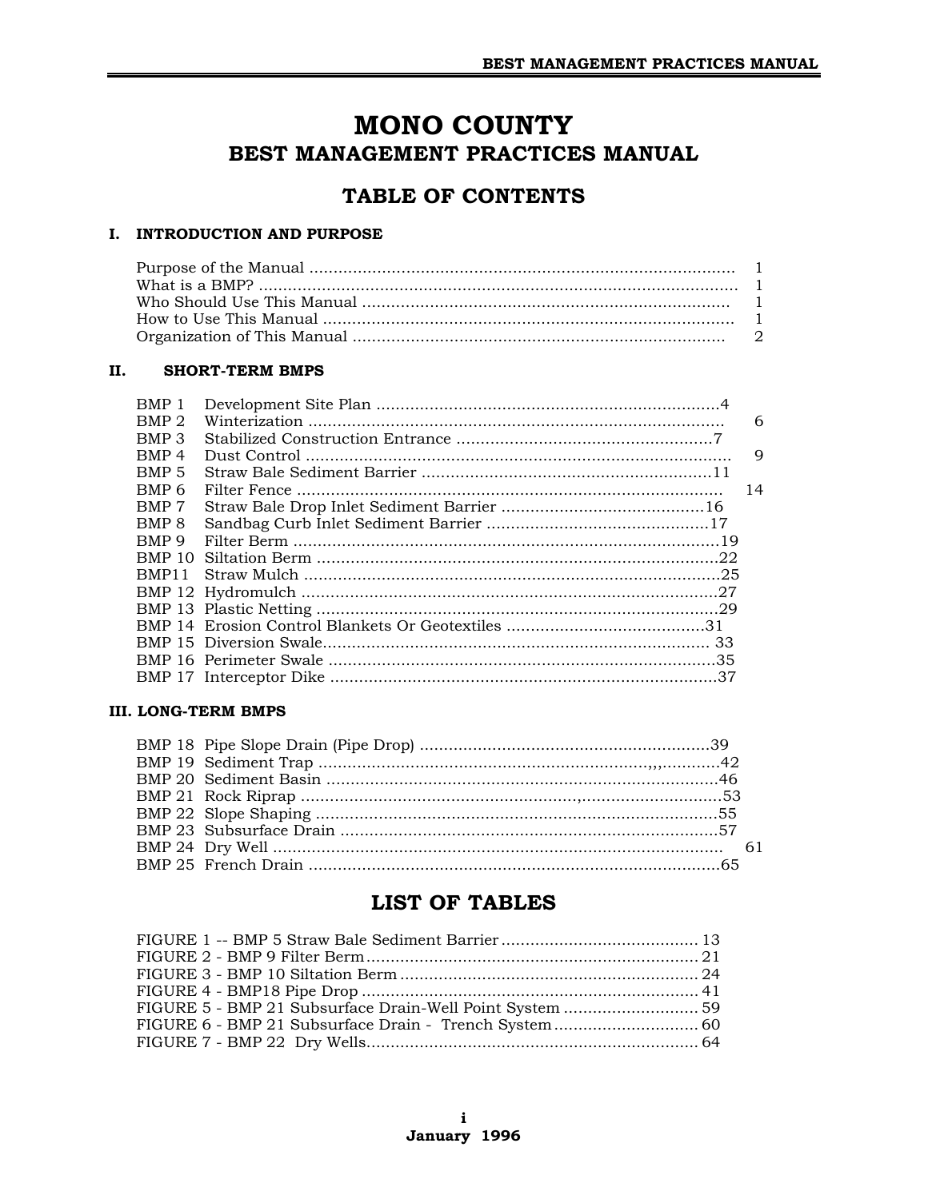# **MONO COUNTY** BEST MANAGEMENT PRACTICES MANUAL

# TABLE OF CONTENTS

## I. INTRODUCTION AND PURPOSE

## II. SHORT-TERM BMPS

|               | 6  |
|---------------|----|
|               |    |
|               | 9  |
|               |    |
|               | 14 |
|               |    |
|               |    |
|               |    |
| <b>RMP 10</b> |    |
|               |    |
|               |    |
|               |    |
|               |    |
|               |    |
|               |    |
|               |    |
|               |    |

#### **III. LONG-TERM BMPS**

# **LIST OF TABLES**

| FIGURE 5 - BMP 21 Subsurface Drain-Well Point System  59 |  |
|----------------------------------------------------------|--|
|                                                          |  |
|                                                          |  |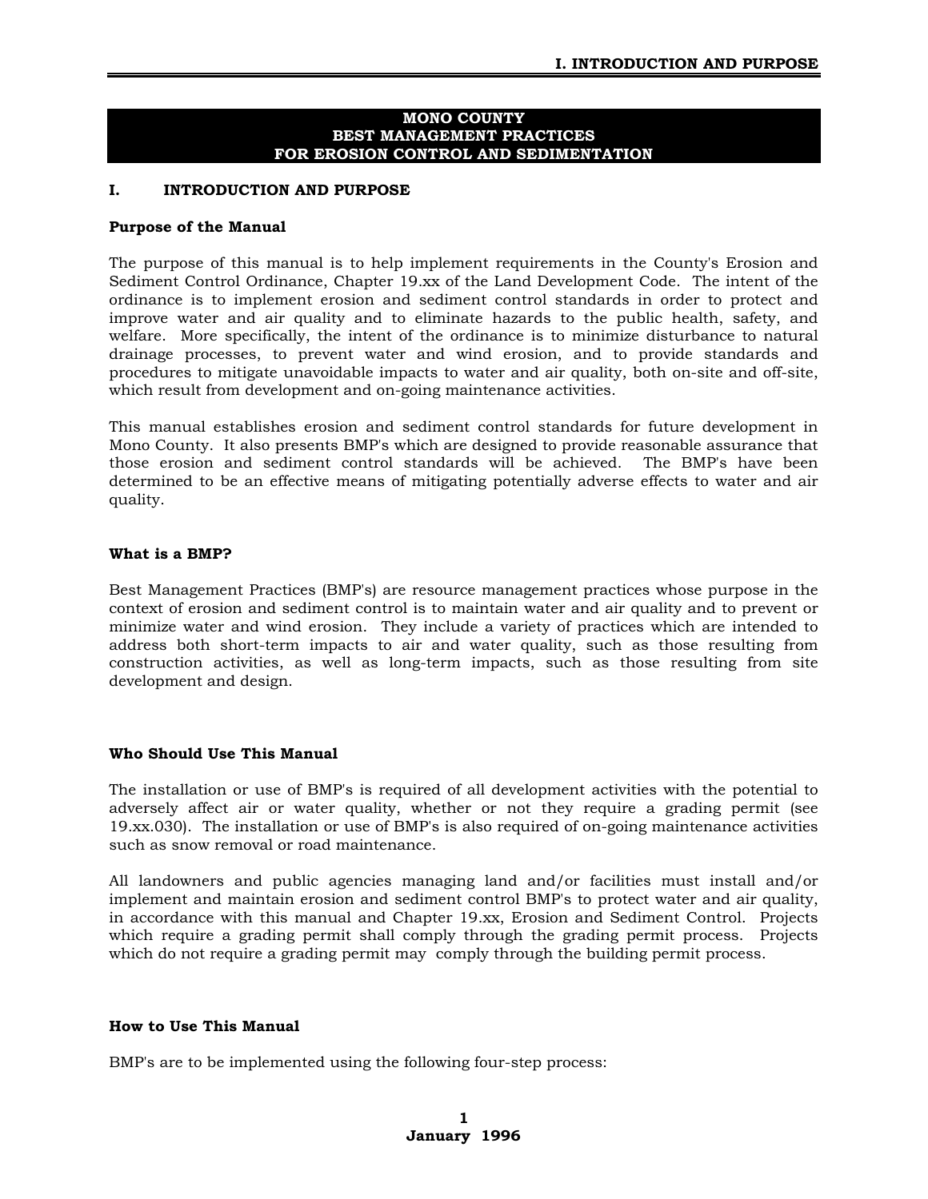## **MONO COUNTY BEST MANAGEMENT PRACTICES FOR EROSION CONTROL AND SEDIMENTATION**

#### **I. INTRODUCTION AND PURPOSE**

#### **Purpose of the Manual**

The purpose of this manual is to help implement requirements in the County's Erosion and Sediment Control Ordinance, Chapter 19.xx of the Land Development Code. The intent of the ordinance is to implement erosion and sediment control standards in order to protect and improve water and air quality and to eliminate hazards to the public health, safety, and welfare. More specifically, the intent of the ordinance is to minimize disturbance to natural drainage processes, to prevent water and wind erosion, and to provide standards and procedures to mitigate unavoidable impacts to water and air quality, both on-site and off-site, which result from development and on-going maintenance activities.

This manual establishes erosion and sediment control standards for future development in Mono County. It also presents BMP's which are designed to provide reasonable assurance that those erosion and sediment control standards will be achieved. The BMP's have been determined to be an effective means of mitigating potentially adverse effects to water and air quality.

#### **What is a BMP?**

Best Management Practices (BMP's) are resource management practices whose purpose in the context of erosion and sediment control is to maintain water and air quality and to prevent or minimize water and wind erosion. They include a variety of practices which are intended to address both short-term impacts to air and water quality, such as those resulting from construction activities, as well as long-term impacts, such as those resulting from site development and design.

## **Who Should Use This Manual**

The installation or use of BMP's is required of all development activities with the potential to adversely affect air or water quality, whether or not they require a grading permit (see 19.xx.030). The installation or use of BMP's is also required of on-going maintenance activities such as snow removal or road maintenance.

All landowners and public agencies managing land and/or facilities must install and/or implement and maintain erosion and sediment control BMP's to protect water and air quality, in accordance with this manual and Chapter 19.xx, Erosion and Sediment Control. Projects which require a grading permit shall comply through the grading permit process. Projects which do not require a grading permit may comply through the building permit process.

## **How to Use This Manual**

BMP's are to be implemented using the following four-step process: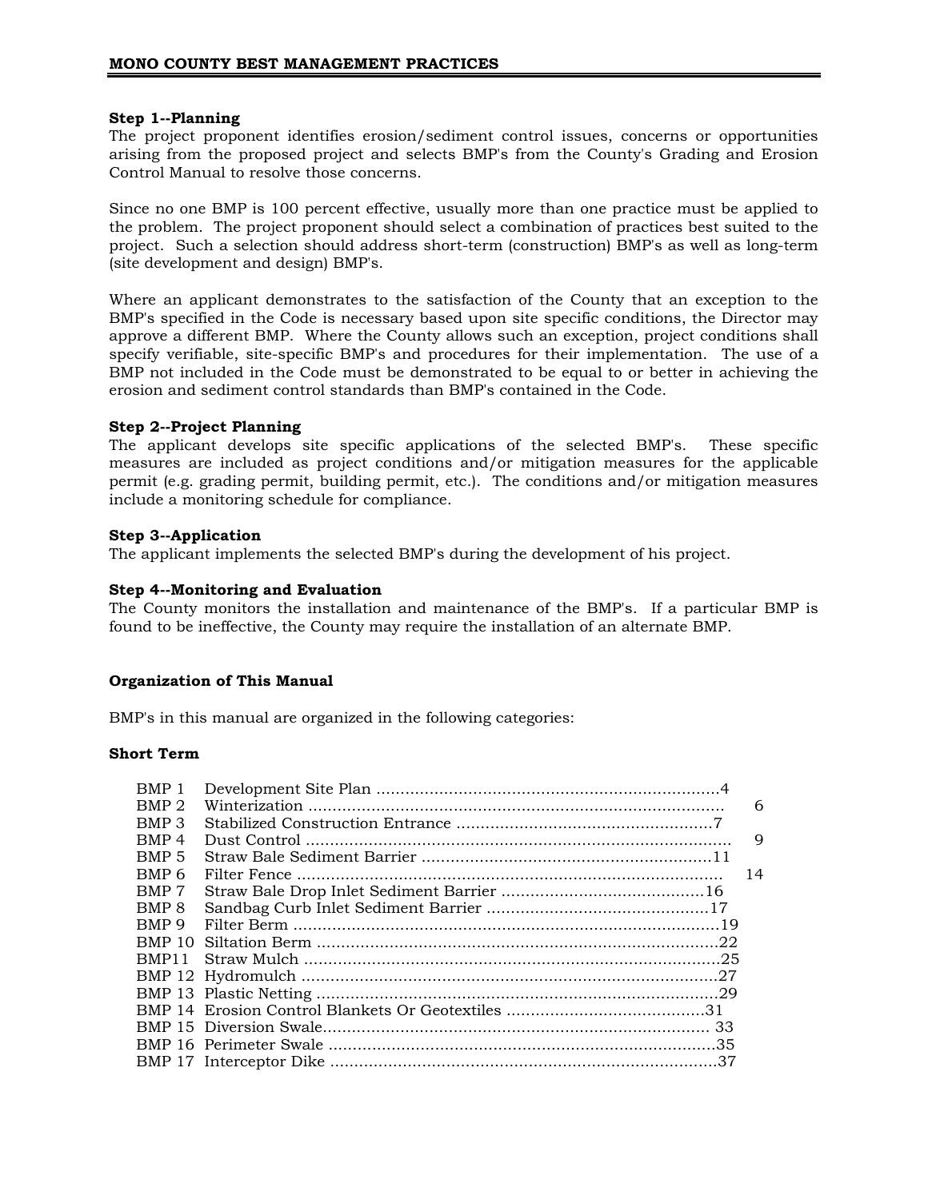#### **Step 1--Planning**

The project proponent identifies erosion/sediment control issues, concerns or opportunities arising from the proposed project and selects BMP's from the County's Grading and Erosion Control Manual to resolve those concerns.

Since no one BMP is 100 percent effective, usually more than one practice must be applied to the problem. The project proponent should select a combination of practices best suited to the project. Such a selection should address short-term (construction) BMP's as well as long-term (site development and design) BMP's.

Where an applicant demonstrates to the satisfaction of the County that an exception to the BMP's specified in the Code is necessary based upon site specific conditions, the Director may approve a different BMP. Where the County allows such an exception, project conditions shall specify verifiable, site-specific BMP's and procedures for their implementation. The use of a BMP not included in the Code must be demonstrated to be equal to or better in achieving the erosion and sediment control standards than BMP's contained in the Code.

#### **Step 2--Project Planning**

The applicant develops site specific applications of the selected BMP's. These specific measures are included as project conditions and/or mitigation measures for the applicable permit (e.g. grading permit, building permit, etc.). The conditions and/or mitigation measures include a monitoring schedule for compliance.

#### **Step 3--Application**

The applicant implements the selected BMP's during the development of his project.

#### **Step 4--Monitoring and Evaluation**

The County monitors the installation and maintenance of the BMP's. If a particular BMP is found to be ineffective, the County may require the installation of an alternate BMP.

#### **Organization of This Manual**

BMP's in this manual are organized in the following categories:

## **Short Term**

| RMP 1             |  |    |
|-------------------|--|----|
| BMP 2             |  | 6  |
| BMP 3             |  |    |
| RMP <sub>4</sub>  |  | q  |
| BMP <sub>5</sub>  |  |    |
| BMP 6             |  | 14 |
| BMP 7             |  |    |
| BMP 8             |  |    |
| RMP 9             |  |    |
| <b>BMP 10</b>     |  |    |
| RMP <sub>11</sub> |  |    |
|                   |  |    |
|                   |  |    |
|                   |  |    |
|                   |  |    |
|                   |  |    |
|                   |  |    |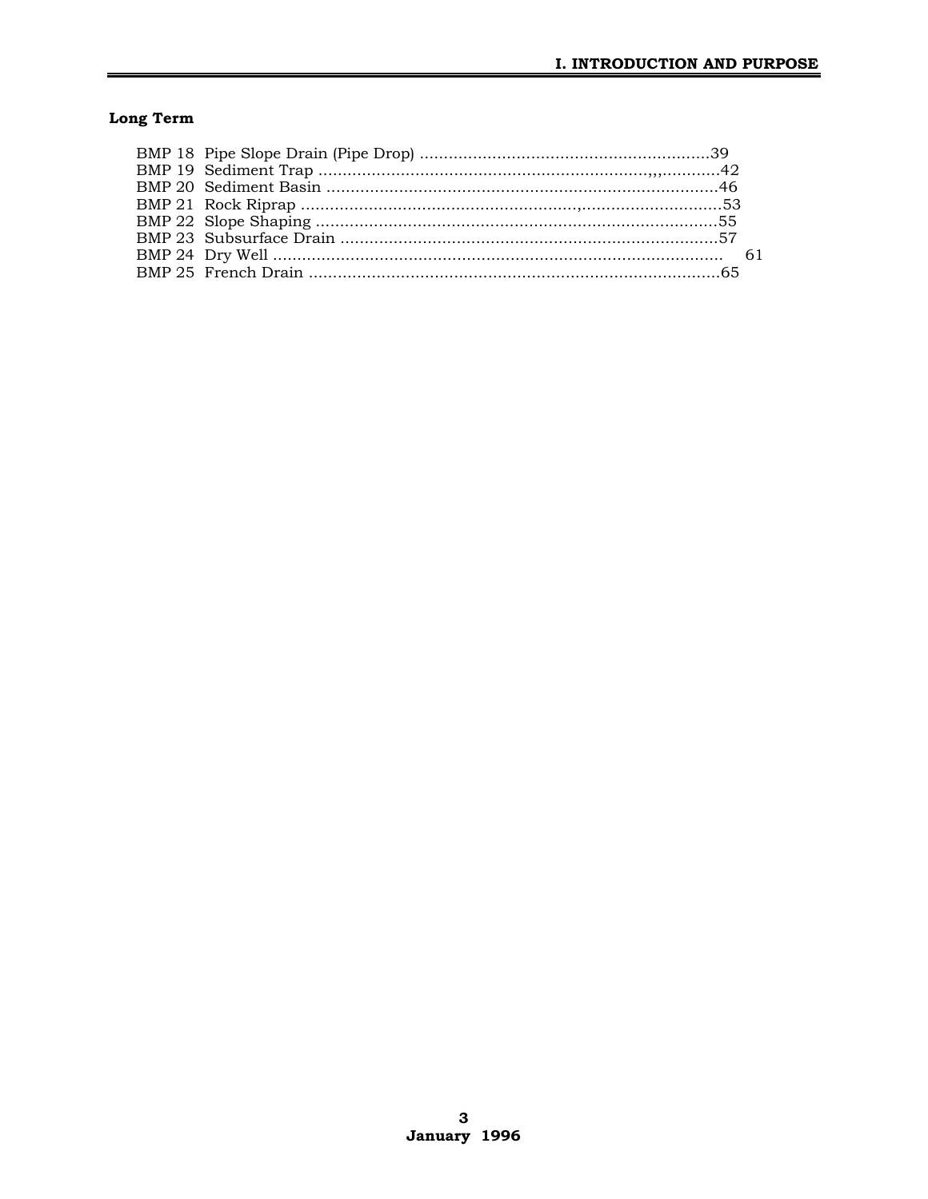## Long Term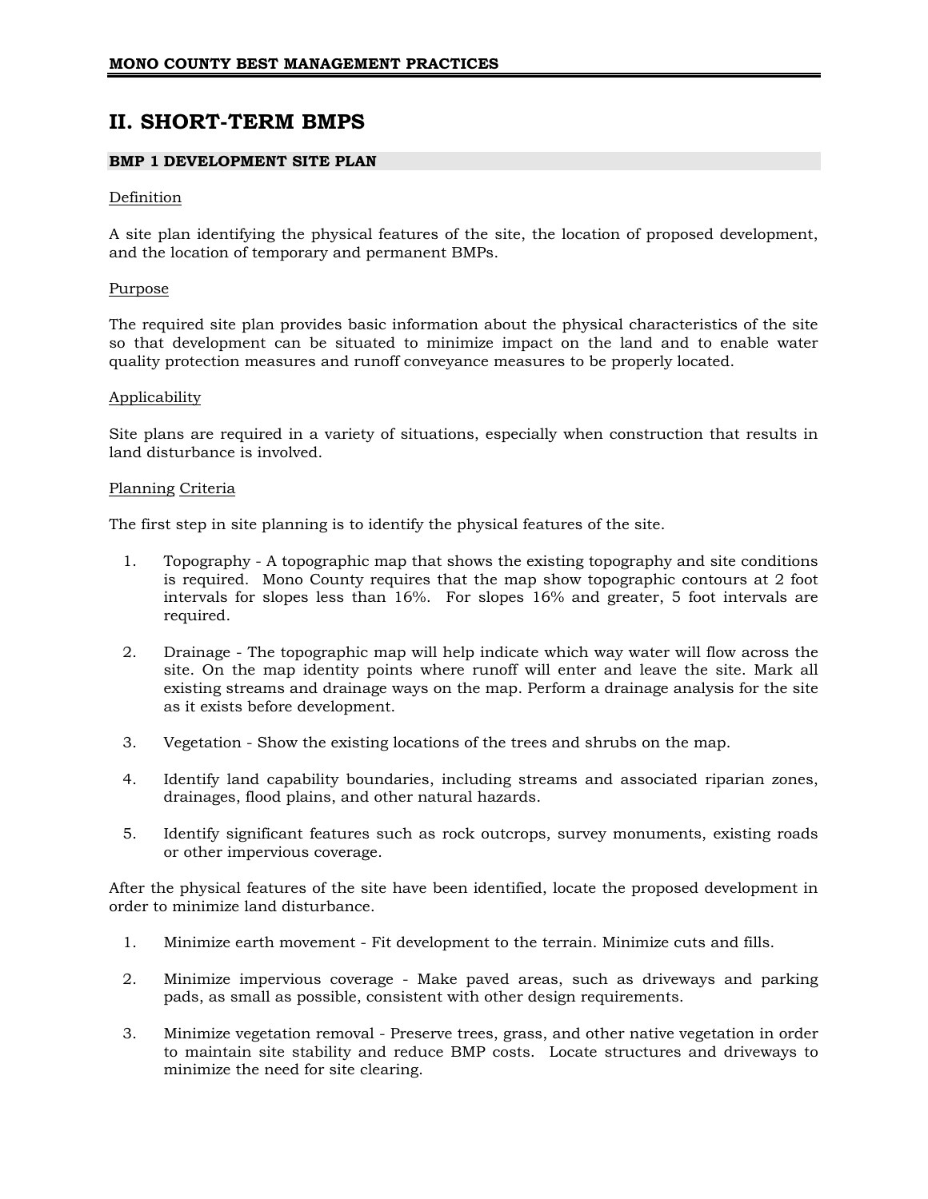## **II. SHORT-TERM BMPS**

## **BMP 1 DEVELOPMENT SITE PLAN**

## Definition

A site plan identifying the physical features of the site, the location of proposed development, and the location of temporary and permanent BMPs.

#### Purpose

The required site plan provides basic information about the physical characteristics of the site so that development can be situated to minimize impact on the land and to enable water quality protection measures and runoff conveyance measures to be properly located.

#### Applicability

Site plans are required in a variety of situations, especially when construction that results in land disturbance is involved.

#### Planning Criteria

The first step in site planning is to identify the physical features of the site.

- 1. Topography A topographic map that shows the existing topography and site conditions is required. Mono County requires that the map show topographic contours at 2 foot intervals for slopes less than 16%. For slopes 16% and greater, 5 foot intervals are required.
- 2. Drainage The topographic map will help indicate which way water will flow across the site. On the map identity points where runoff will enter and leave the site. Mark all existing streams and drainage ways on the map. Perform a drainage analysis for the site as it exists before development.
- 3. Vegetation Show the existing locations of the trees and shrubs on the map.
- 4. Identify land capability boundaries, including streams and associated riparian zones, drainages, flood plains, and other natural hazards.
- 5. Identify significant features such as rock outcrops, survey monuments, existing roads or other impervious coverage.

After the physical features of the site have been identified, locate the proposed development in order to minimize land disturbance.

- 1. Minimize earth movement Fit development to the terrain. Minimize cuts and fills.
- 2. Minimize impervious coverage Make paved areas, such as driveways and parking pads, as small as possible, consistent with other design requirements.
- 3. Minimize vegetation removal Preserve trees, grass, and other native vegetation in order to maintain site stability and reduce BMP costs. Locate structures and driveways to minimize the need for site clearing.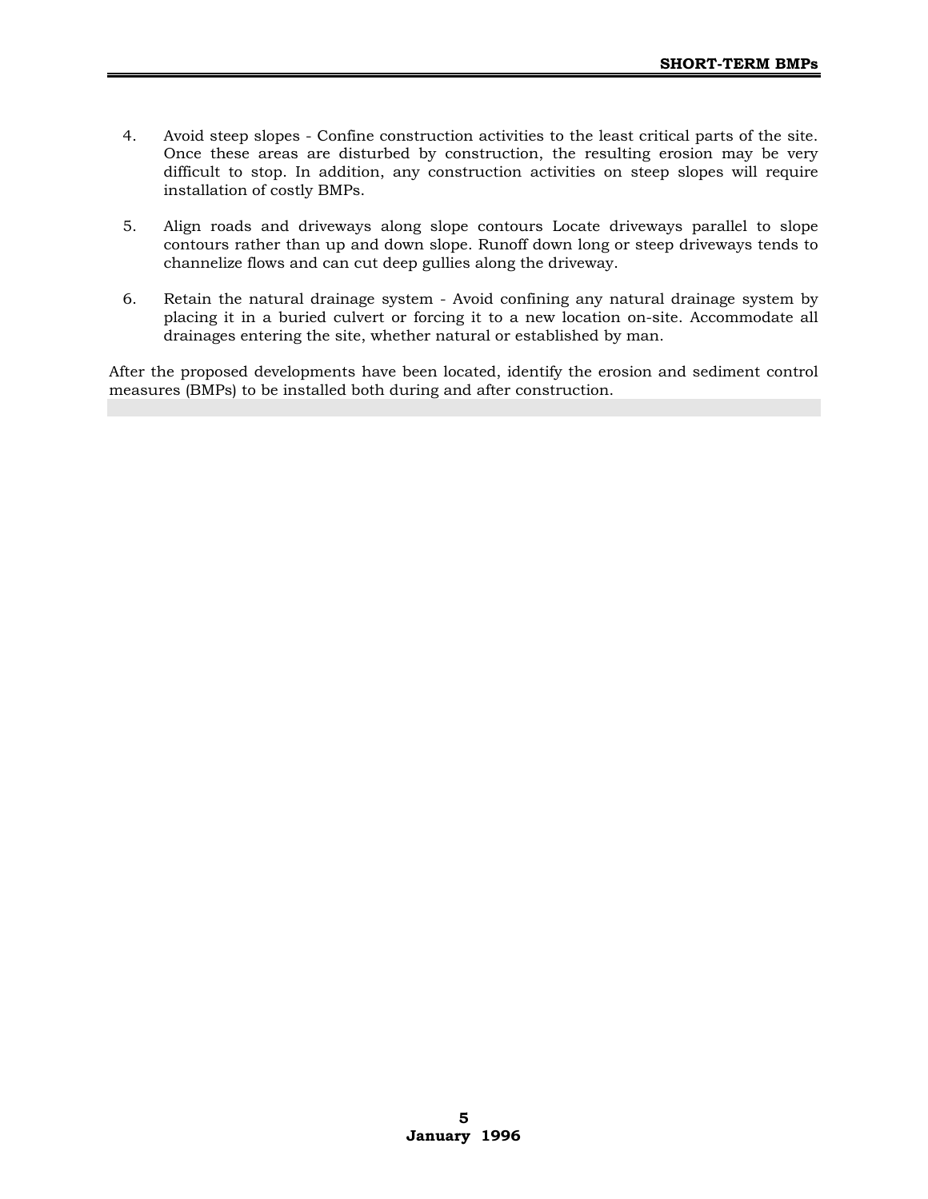- 4. Avoid steep slopes Confine construction activities to the least critical parts of the site. Once these areas are disturbed by construction, the resulting erosion may be very difficult to stop. In addition, any construction activities on steep slopes will require installation of costly BMPs.
- 5. Align roads and driveways along slope contours Locate driveways parallel to slope contours rather than up and down slope. Runoff down long or steep driveways tends to channelize flows and can cut deep gullies along the driveway.
- 6. Retain the natural drainage system Avoid confining any natural drainage system by placing it in a buried culvert or forcing it to a new location on-site. Accommodate all drainages entering the site, whether natural or established by man.

After the proposed developments have been located, identify the erosion and sediment control measures (BMPs) to be installed both during and after construction.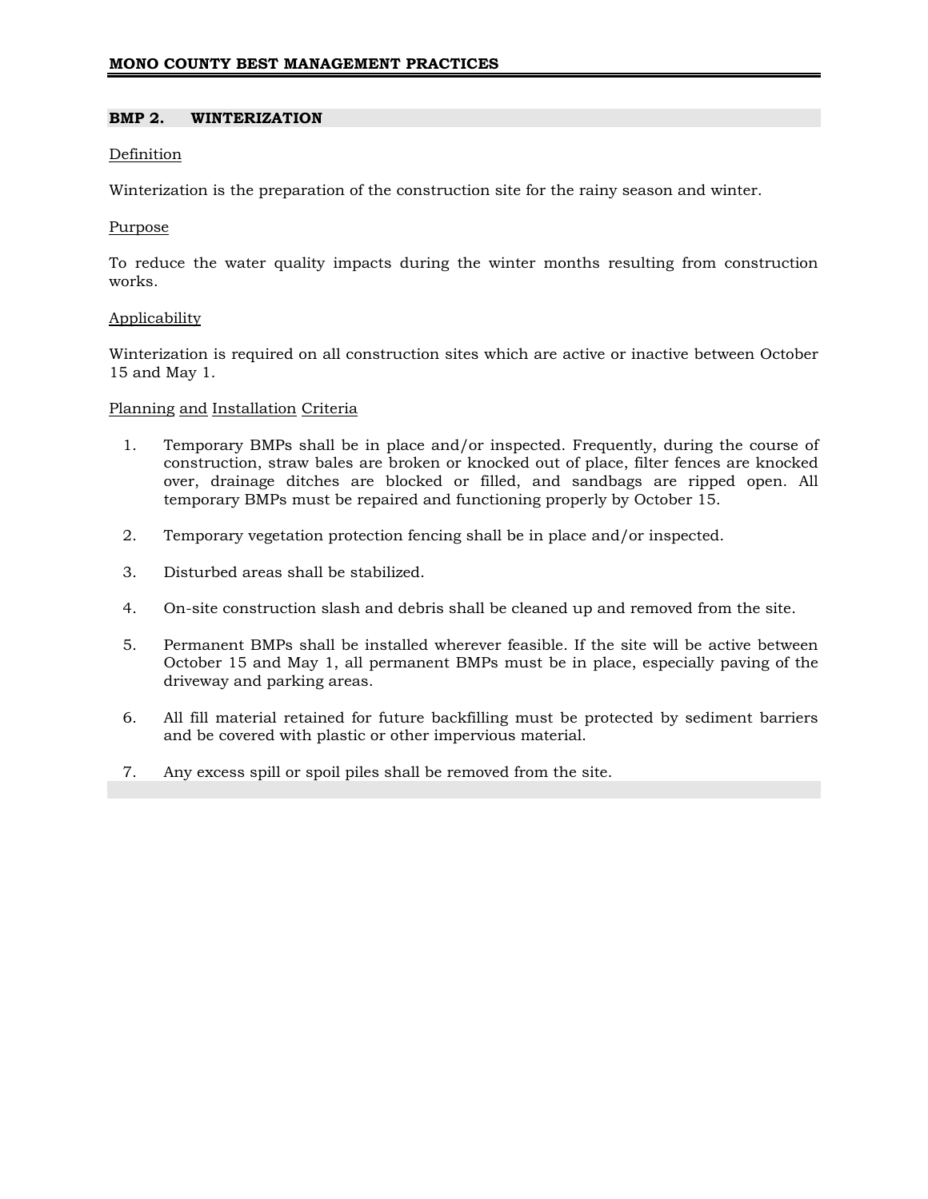## **BMP 2. WINTERIZATION**

## Definition

Winterization is the preparation of the construction site for the rainy season and winter.

## Purpose

To reduce the water quality impacts during the winter months resulting from construction works.

## Applicability

Winterization is required on all construction sites which are active or inactive between October 15 and May 1.

## Planning and Installation Criteria

- 1. Temporary BMPs shall be in place and/or inspected. Frequently, during the course of construction, straw bales are broken or knocked out of place, filter fences are knocked over, drainage ditches are blocked or filled, and sandbags are ripped open. All temporary BMPs must be repaired and functioning properly by October 15.
- 2. Temporary vegetation protection fencing shall be in place and/or inspected.
- 3. Disturbed areas shall be stabilized.
- 4. On-site construction slash and debris shall be cleaned up and removed from the site.
- 5. Permanent BMPs shall be installed wherever feasible. If the site will be active between October 15 and May 1, all permanent BMPs must be in place, especially paving of the driveway and parking areas.
- 6. All fill material retained for future backfilling must be protected by sediment barriers and be covered with plastic or other impervious material.
- 7. Any excess spill or spoil piles shall be removed from the site.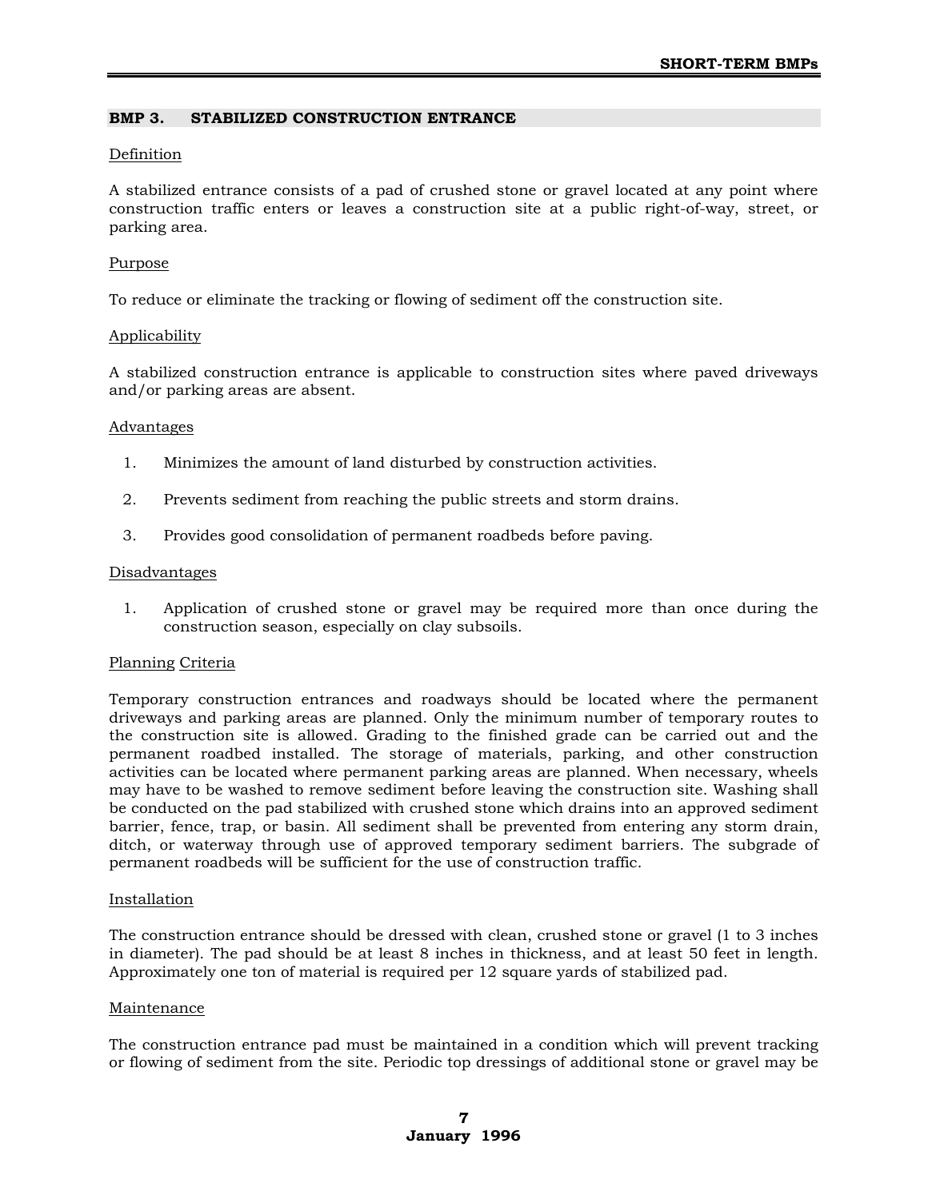## **BMP 3. STABILIZED CONSTRUCTION ENTRANCE**

## Definition

A stabilized entrance consists of a pad of crushed stone or gravel located at any point where construction traffic enters or leaves a construction site at a public right-of-way, street, or parking area.

## Purpose

To reduce or eliminate the tracking or flowing of sediment off the construction site.

## Applicability

A stabilized construction entrance is applicable to construction sites where paved driveways and/or parking areas are absent.

## Advantages

- 1. Minimizes the amount of land disturbed by construction activities.
- 2. Prevents sediment from reaching the public streets and storm drains.
- 3. Provides good consolidation of permanent roadbeds before paving.

## Disadvantages

1. Application of crushed stone or gravel may be required more than once during the construction season, especially on clay subsoils.

## Planning Criteria

Temporary construction entrances and roadways should be located where the permanent driveways and parking areas are planned. Only the minimum number of temporary routes to the construction site is allowed. Grading to the finished grade can be carried out and the permanent roadbed installed. The storage of materials, parking, and other construction activities can be located where permanent parking areas are planned. When necessary, wheels may have to be washed to remove sediment before leaving the construction site. Washing shall be conducted on the pad stabilized with crushed stone which drains into an approved sediment barrier, fence, trap, or basin. All sediment shall be prevented from entering any storm drain, ditch, or waterway through use of approved temporary sediment barriers. The subgrade of permanent roadbeds will be sufficient for the use of construction traffic.

## Installation

The construction entrance should be dressed with clean, crushed stone or gravel (1 to 3 inches in diameter). The pad should be at least 8 inches in thickness, and at least 50 feet in length. Approximately one ton of material is required per 12 square yards of stabilized pad.

## Maintenance

The construction entrance pad must be maintained in a condition which will prevent tracking or flowing of sediment from the site. Periodic top dressings of additional stone or gravel may be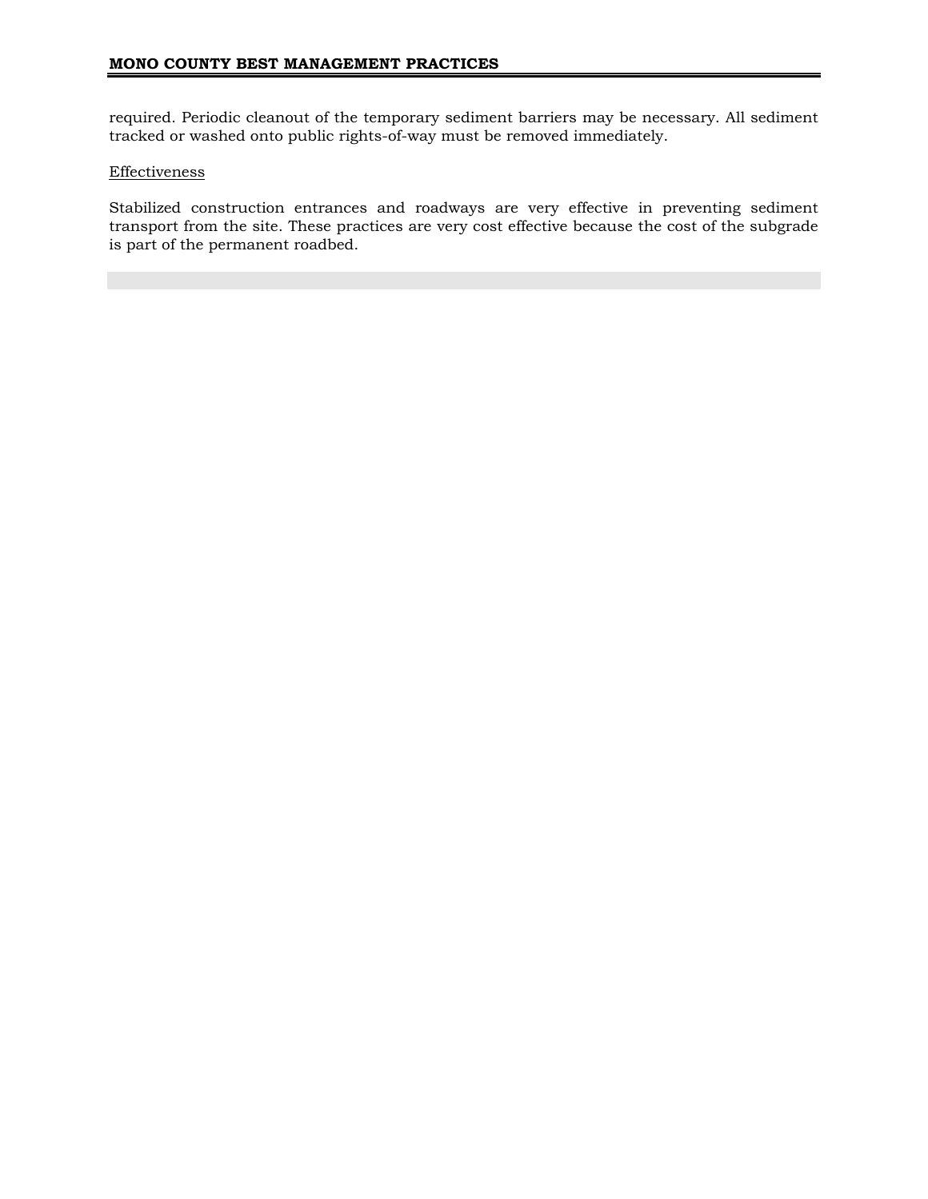required. Periodic cleanout of the temporary sediment barriers may be necessary. All sediment tracked or washed onto public rights-of-way must be removed immediately.

#### **Effectiveness**

Stabilized construction entrances and roadways are very effective in preventing sediment transport from the site. These practices are very cost effective because the cost of the subgrade is part of the permanent roadbed.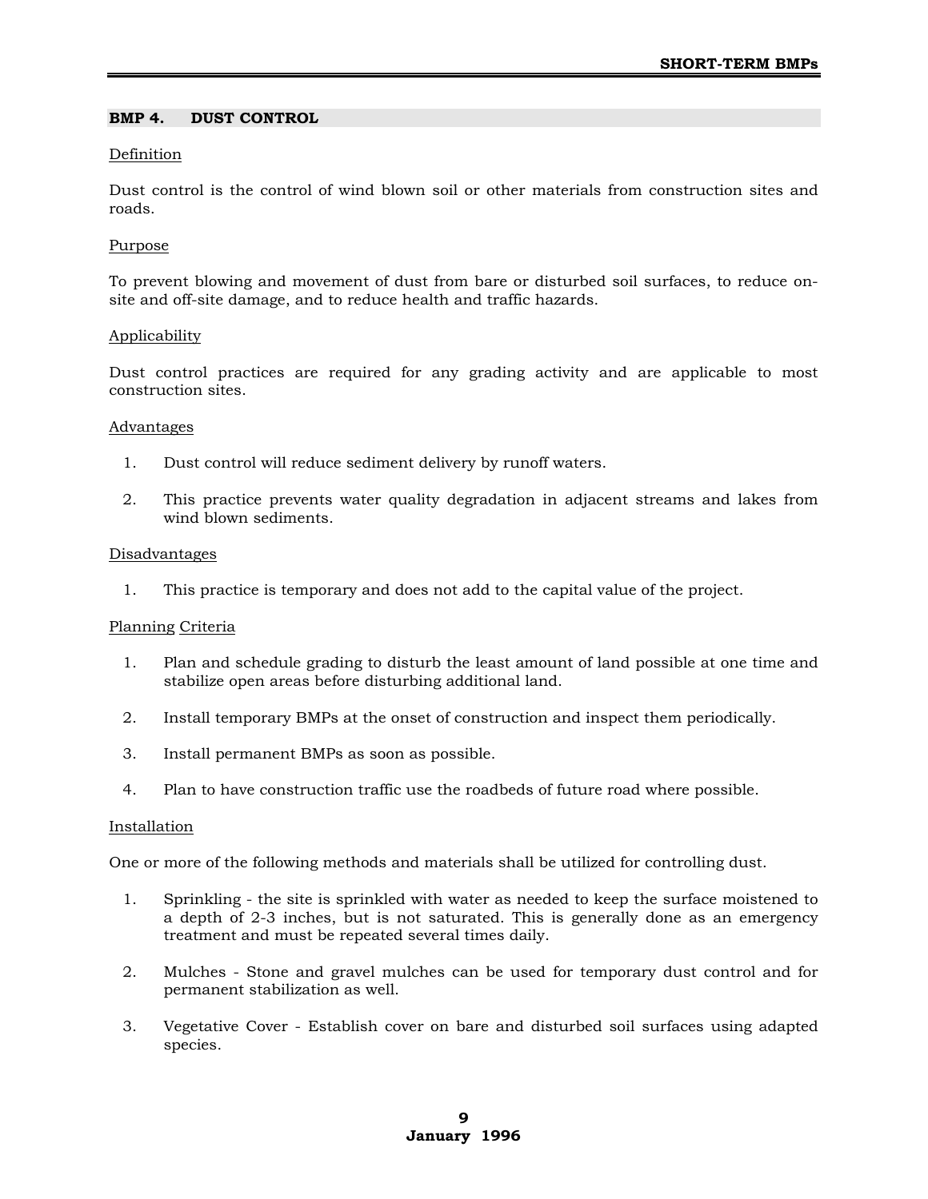## **BMP 4. DUST CONTROL**

## Definition

Dust control is the control of wind blown soil or other materials from construction sites and roads.

#### Purpose

To prevent blowing and movement of dust from bare or disturbed soil surfaces, to reduce onsite and off-site damage, and to reduce health and traffic hazards.

#### Applicability

Dust control practices are required for any grading activity and are applicable to most construction sites.

#### Advantages

- 1. Dust control will reduce sediment delivery by runoff waters.
- 2. This practice prevents water quality degradation in adjacent streams and lakes from wind blown sediments

#### Disadvantages

1. This practice is temporary and does not add to the capital value of the project.

## Planning Criteria

- 1. Plan and schedule grading to disturb the least amount of land possible at one time and stabilize open areas before disturbing additional land.
- 2. Install temporary BMPs at the onset of construction and inspect them periodically.
- 3. Install permanent BMPs as soon as possible.
- 4. Plan to have construction traffic use the roadbeds of future road where possible.

#### Installation

One or more of the following methods and materials shall be utilized for controlling dust.

- 1. Sprinkling the site is sprinkled with water as needed to keep the surface moistened to a depth of 2-3 inches, but is not saturated. This is generally done as an emergency treatment and must be repeated several times daily.
- 2. Mulches Stone and gravel mulches can be used for temporary dust control and for permanent stabilization as well.
- 3. Vegetative Cover Establish cover on bare and disturbed soil surfaces using adapted species.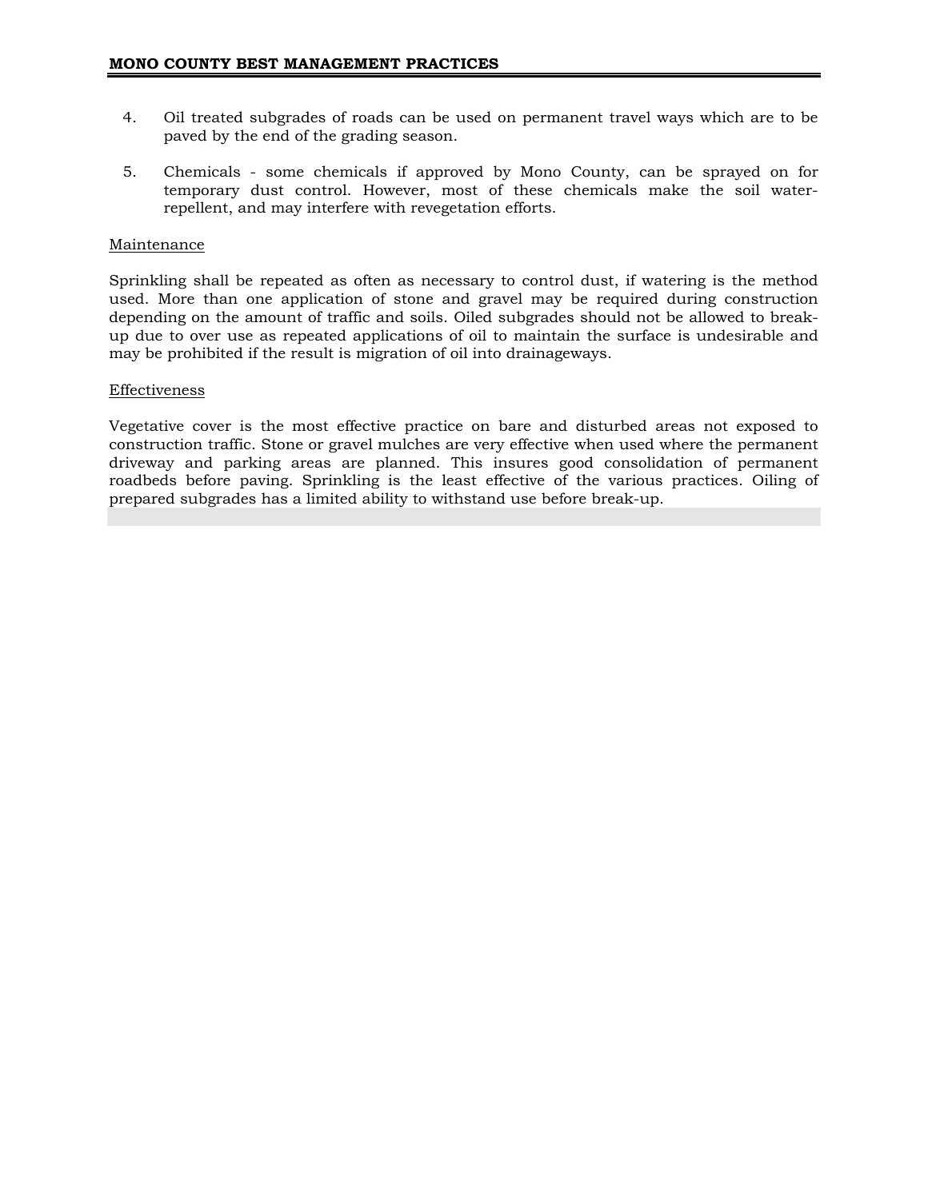- 4. Oil treated subgrades of roads can be used on permanent travel ways which are to be paved by the end of the grading season.
- 5. Chemicals some chemicals if approved by Mono County, can be sprayed on for temporary dust control. However, most of these chemicals make the soil waterrepellent, and may interfere with revegetation efforts.

#### Maintenance

Sprinkling shall be repeated as often as necessary to control dust, if watering is the method used. More than one application of stone and gravel may be required during construction depending on the amount of traffic and soils. Oiled subgrades should not be allowed to breakup due to over use as repeated applications of oil to maintain the surface is undesirable and may be prohibited if the result is migration of oil into drainageways.

#### **Effectiveness**

Vegetative cover is the most effective practice on bare and disturbed areas not exposed to construction traffic. Stone or gravel mulches are very effective when used where the permanent driveway and parking areas are planned. This insures good consolidation of permanent roadbeds before paving. Sprinkling is the least effective of the various practices. Oiling of prepared subgrades has a limited ability to withstand use before break-up.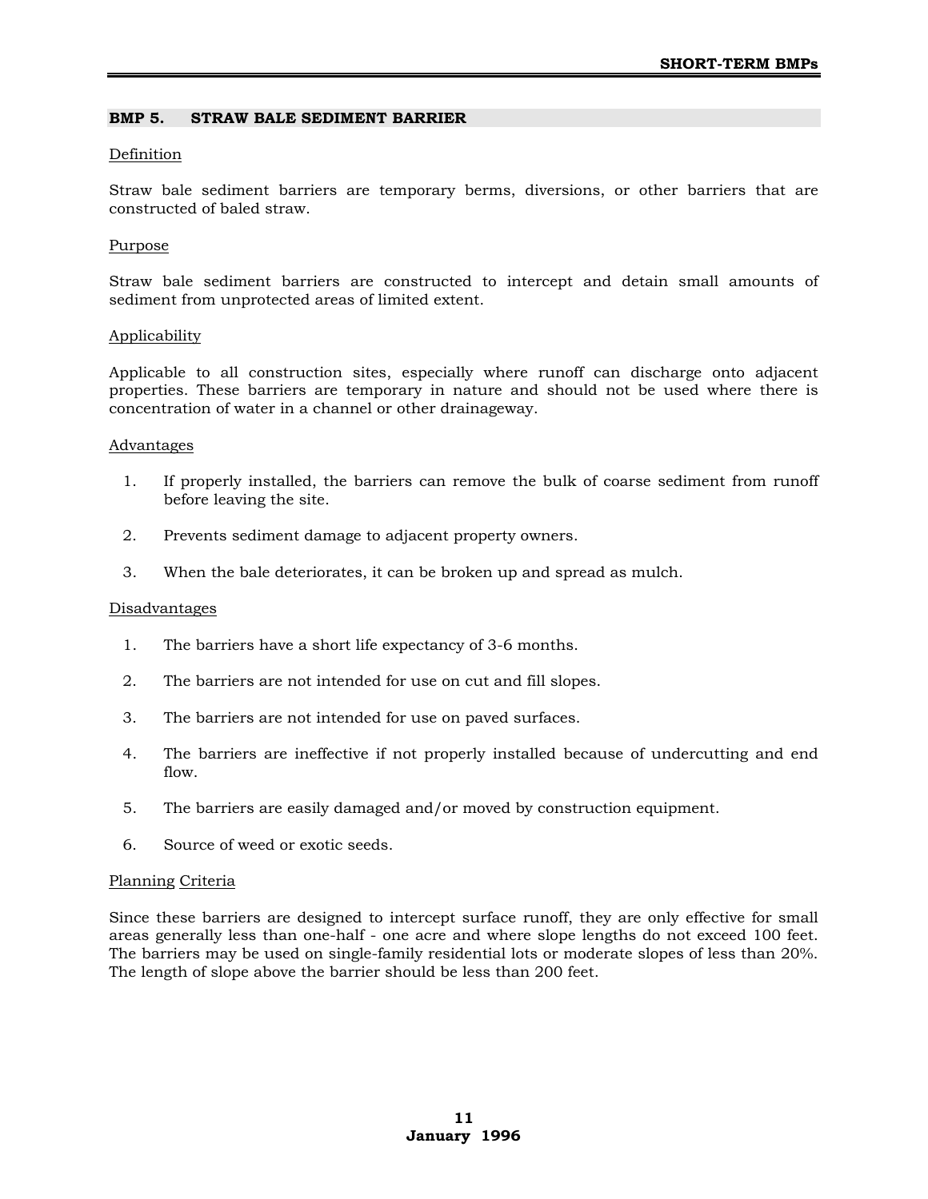## **BMP 5. STRAW BALE SEDIMENT BARRIER**

#### Definition

Straw bale sediment barriers are temporary berms, diversions, or other barriers that are constructed of baled straw.

#### Purpose

Straw bale sediment barriers are constructed to intercept and detain small amounts of sediment from unprotected areas of limited extent.

#### Applicability

Applicable to all construction sites, especially where runoff can discharge onto adjacent properties. These barriers are temporary in nature and should not be used where there is concentration of water in a channel or other drainageway.

#### Advantages

- 1. If properly installed, the barriers can remove the bulk of coarse sediment from runoff before leaving the site.
- 2. Prevents sediment damage to adjacent property owners.
- 3. When the bale deteriorates, it can be broken up and spread as mulch.

#### Disadvantages

- 1. The barriers have a short life expectancy of 3-6 months.
- 2. The barriers are not intended for use on cut and fill slopes.
- 3. The barriers are not intended for use on paved surfaces.
- 4. The barriers are ineffective if not properly installed because of undercutting and end flow.
- 5. The barriers are easily damaged and/or moved by construction equipment.
- 6. Source of weed or exotic seeds.

#### Planning Criteria

Since these barriers are designed to intercept surface runoff, they are only effective for small areas generally less than one-half - one acre and where slope lengths do not exceed 100 feet. The barriers may be used on single-family residential lots or moderate slopes of less than 20%. The length of slope above the barrier should be less than 200 feet.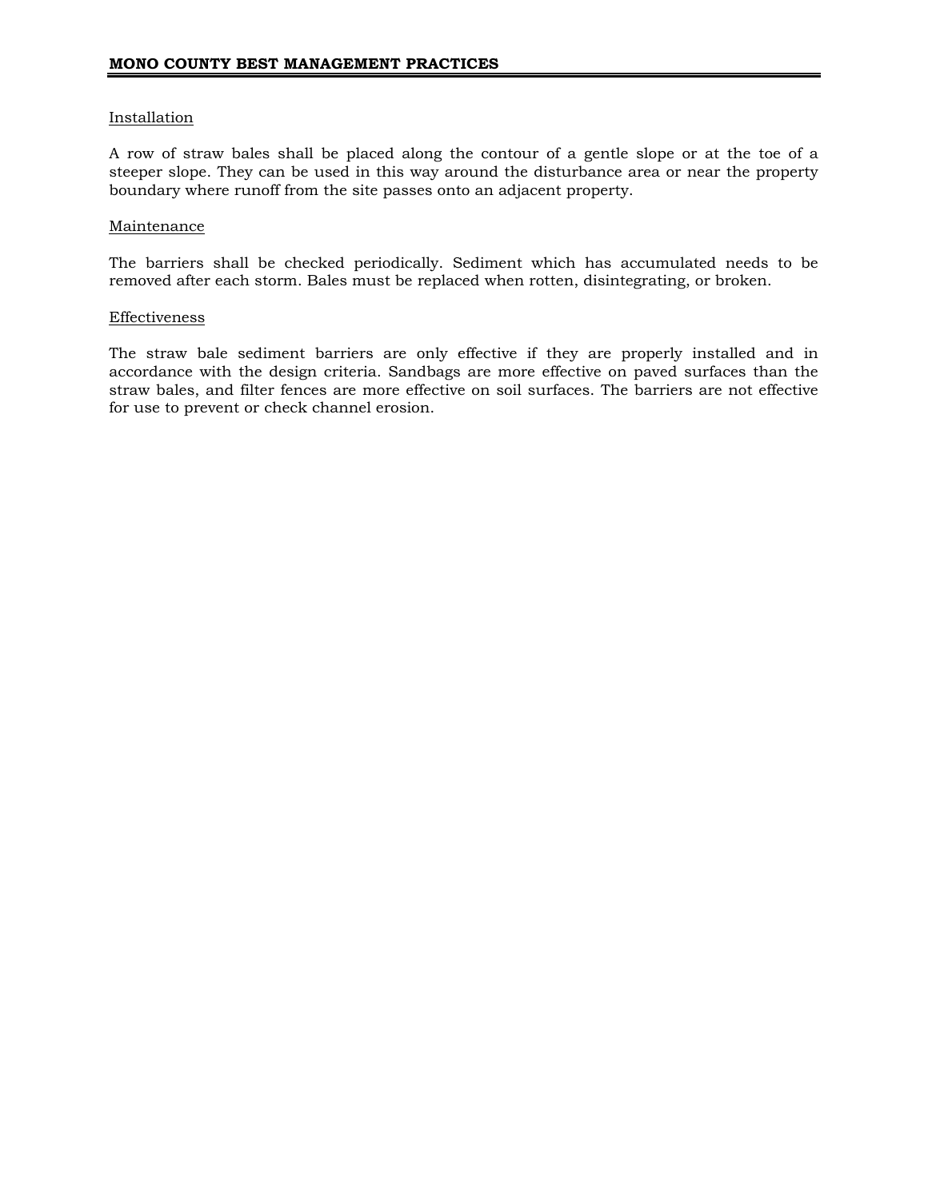## **Installation**

A row of straw bales shall be placed along the contour of a gentle slope or at the toe of a steeper slope. They can be used in this way around the disturbance area or near the property boundary where runoff from the site passes onto an adjacent property.

#### Maintenance

The barriers shall be checked periodically. Sediment which has accumulated needs to be removed after each storm. Bales must be replaced when rotten, disintegrating, or broken.

#### **Effectiveness**

The straw bale sediment barriers are only effective if they are properly installed and in accordance with the design criteria. Sandbags are more effective on paved surfaces than the straw bales, and filter fences are more effective on soil surfaces. The barriers are not effective for use to prevent or check channel erosion.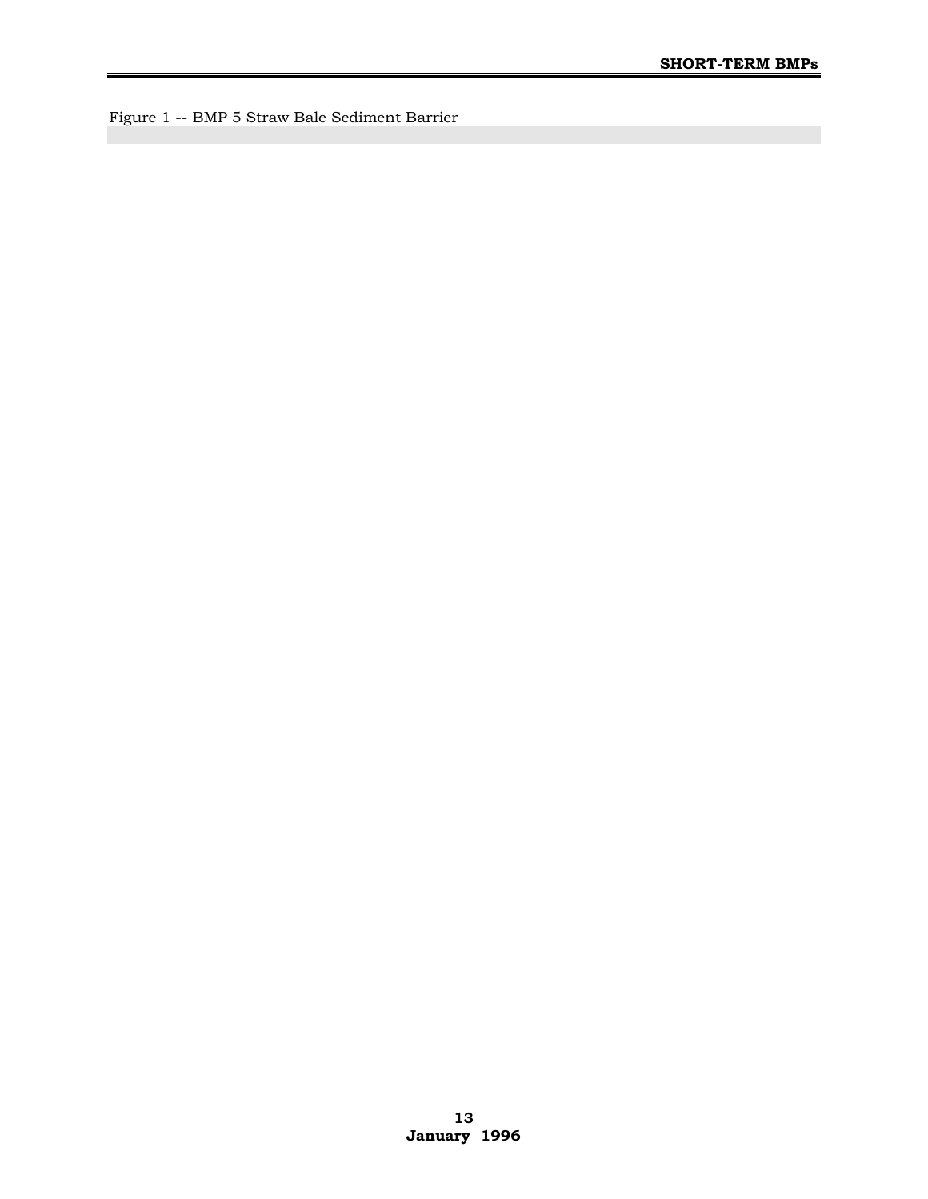Figure 1 -- BMP 5 Straw Bale Sediment Barrier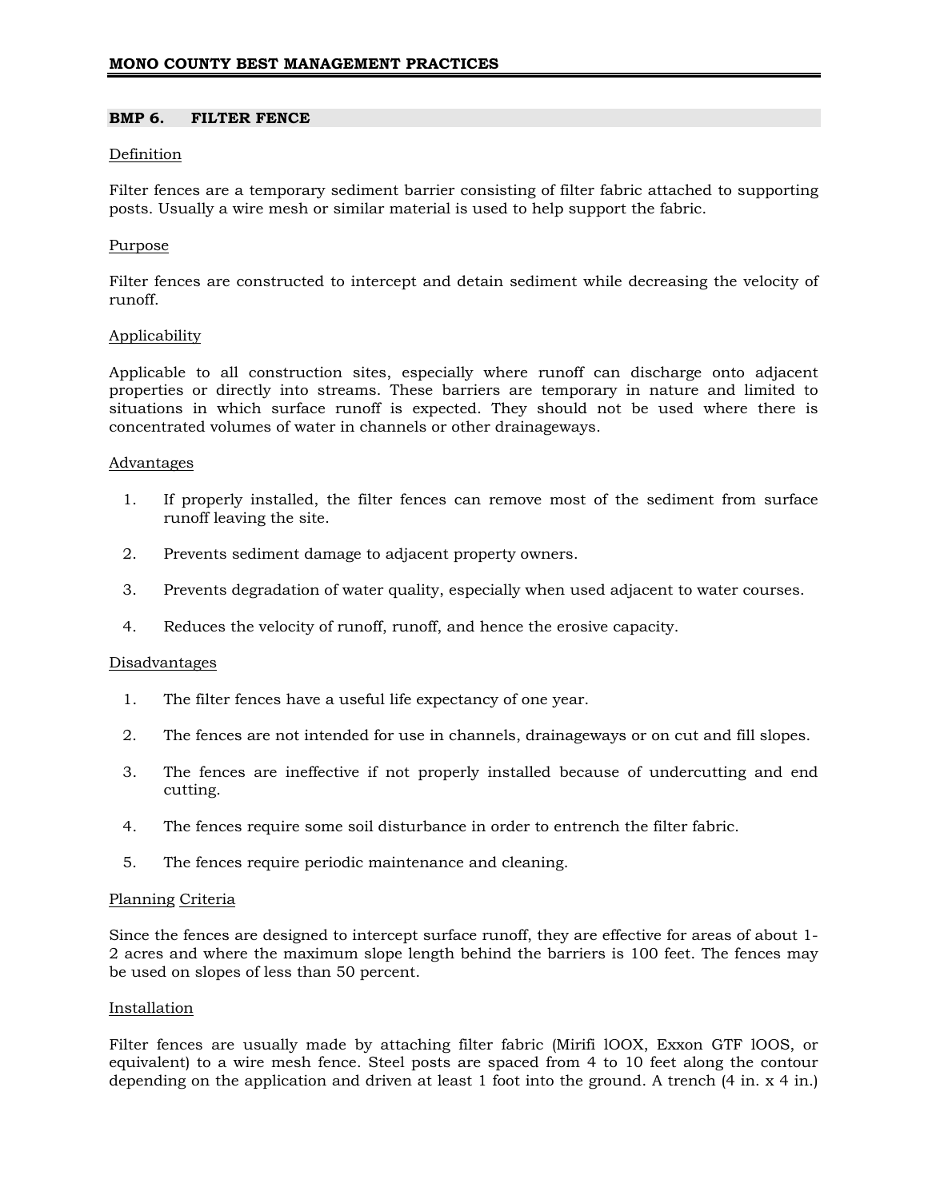## **BMP 6. FILTER FENCE**

#### Definition

Filter fences are a temporary sediment barrier consisting of filter fabric attached to supporting posts. Usually a wire mesh or similar material is used to help support the fabric.

#### Purpose

Filter fences are constructed to intercept and detain sediment while decreasing the velocity of runoff.

#### Applicability

Applicable to all construction sites, especially where runoff can discharge onto adjacent properties or directly into streams. These barriers are temporary in nature and limited to situations in which surface runoff is expected. They should not be used where there is concentrated volumes of water in channels or other drainageways.

#### Advantages

- 1. If properly installed, the filter fences can remove most of the sediment from surface runoff leaving the site.
- 2. Prevents sediment damage to adjacent property owners.
- 3. Prevents degradation of water quality, especially when used adjacent to water courses.
- 4. Reduces the velocity of runoff, runoff, and hence the erosive capacity.

#### Disadvantages

- 1. The filter fences have a useful life expectancy of one year.
- 2. The fences are not intended for use in channels, drainageways or on cut and fill slopes.
- 3. The fences are ineffective if not properly installed because of undercutting and end cutting.
- 4. The fences require some soil disturbance in order to entrench the filter fabric.
- 5. The fences require periodic maintenance and cleaning.

#### Planning Criteria

Since the fences are designed to intercept surface runoff, they are effective for areas of about 1- 2 acres and where the maximum slope length behind the barriers is 100 feet. The fences may be used on slopes of less than 50 percent.

#### Installation

Filter fences are usually made by attaching filter fabric (Mirifi lOOX, Exxon GTF lOOS, or equivalent) to a wire mesh fence. Steel posts are spaced from 4 to 10 feet along the contour depending on the application and driven at least 1 foot into the ground. A trench (4 in. x 4 in.)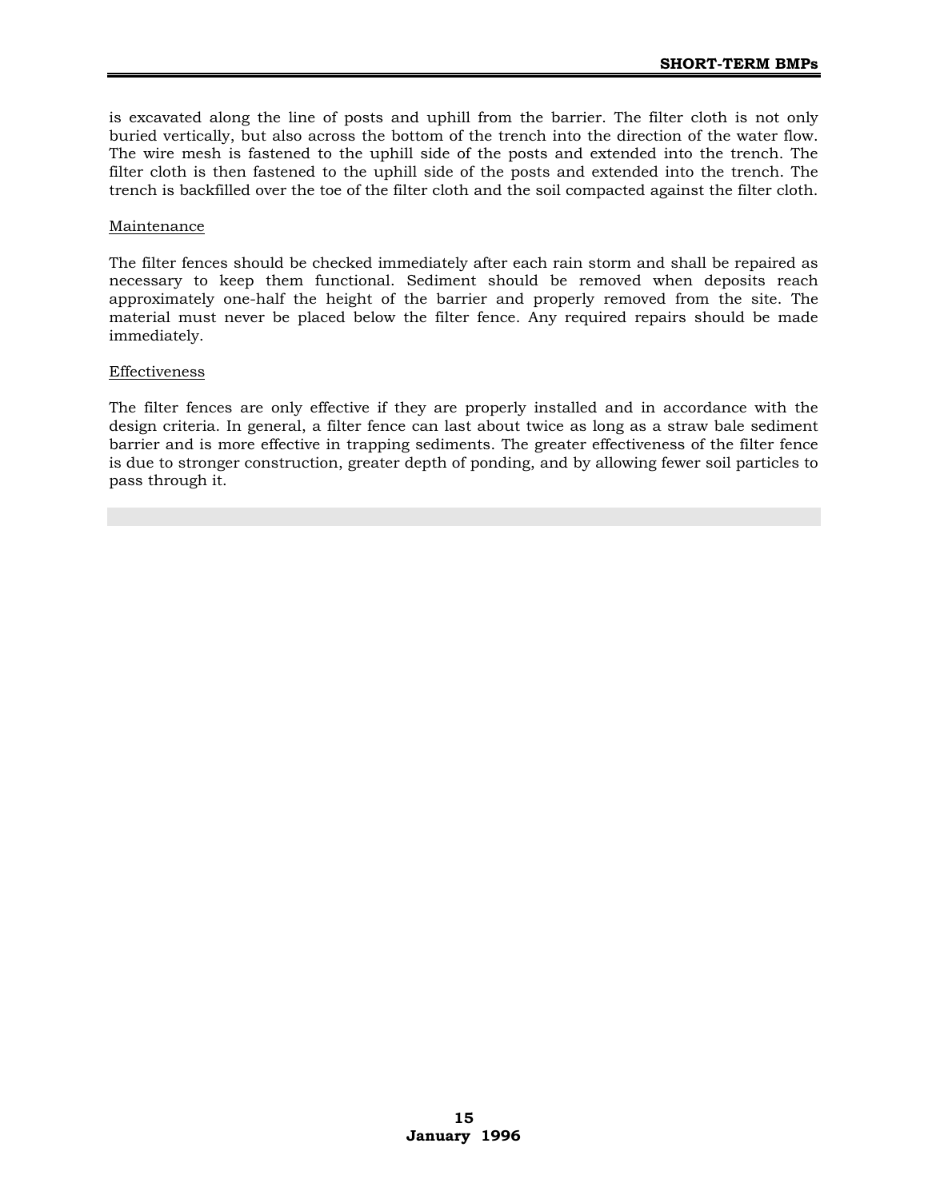is excavated along the line of posts and uphill from the barrier. The filter cloth is not only buried vertically, but also across the bottom of the trench into the direction of the water flow. The wire mesh is fastened to the uphill side of the posts and extended into the trench. The filter cloth is then fastened to the uphill side of the posts and extended into the trench. The trench is backfilled over the toe of the filter cloth and the soil compacted against the filter cloth.

## Maintenance

The filter fences should be checked immediately after each rain storm and shall be repaired as necessary to keep them functional. Sediment should be removed when deposits reach approximately one-half the height of the barrier and properly removed from the site. The material must never be placed below the filter fence. Any required repairs should be made immediately.

#### Effectiveness

The filter fences are only effective if they are properly installed and in accordance with the design criteria. In general, a filter fence can last about twice as long as a straw bale sediment barrier and is more effective in trapping sediments. The greater effectiveness of the filter fence is due to stronger construction, greater depth of ponding, and by allowing fewer soil particles to pass through it.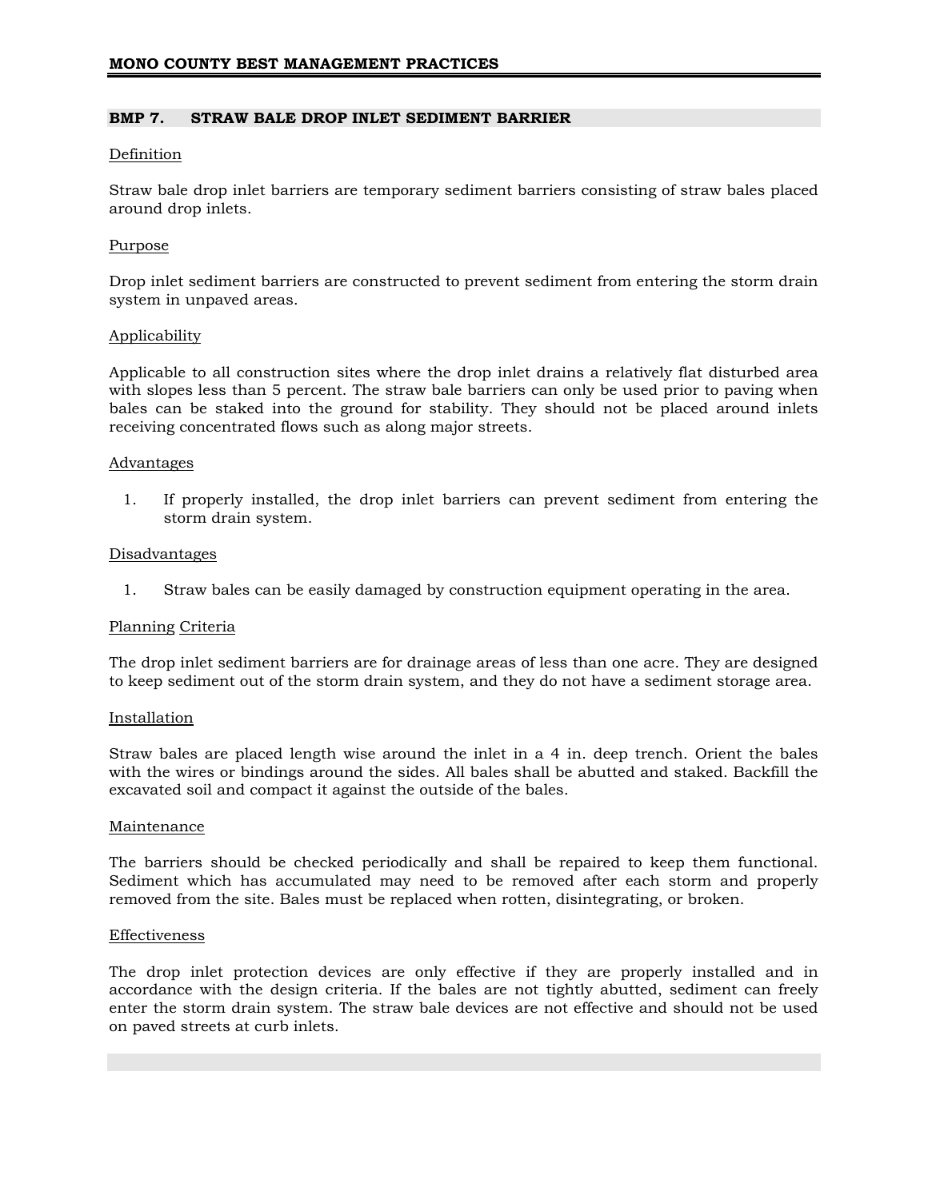#### **BMP 7. STRAW BALE DROP INLET SEDIMENT BARRIER**

#### Definition

Straw bale drop inlet barriers are temporary sediment barriers consisting of straw bales placed around drop inlets.

#### Purpose

Drop inlet sediment barriers are constructed to prevent sediment from entering the storm drain system in unpaved areas.

#### Applicability

Applicable to all construction sites where the drop inlet drains a relatively flat disturbed area with slopes less than 5 percent. The straw bale barriers can only be used prior to paving when bales can be staked into the ground for stability. They should not be placed around inlets receiving concentrated flows such as along major streets.

#### Advantages

1. If properly installed, the drop inlet barriers can prevent sediment from entering the storm drain system.

#### Disadvantages

1. Straw bales can be easily damaged by construction equipment operating in the area.

## Planning Criteria

The drop inlet sediment barriers are for drainage areas of less than one acre. They are designed to keep sediment out of the storm drain system, and they do not have a sediment storage area.

#### Installation

Straw bales are placed length wise around the inlet in a 4 in. deep trench. Orient the bales with the wires or bindings around the sides. All bales shall be abutted and staked. Backfill the excavated soil and compact it against the outside of the bales.

#### Maintenance

The barriers should be checked periodically and shall be repaired to keep them functional. Sediment which has accumulated may need to be removed after each storm and properly removed from the site. Bales must be replaced when rotten, disintegrating, or broken.

#### Effectiveness

The drop inlet protection devices are only effective if they are properly installed and in accordance with the design criteria. If the bales are not tightly abutted, sediment can freely enter the storm drain system. The straw bale devices are not effective and should not be used on paved streets at curb inlets.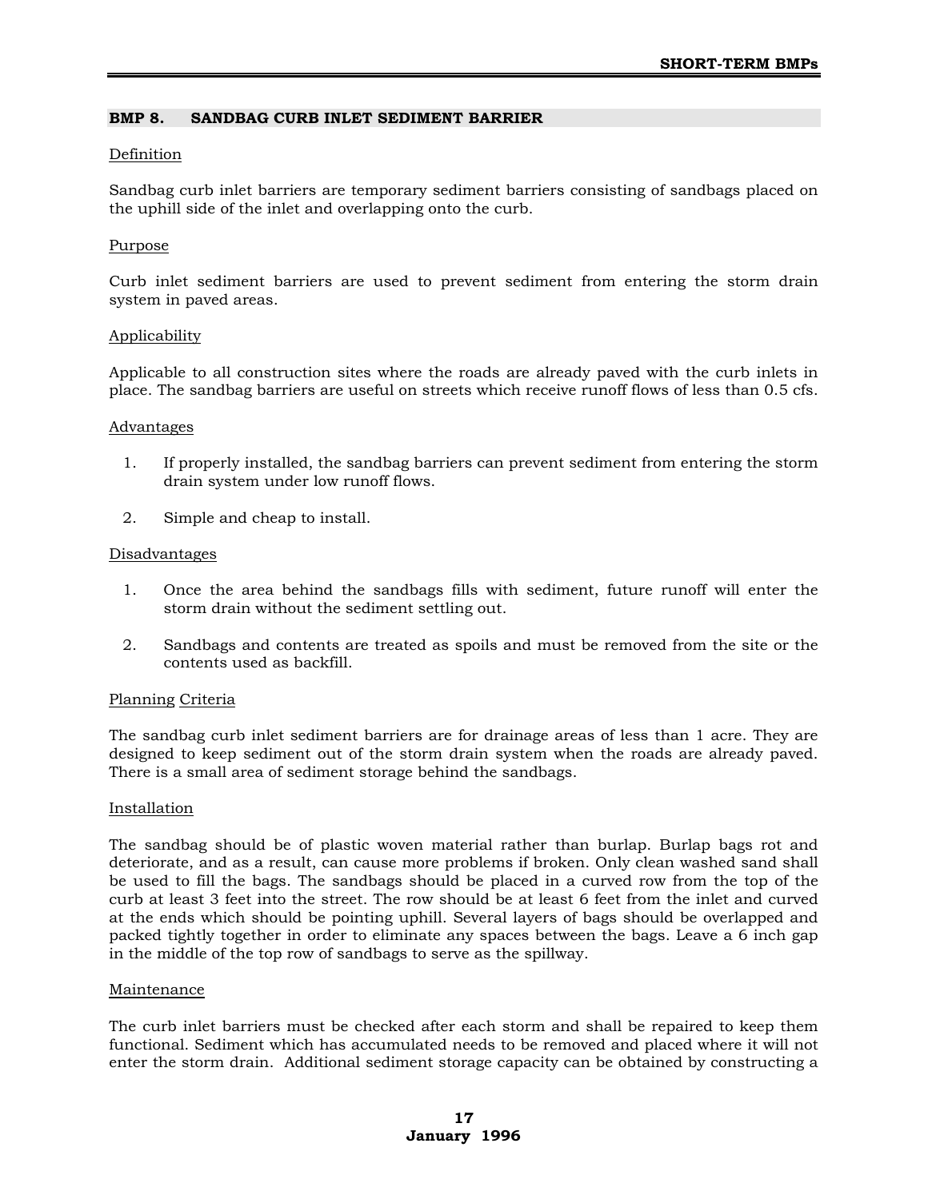## **BMP 8. SANDBAG CURB INLET SEDIMENT BARRIER**

## Definition

Sandbag curb inlet barriers are temporary sediment barriers consisting of sandbags placed on the uphill side of the inlet and overlapping onto the curb.

## Purpose

Curb inlet sediment barriers are used to prevent sediment from entering the storm drain system in paved areas.

## Applicability

Applicable to all construction sites where the roads are already paved with the curb inlets in place. The sandbag barriers are useful on streets which receive runoff flows of less than 0.5 cfs.

## Advantages

- 1. If properly installed, the sandbag barriers can prevent sediment from entering the storm drain system under low runoff flows.
- 2. Simple and cheap to install.

## Disadvantages

- 1. Once the area behind the sandbags fills with sediment, future runoff will enter the storm drain without the sediment settling out.
- 2. Sandbags and contents are treated as spoils and must be removed from the site or the contents used as backfill.

## Planning Criteria

The sandbag curb inlet sediment barriers are for drainage areas of less than 1 acre. They are designed to keep sediment out of the storm drain system when the roads are already paved. There is a small area of sediment storage behind the sandbags.

## Installation

The sandbag should be of plastic woven material rather than burlap. Burlap bags rot and deteriorate, and as a result, can cause more problems if broken. Only clean washed sand shall be used to fill the bags. The sandbags should be placed in a curved row from the top of the curb at least 3 feet into the street. The row should be at least 6 feet from the inlet and curved at the ends which should be pointing uphill. Several layers of bags should be overlapped and packed tightly together in order to eliminate any spaces between the bags. Leave a 6 inch gap in the middle of the top row of sandbags to serve as the spillway.

## Maintenance

The curb inlet barriers must be checked after each storm and shall be repaired to keep them functional. Sediment which has accumulated needs to be removed and placed where it will not enter the storm drain. Additional sediment storage capacity can be obtained by constructing a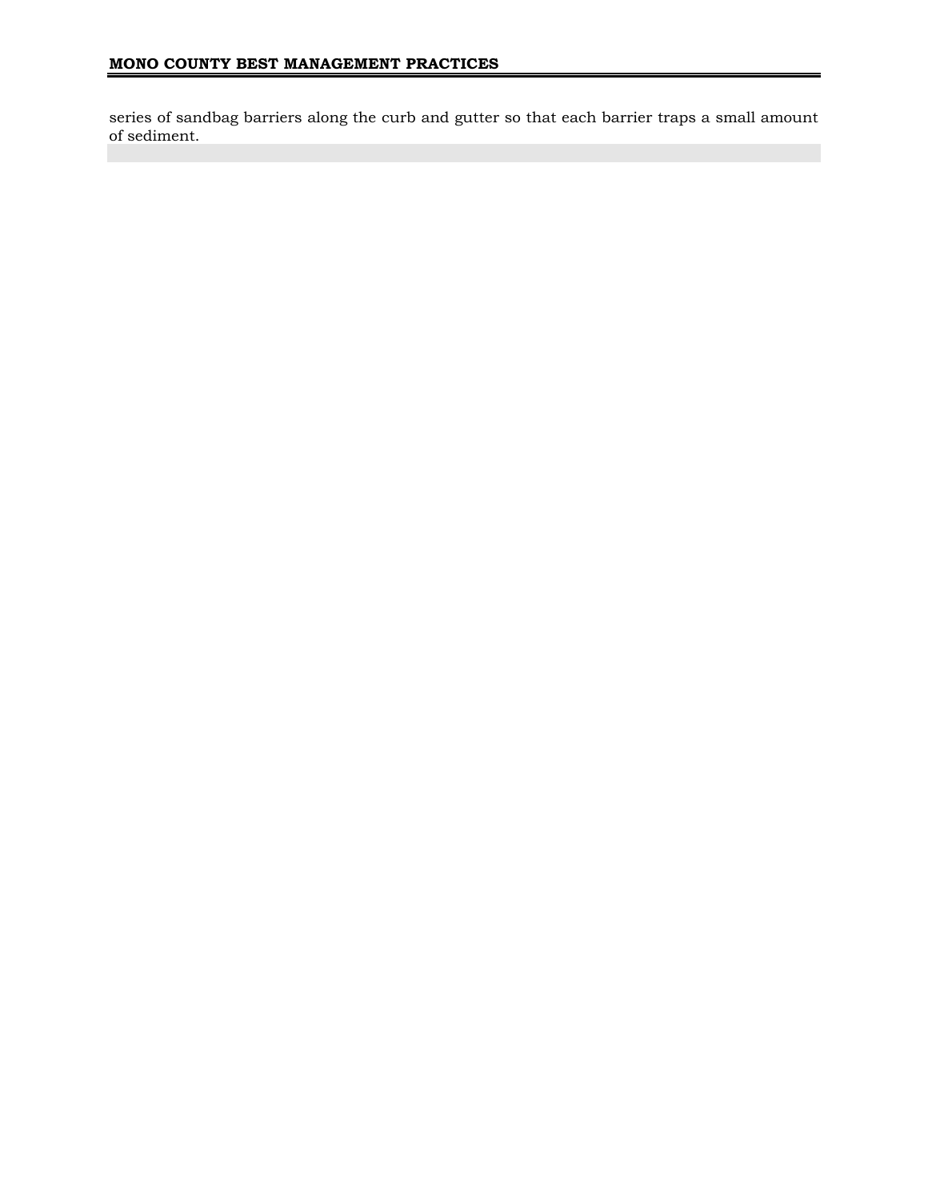series of sandbag barriers along the curb and gutter so that each barrier traps a small amount of sediment.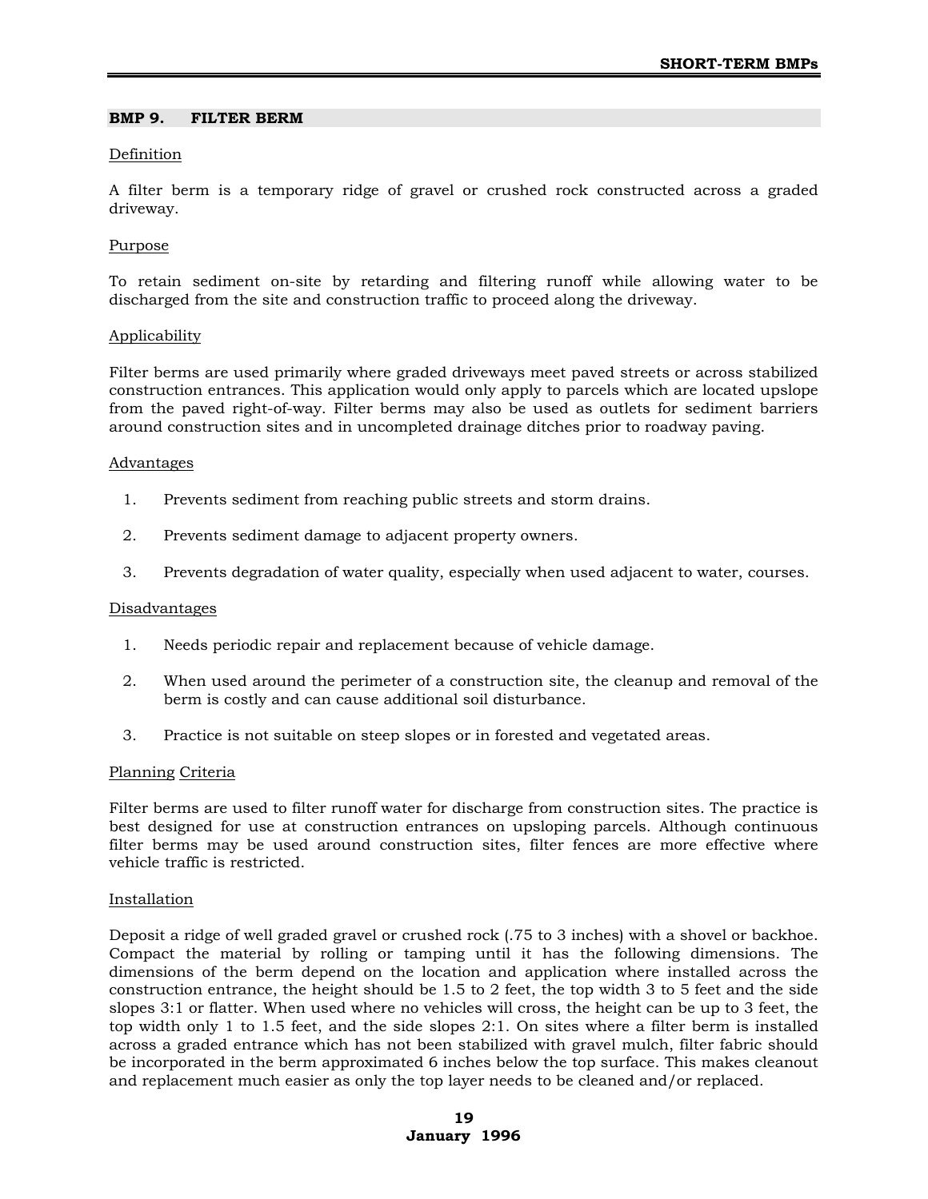#### **BMP 9. FILTER BERM**

## Definition

A filter berm is a temporary ridge of gravel or crushed rock constructed across a graded driveway.

## Purpose

To retain sediment on-site by retarding and filtering runoff while allowing water to be discharged from the site and construction traffic to proceed along the driveway.

#### Applicability

Filter berms are used primarily where graded driveways meet paved streets or across stabilized construction entrances. This application would only apply to parcels which are located upslope from the paved right-of-way. Filter berms may also be used as outlets for sediment barriers around construction sites and in uncompleted drainage ditches prior to roadway paving.

#### Advantages

- 1. Prevents sediment from reaching public streets and storm drains.
- 2. Prevents sediment damage to adjacent property owners.
- 3. Prevents degradation of water quality, especially when used adjacent to water, courses.

#### Disadvantages

- 1. Needs periodic repair and replacement because of vehicle damage.
- 2. When used around the perimeter of a construction site, the cleanup and removal of the berm is costly and can cause additional soil disturbance.
- 3. Practice is not suitable on steep slopes or in forested and vegetated areas.

## Planning Criteria

Filter berms are used to filter runoff water for discharge from construction sites. The practice is best designed for use at construction entrances on upsloping parcels. Although continuous filter berms may be used around construction sites, filter fences are more effective where vehicle traffic is restricted.

## Installation

Deposit a ridge of well graded gravel or crushed rock (.75 to 3 inches) with a shovel or backhoe. Compact the material by rolling or tamping until it has the following dimensions. The dimensions of the berm depend on the location and application where installed across the construction entrance, the height should be 1.5 to 2 feet, the top width 3 to 5 feet and the side slopes 3:1 or flatter. When used where no vehicles will cross, the height can be up to 3 feet, the top width only 1 to 1.5 feet, and the side slopes 2:1. On sites where a filter berm is installed across a graded entrance which has not been stabilized with gravel mulch, filter fabric should be incorporated in the berm approximated 6 inches below the top surface. This makes cleanout and replacement much easier as only the top layer needs to be cleaned and/or replaced.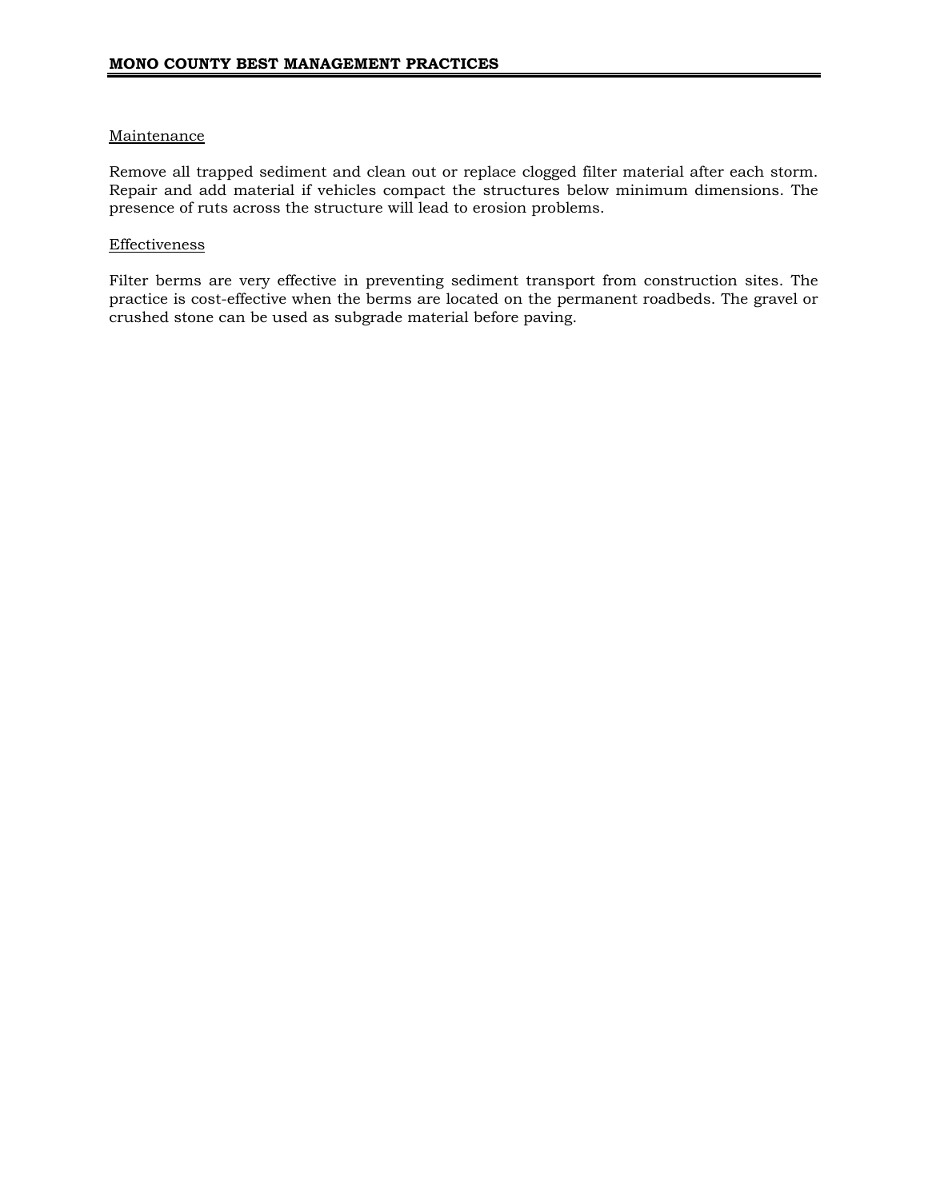#### Maintenance

Remove all trapped sediment and clean out or replace clogged filter material after each storm. Repair and add material if vehicles compact the structures below minimum dimensions. The presence of ruts across the structure will lead to erosion problems.

#### Effectiveness

Filter berms are very effective in preventing sediment transport from construction sites. The practice is cost-effective when the berms are located on the permanent roadbeds. The gravel or crushed stone can be used as subgrade material before paving.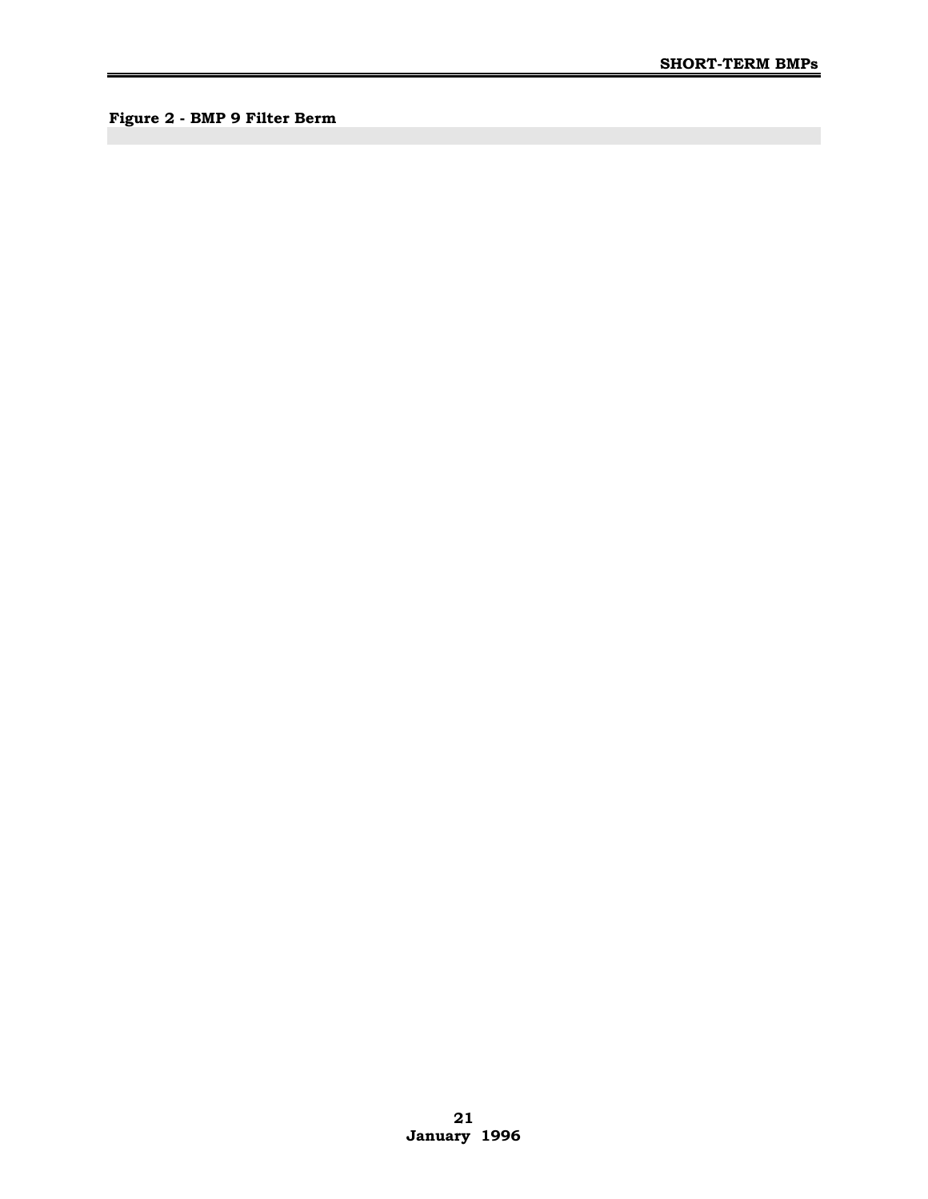## **Figure 2 - BMP 9 Filter Berm**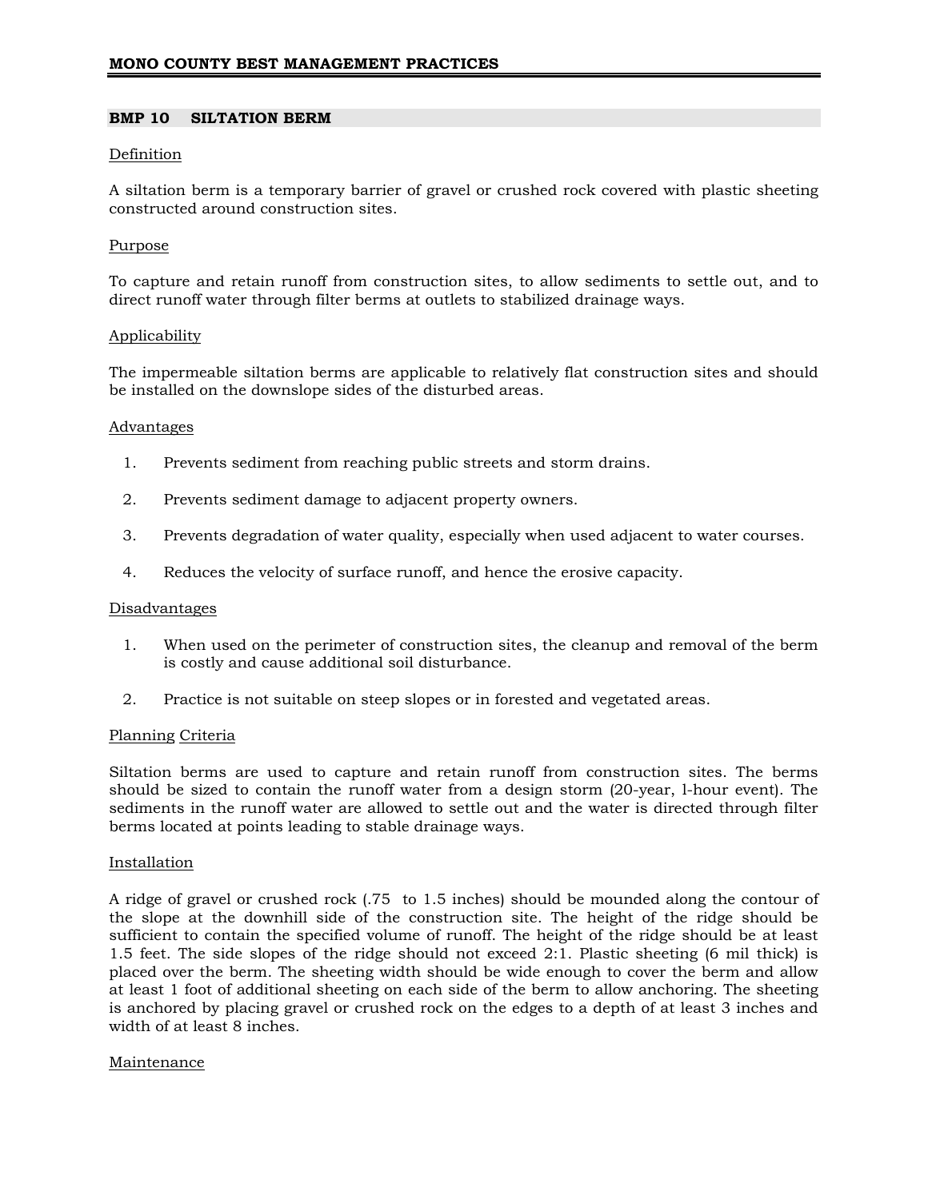#### **BMP 10 SILTATION BERM**

#### Definition

A siltation berm is a temporary barrier of gravel or crushed rock covered with plastic sheeting constructed around construction sites.

#### Purpose

To capture and retain runoff from construction sites, to allow sediments to settle out, and to direct runoff water through filter berms at outlets to stabilized drainage ways.

#### Applicability

The impermeable siltation berms are applicable to relatively flat construction sites and should be installed on the downslope sides of the disturbed areas.

#### Advantages

- 1. Prevents sediment from reaching public streets and storm drains.
- 2. Prevents sediment damage to adjacent property owners.
- 3. Prevents degradation of water quality, especially when used adjacent to water courses.
- 4. Reduces the velocity of surface runoff, and hence the erosive capacity.

#### Disadvantages

- 1. When used on the perimeter of construction sites, the cleanup and removal of the berm is costly and cause additional soil disturbance.
- 2. Practice is not suitable on steep slopes or in forested and vegetated areas.

## Planning Criteria

Siltation berms are used to capture and retain runoff from construction sites. The berms should be sized to contain the runoff water from a design storm (20-year, l-hour event). The sediments in the runoff water are allowed to settle out and the water is directed through filter berms located at points leading to stable drainage ways.

## Installation

A ridge of gravel or crushed rock (.75 to 1.5 inches) should be mounded along the contour of the slope at the downhill side of the construction site. The height of the ridge should be sufficient to contain the specified volume of runoff. The height of the ridge should be at least 1.5 feet. The side slopes of the ridge should not exceed 2:1. Plastic sheeting (6 mil thick) is placed over the berm. The sheeting width should be wide enough to cover the berm and allow at least 1 foot of additional sheeting on each side of the berm to allow anchoring. The sheeting is anchored by placing gravel or crushed rock on the edges to a depth of at least 3 inches and width of at least 8 inches.

## Maintenance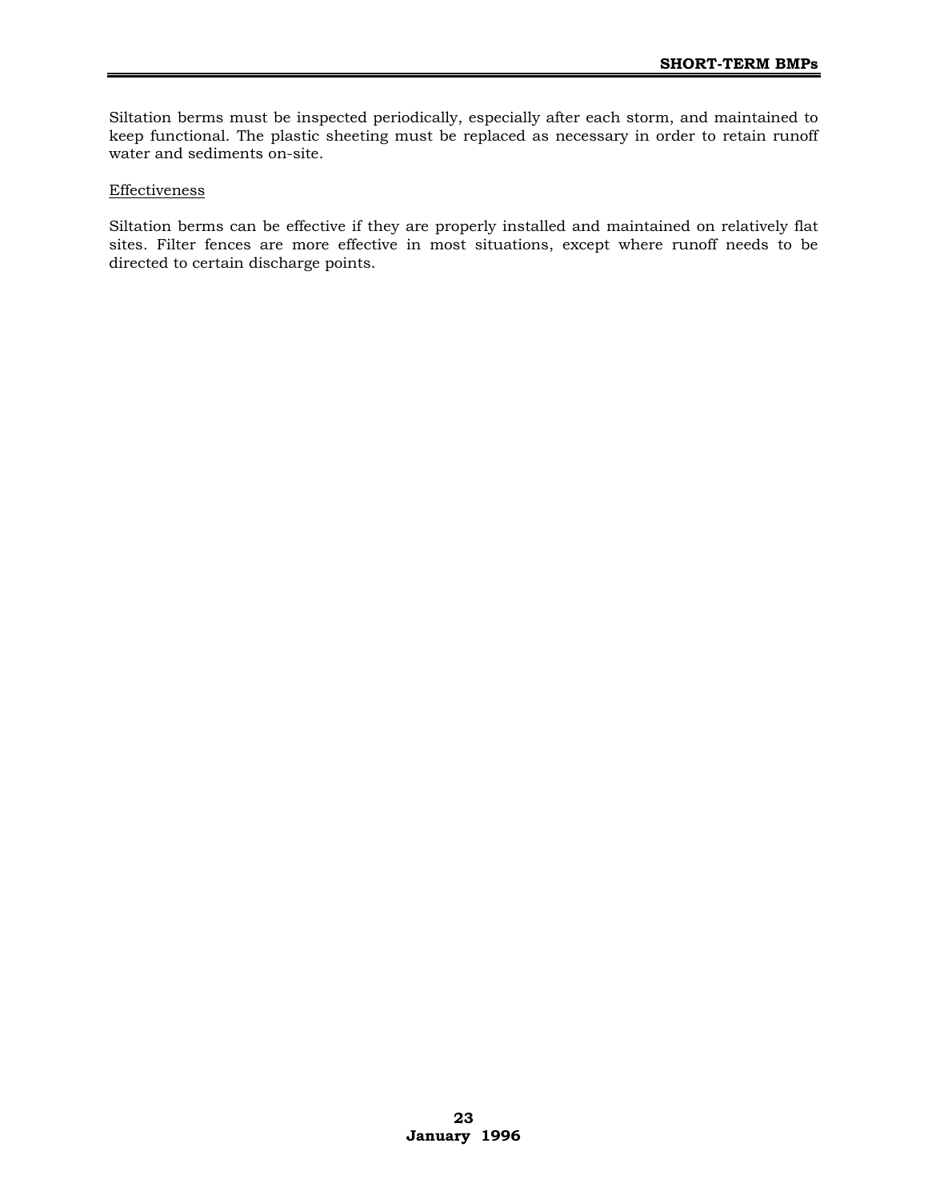Siltation berms must be inspected periodically, especially after each storm, and maintained to keep functional. The plastic sheeting must be replaced as necessary in order to retain runoff water and sediments on-site.

## **Effectiveness**

Siltation berms can be effective if they are properly installed and maintained on relatively flat sites. Filter fences are more effective in most situations, except where runoff needs to be directed to certain discharge points.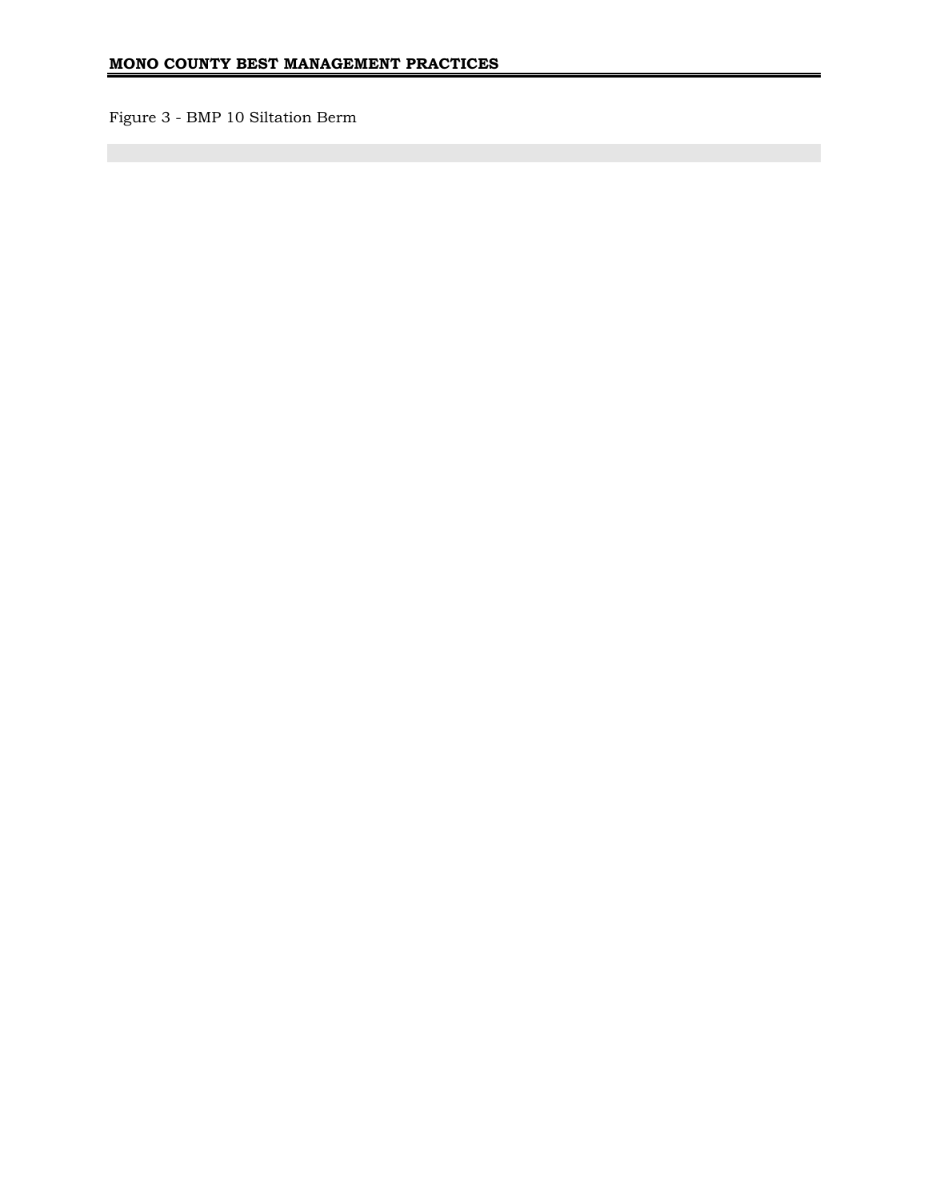Figure 3 - BMP 10 Siltation Berm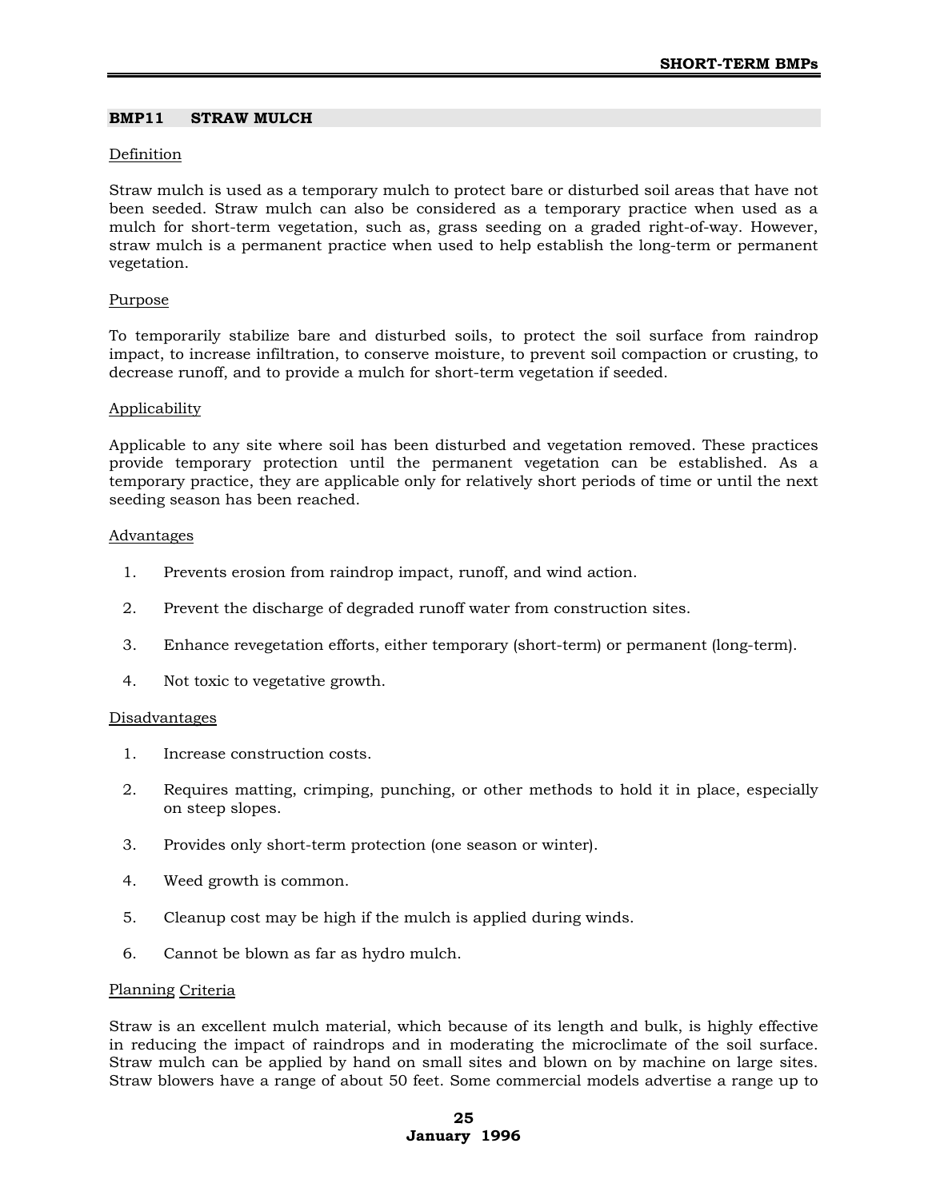#### **BMP11 STRAW MULCH**

## Definition

Straw mulch is used as a temporary mulch to protect bare or disturbed soil areas that have not been seeded. Straw mulch can also be considered as a temporary practice when used as a mulch for short-term vegetation, such as, grass seeding on a graded right-of-way. However, straw mulch is a permanent practice when used to help establish the long-term or permanent vegetation.

#### Purpose

To temporarily stabilize bare and disturbed soils, to protect the soil surface from raindrop impact, to increase infiltration, to conserve moisture, to prevent soil compaction or crusting, to decrease runoff, and to provide a mulch for short-term vegetation if seeded.

#### Applicability

Applicable to any site where soil has been disturbed and vegetation removed. These practices provide temporary protection until the permanent vegetation can be established. As a temporary practice, they are applicable only for relatively short periods of time or until the next seeding season has been reached.

#### Advantages

- 1. Prevents erosion from raindrop impact, runoff, and wind action.
- 2. Prevent the discharge of degraded runoff water from construction sites.
- 3. Enhance revegetation efforts, either temporary (short-term) or permanent (long-term).
- 4. Not toxic to vegetative growth.

#### Disadvantages

- 1. Increase construction costs.
- 2. Requires matting, crimping, punching, or other methods to hold it in place, especially on steep slopes.
- 3. Provides only short-term protection (one season or winter).
- 4. Weed growth is common.
- 5. Cleanup cost may be high if the mulch is applied during winds.
- 6. Cannot be blown as far as hydro mulch.

## Planning Criteria

Straw is an excellent mulch material, which because of its length and bulk, is highly effective in reducing the impact of raindrops and in moderating the microclimate of the soil surface. Straw mulch can be applied by hand on small sites and blown on by machine on large sites. Straw blowers have a range of about 50 feet. Some commercial models advertise a range up to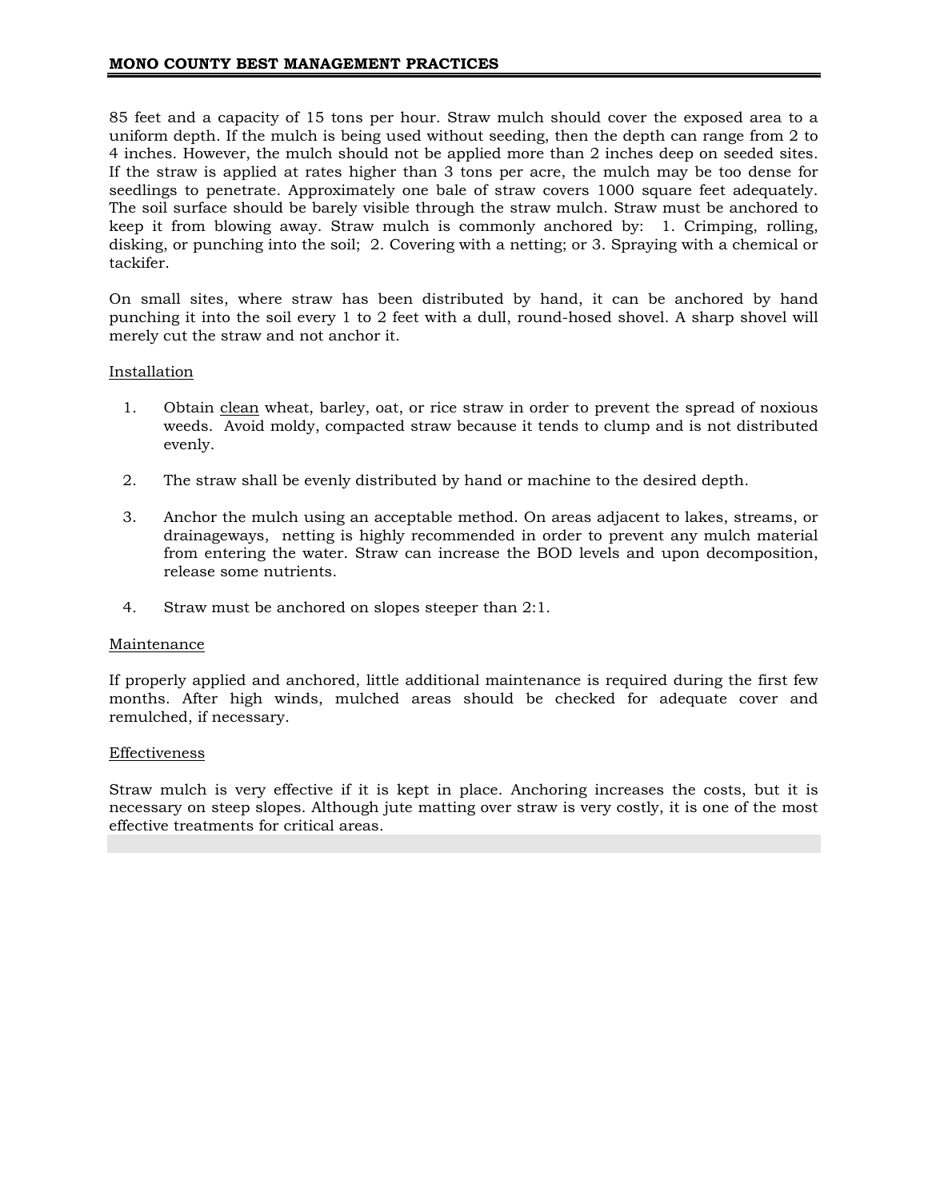85 feet and a capacity of 15 tons per hour. Straw mulch should cover the exposed area to a uniform depth. If the mulch is being used without seeding, then the depth can range from 2 to 4 inches. However, the mulch should not be applied more than 2 inches deep on seeded sites. If the straw is applied at rates higher than 3 tons per acre, the mulch may be too dense for seedlings to penetrate. Approximately one bale of straw covers 1000 square feet adequately. The soil surface should be barely visible through the straw mulch. Straw must be anchored to keep it from blowing away. Straw mulch is commonly anchored by: 1. Crimping, rolling, disking, or punching into the soil; 2. Covering with a netting; or 3. Spraying with a chemical or tackifer.

On small sites, where straw has been distributed by hand, it can be anchored by hand punching it into the soil every 1 to 2 feet with a dull, round-hosed shovel. A sharp shovel will merely cut the straw and not anchor it.

## Installation

- 1. Obtain clean wheat, barley, oat, or rice straw in order to prevent the spread of noxious weeds. Avoid moldy, compacted straw because it tends to clump and is not distributed evenly.
- 2. The straw shall be evenly distributed by hand or machine to the desired depth.
- 3. Anchor the mulch using an acceptable method. On areas adjacent to lakes, streams, or drainageways, netting is highly recommended in order to prevent any mulch material from entering the water. Straw can increase the BOD levels and upon decomposition, release some nutrients.
- 4. Straw must be anchored on slopes steeper than 2:1.

## Maintenance

If properly applied and anchored, little additional maintenance is required during the first few months. After high winds, mulched areas should be checked for adequate cover and remulched, if necessary.

## Effectiveness

Straw mulch is very effective if it is kept in place. Anchoring increases the costs, but it is necessary on steep slopes. Although jute matting over straw is very costly, it is one of the most effective treatments for critical areas.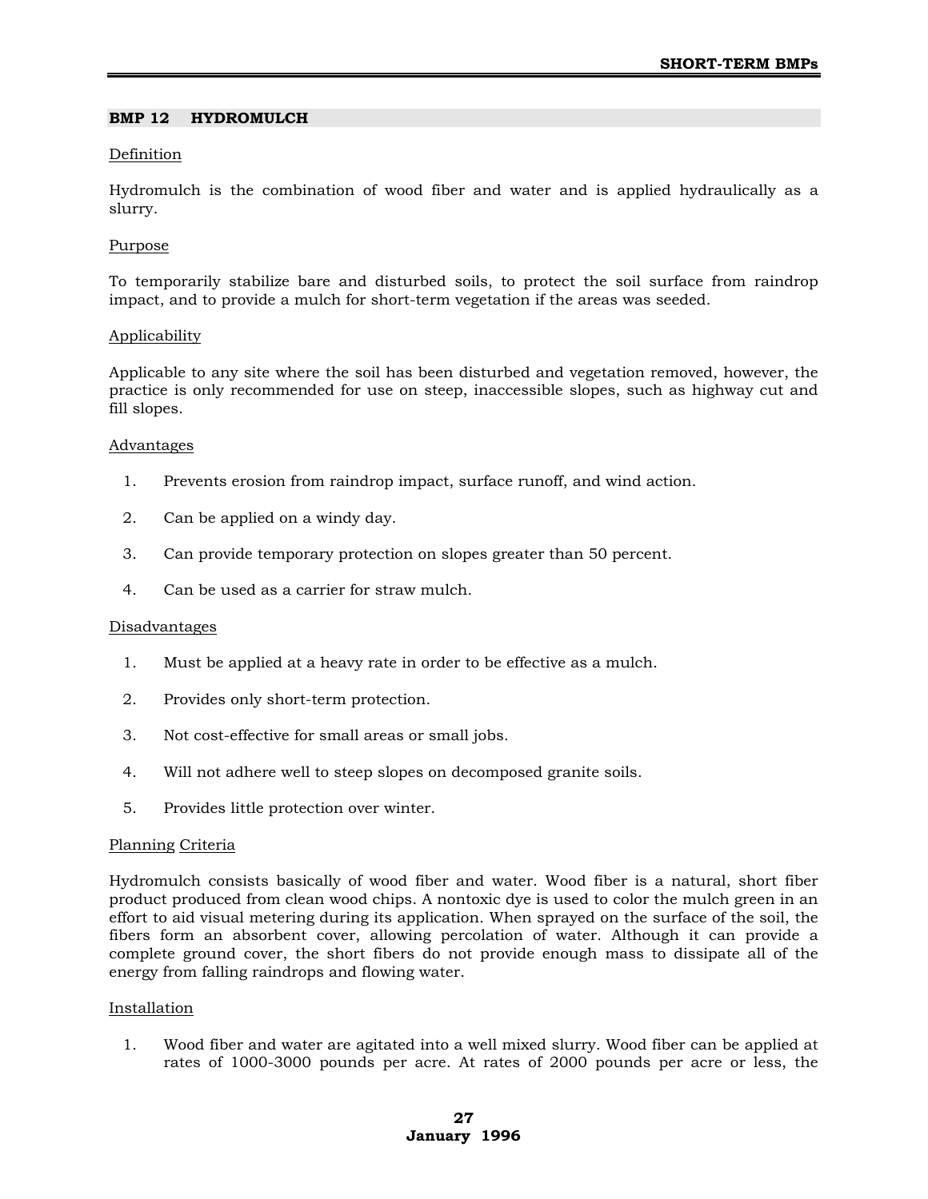## **BMP 12 HYDROMULCH**

#### Definition

Hydromulch is the combination of wood fiber and water and is applied hydraulically as a slurry.

#### Purpose

To temporarily stabilize bare and disturbed soils, to protect the soil surface from raindrop impact, and to provide a mulch for short-term vegetation if the areas was seeded.

#### Applicability

Applicable to any site where the soil has been disturbed and vegetation removed, however, the practice is only recommended for use on steep, inaccessible slopes, such as highway cut and fill slopes.

#### Advantages

- 1. Prevents erosion from raindrop impact, surface runoff, and wind action.
- 2. Can be applied on a windy day.
- 3. Can provide temporary protection on slopes greater than 50 percent.
- 4. Can be used as a carrier for straw mulch.

#### Disadvantages

- 1. Must be applied at a heavy rate in order to be effective as a mulch.
- 2. Provides only short-term protection.
- 3. Not cost-effective for small areas or small jobs.
- 4. Will not adhere well to steep slopes on decomposed granite soils.
- 5. Provides little protection over winter.

## Planning Criteria

Hydromulch consists basically of wood fiber and water. Wood fiber is a natural, short fiber product produced from clean wood chips. A nontoxic dye is used to color the mulch green in an effort to aid visual metering during its application. When sprayed on the surface of the soil, the fibers form an absorbent cover, allowing percolation of water. Although it can provide a complete ground cover, the short fibers do not provide enough mass to dissipate all of the energy from falling raindrops and flowing water.

## Installation

1. Wood fiber and water are agitated into a well mixed slurry. Wood fiber can be applied at rates of 1000-3000 pounds per acre. At rates of 2000 pounds per acre or less, the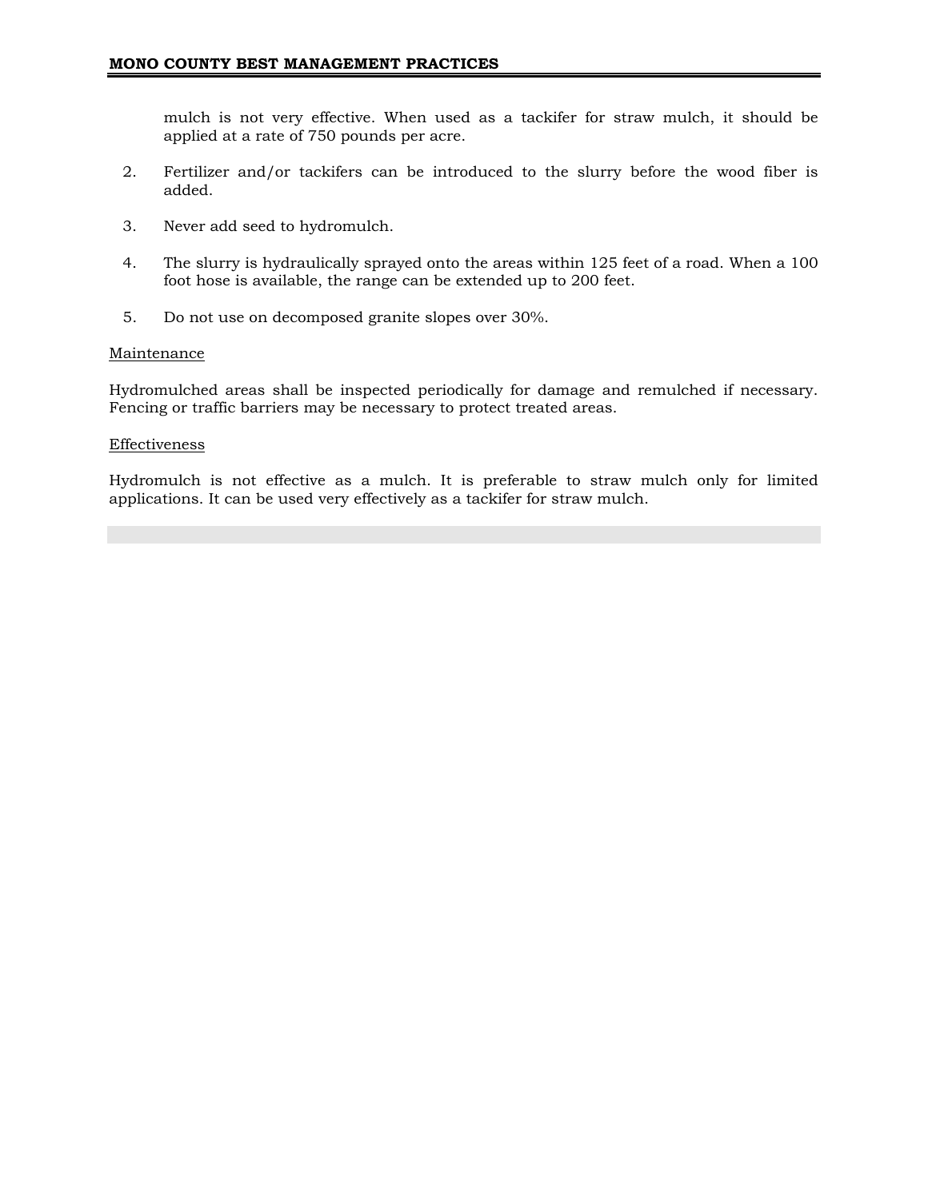mulch is not very effective. When used as a tackifer for straw mulch, it should be applied at a rate of 750 pounds per acre.

- 2. Fertilizer and/or tackifers can be introduced to the slurry before the wood fiber is added.
- 3. Never add seed to hydromulch.
- 4. The slurry is hydraulically sprayed onto the areas within 125 feet of a road. When a 100 foot hose is available, the range can be extended up to 200 feet.
- 5. Do not use on decomposed granite slopes over 30%.

## Maintenance

Hydromulched areas shall be inspected periodically for damage and remulched if necessary. Fencing or traffic barriers may be necessary to protect treated areas.

## Effectiveness

Hydromulch is not effective as a mulch. It is preferable to straw mulch only for limited applications. It can be used very effectively as a tackifer for straw mulch.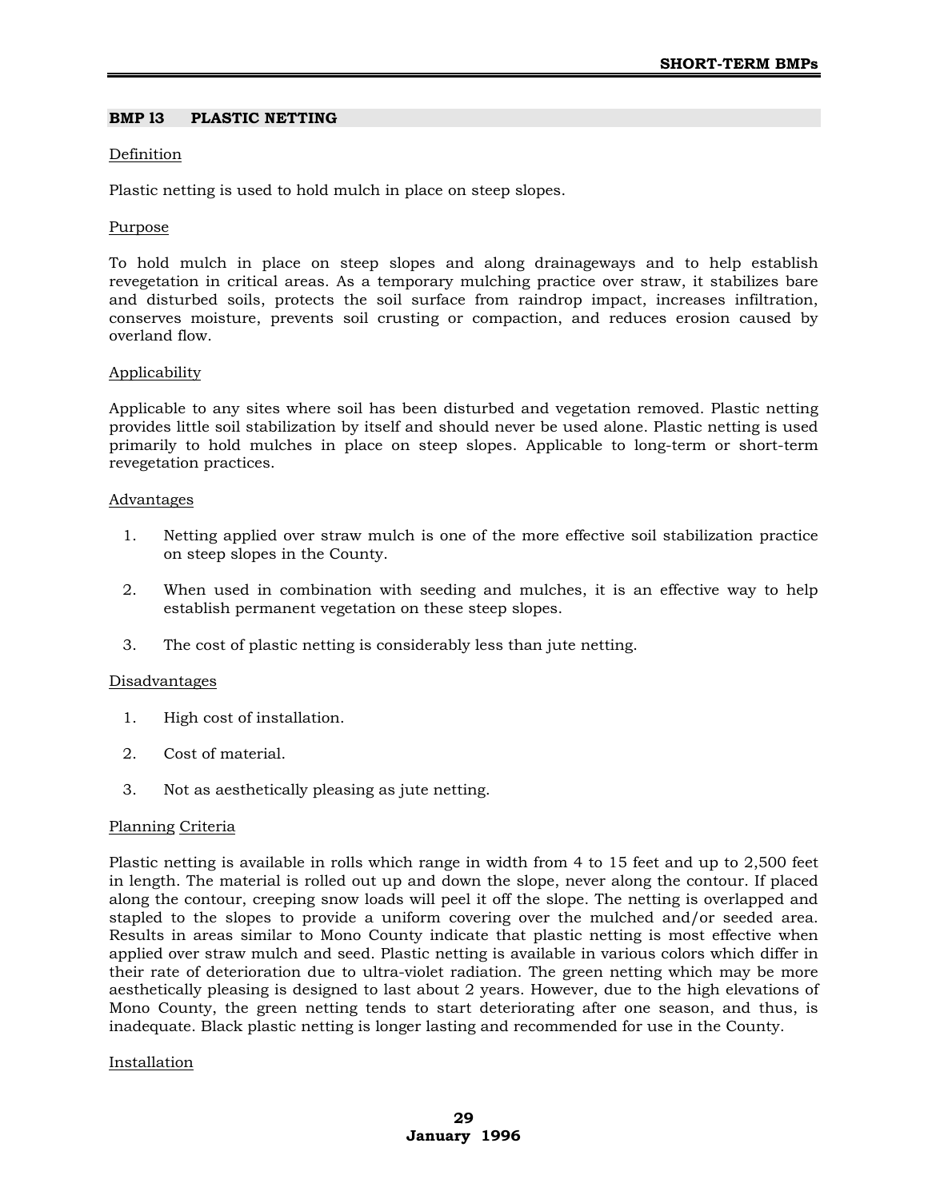#### **BMP l3 PLASTIC NETTING**

#### Definition

Plastic netting is used to hold mulch in place on steep slopes.

#### Purpose

To hold mulch in place on steep slopes and along drainageways and to help establish revegetation in critical areas. As a temporary mulching practice over straw, it stabilizes bare and disturbed soils, protects the soil surface from raindrop impact, increases infiltration, conserves moisture, prevents soil crusting or compaction, and reduces erosion caused by overland flow.

#### Applicability

Applicable to any sites where soil has been disturbed and vegetation removed. Plastic netting provides little soil stabilization by itself and should never be used alone. Plastic netting is used primarily to hold mulches in place on steep slopes. Applicable to long-term or short-term revegetation practices.

#### Advantages

- 1. Netting applied over straw mulch is one of the more effective soil stabilization practice on steep slopes in the County.
- 2. When used in combination with seeding and mulches, it is an effective way to help establish permanent vegetation on these steep slopes.
- 3. The cost of plastic netting is considerably less than jute netting.

#### Disadvantages

- 1. High cost of installation.
- 2. Cost of material.
- 3. Not as aesthetically pleasing as jute netting.

## Planning Criteria

Plastic netting is available in rolls which range in width from 4 to 15 feet and up to 2,500 feet in length. The material is rolled out up and down the slope, never along the contour. If placed along the contour, creeping snow loads will peel it off the slope. The netting is overlapped and stapled to the slopes to provide a uniform covering over the mulched and/or seeded area. Results in areas similar to Mono County indicate that plastic netting is most effective when applied over straw mulch and seed. Plastic netting is available in various colors which differ in their rate of deterioration due to ultra-violet radiation. The green netting which may be more aesthetically pleasing is designed to last about 2 years. However, due to the high elevations of Mono County, the green netting tends to start deteriorating after one season, and thus, is inadequate. Black plastic netting is longer lasting and recommended for use in the County.

## Installation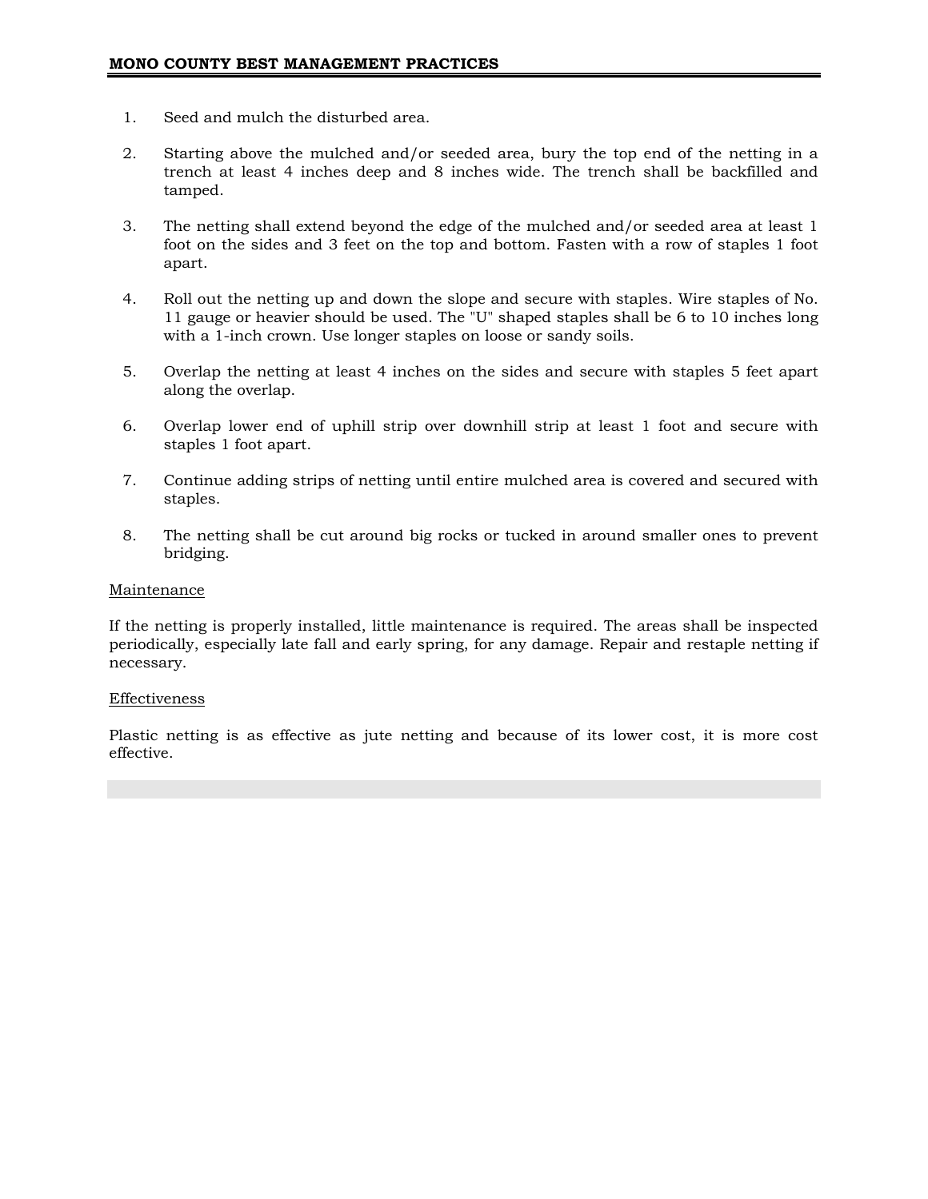- 1. Seed and mulch the disturbed area.
- 2. Starting above the mulched and/or seeded area, bury the top end of the netting in a trench at least 4 inches deep and 8 inches wide. The trench shall be backfilled and tamped.
- 3. The netting shall extend beyond the edge of the mulched and/or seeded area at least 1 foot on the sides and 3 feet on the top and bottom. Fasten with a row of staples 1 foot apart.
- 4. Roll out the netting up and down the slope and secure with staples. Wire staples of No. 11 gauge or heavier should be used. The "U" shaped staples shall be 6 to 10 inches long with a 1-inch crown. Use longer staples on loose or sandy soils.
- 5. Overlap the netting at least 4 inches on the sides and secure with staples 5 feet apart along the overlap.
- 6. Overlap lower end of uphill strip over downhill strip at least 1 foot and secure with staples 1 foot apart.
- 7. Continue adding strips of netting until entire mulched area is covered and secured with staples.
- 8. The netting shall be cut around big rocks or tucked in around smaller ones to prevent bridging.

## Maintenance

If the netting is properly installed, little maintenance is required. The areas shall be inspected periodically, especially late fall and early spring, for any damage. Repair and restaple netting if necessary.

## Effectiveness

Plastic netting is as effective as jute netting and because of its lower cost, it is more cost effective.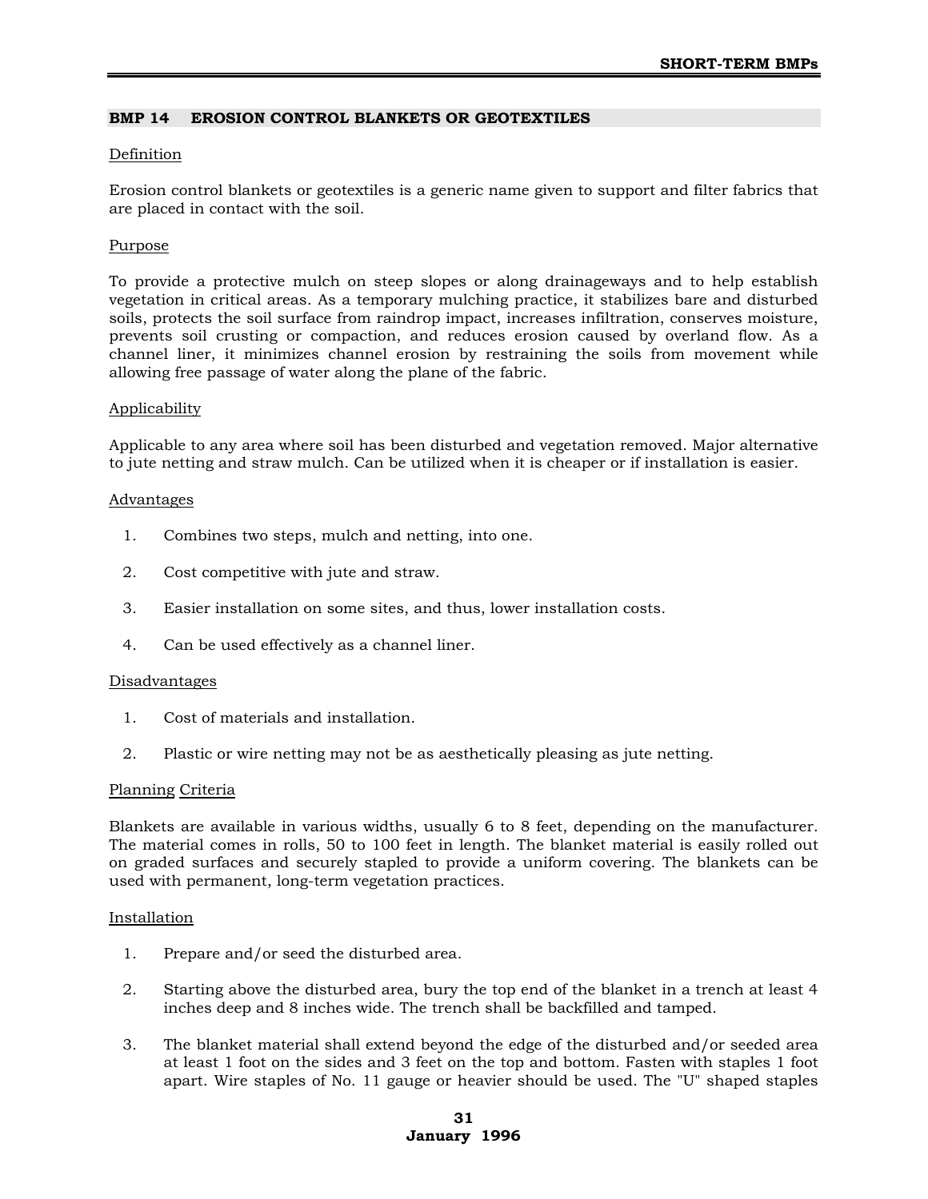## **BMP 14 EROSION CONTROL BLANKETS OR GEOTEXTILES**

## Definition

Erosion control blankets or geotextiles is a generic name given to support and filter fabrics that are placed in contact with the soil.

## Purpose

To provide a protective mulch on steep slopes or along drainageways and to help establish vegetation in critical areas. As a temporary mulching practice, it stabilizes bare and disturbed soils, protects the soil surface from raindrop impact, increases infiltration, conserves moisture, prevents soil crusting or compaction, and reduces erosion caused by overland flow. As a channel liner, it minimizes channel erosion by restraining the soils from movement while allowing free passage of water along the plane of the fabric.

## Applicability

Applicable to any area where soil has been disturbed and vegetation removed. Major alternative to jute netting and straw mulch. Can be utilized when it is cheaper or if installation is easier.

## Advantages

- 1. Combines two steps, mulch and netting, into one.
- 2. Cost competitive with jute and straw.
- 3. Easier installation on some sites, and thus, lower installation costs.
- 4. Can be used effectively as a channel liner.

## Disadvantages

- 1. Cost of materials and installation.
- 2. Plastic or wire netting may not be as aesthetically pleasing as jute netting.

## Planning Criteria

Blankets are available in various widths, usually 6 to 8 feet, depending on the manufacturer. The material comes in rolls, 50 to 100 feet in length. The blanket material is easily rolled out on graded surfaces and securely stapled to provide a uniform covering. The blankets can be used with permanent, long-term vegetation practices.

## Installation

- 1. Prepare and/or seed the disturbed area.
- 2. Starting above the disturbed area, bury the top end of the blanket in a trench at least 4 inches deep and 8 inches wide. The trench shall be backfilled and tamped.
- 3. The blanket material shall extend beyond the edge of the disturbed and/or seeded area at least 1 foot on the sides and 3 feet on the top and bottom. Fasten with staples 1 foot apart. Wire staples of No. 11 gauge or heavier should be used. The "U" shaped staples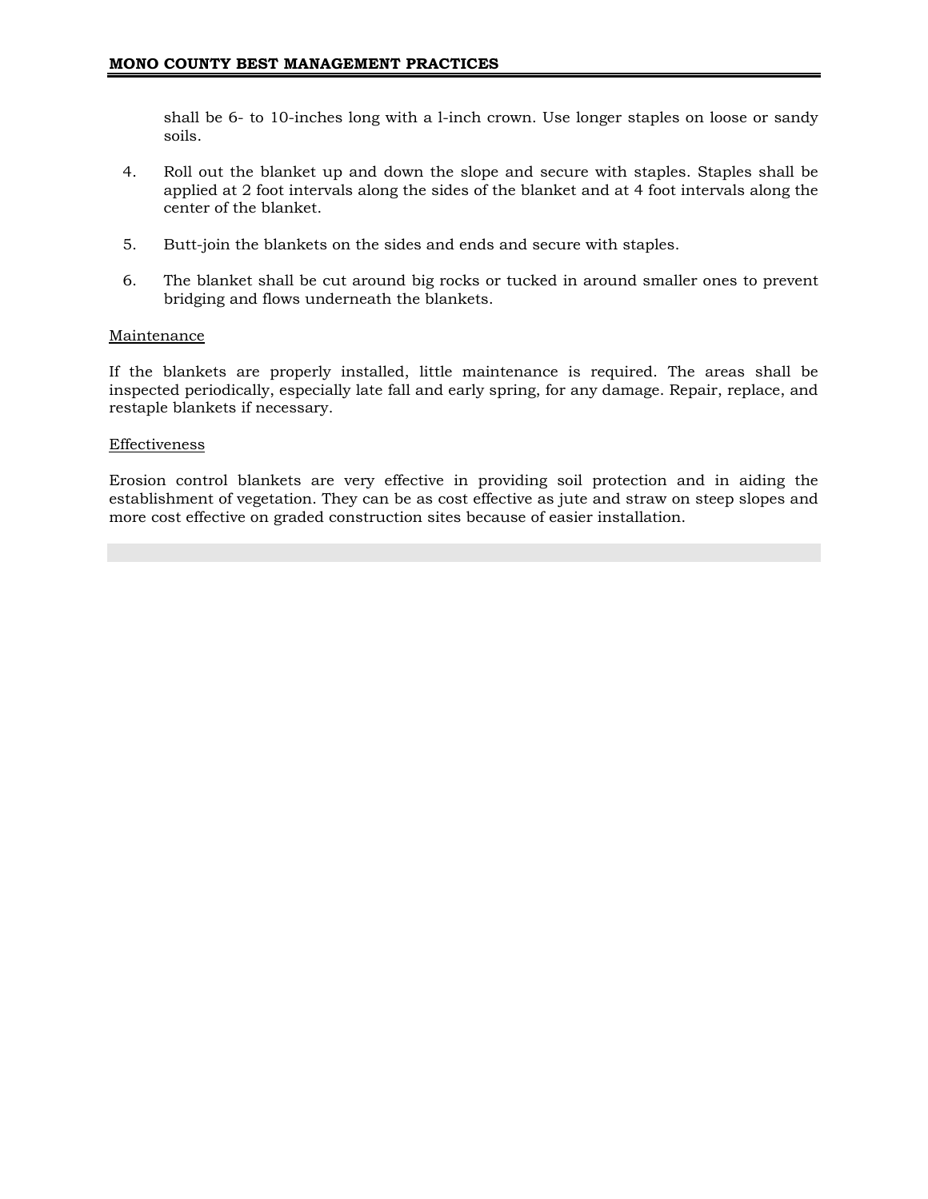shall be 6- to 10-inches long with a l-inch crown. Use longer staples on loose or sandy soils.

- 4. Roll out the blanket up and down the slope and secure with staples. Staples shall be applied at 2 foot intervals along the sides of the blanket and at 4 foot intervals along the center of the blanket.
- 5. Butt-join the blankets on the sides and ends and secure with staples.
- 6. The blanket shall be cut around big rocks or tucked in around smaller ones to prevent bridging and flows underneath the blankets.

## Maintenance

If the blankets are properly installed, little maintenance is required. The areas shall be inspected periodically, especially late fall and early spring, for any damage. Repair, replace, and restaple blankets if necessary.

#### Effectiveness

Erosion control blankets are very effective in providing soil protection and in aiding the establishment of vegetation. They can be as cost effective as jute and straw on steep slopes and more cost effective on graded construction sites because of easier installation.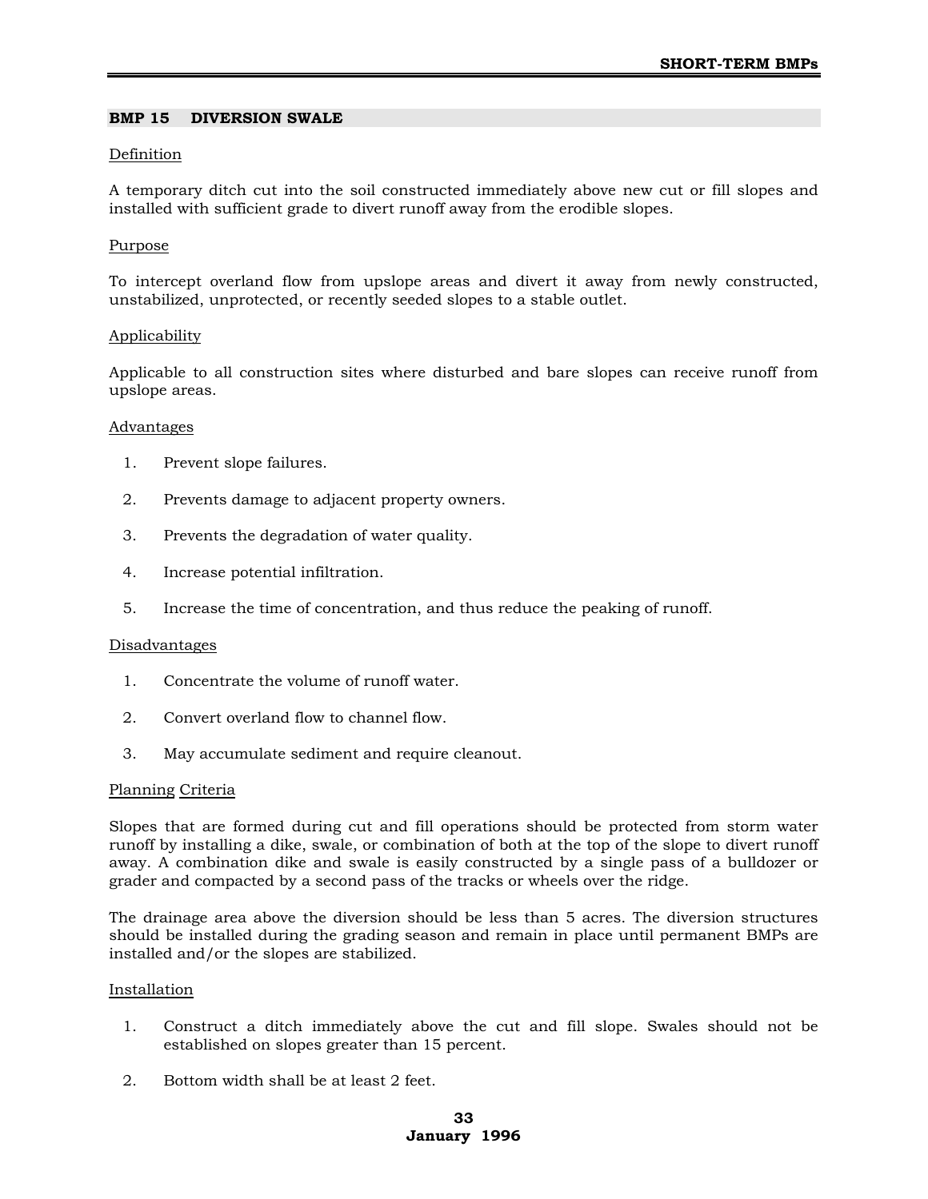## **BMP 15 DIVERSION SWALE**

#### Definition

A temporary ditch cut into the soil constructed immediately above new cut or fill slopes and installed with sufficient grade to divert runoff away from the erodible slopes.

#### Purpose

To intercept overland flow from upslope areas and divert it away from newly constructed, unstabilized, unprotected, or recently seeded slopes to a stable outlet.

#### Applicability

Applicable to all construction sites where disturbed and bare slopes can receive runoff from upslope areas.

#### Advantages

- 1. Prevent slope failures.
- 2. Prevents damage to adjacent property owners.
- 3. Prevents the degradation of water quality.
- 4. Increase potential infiltration.
- 5. Increase the time of concentration, and thus reduce the peaking of runoff.

#### Disadvantages

- 1. Concentrate the volume of runoff water.
- 2. Convert overland flow to channel flow.
- 3. May accumulate sediment and require cleanout.

## Planning Criteria

Slopes that are formed during cut and fill operations should be protected from storm water runoff by installing a dike, swale, or combination of both at the top of the slope to divert runoff away. A combination dike and swale is easily constructed by a single pass of a bulldozer or grader and compacted by a second pass of the tracks or wheels over the ridge.

The drainage area above the diversion should be less than 5 acres. The diversion structures should be installed during the grading season and remain in place until permanent BMPs are installed and/or the slopes are stabilized.

#### Installation

- 1. Construct a ditch immediately above the cut and fill slope. Swales should not be established on slopes greater than 15 percent.
- 2. Bottom width shall be at least 2 feet.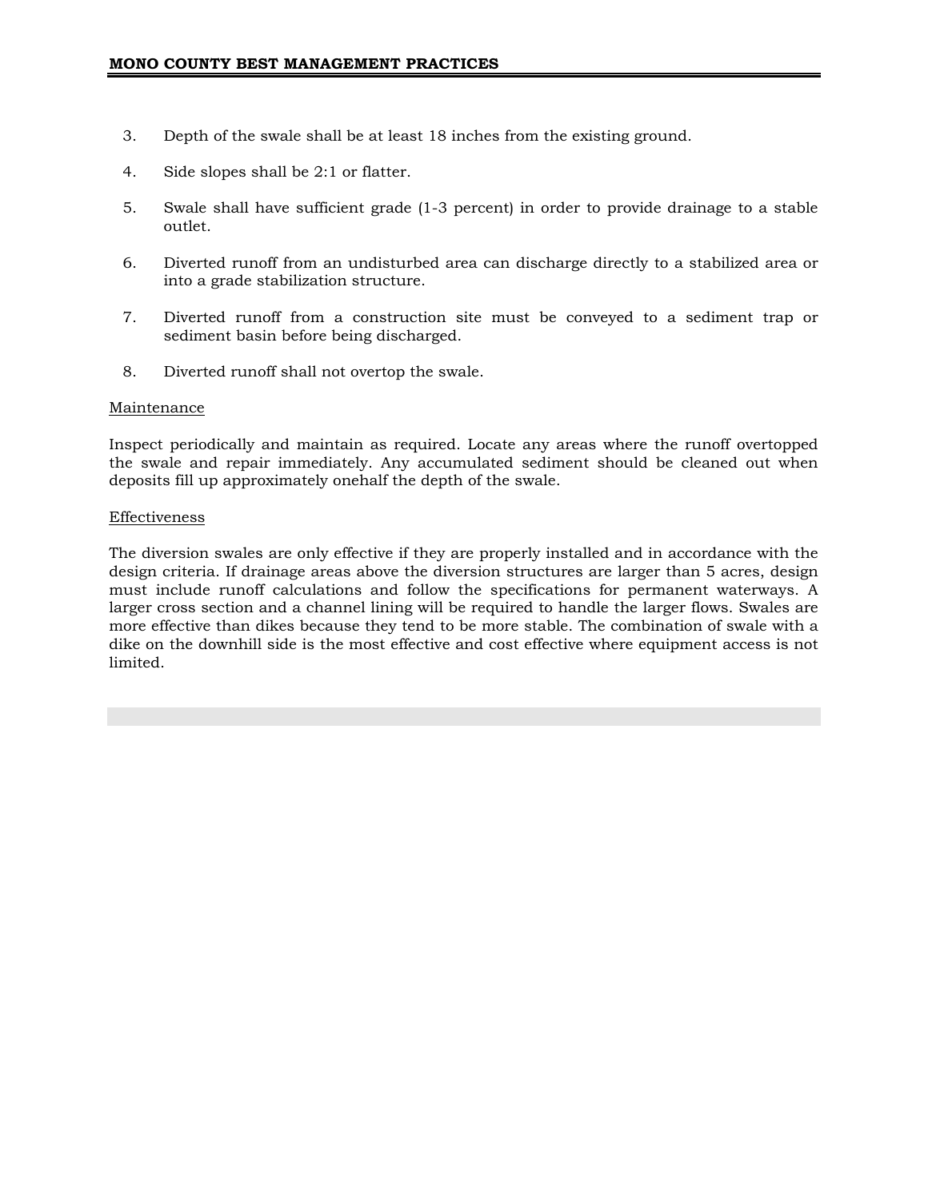- 3. Depth of the swale shall be at least 18 inches from the existing ground.
- 4. Side slopes shall be 2:1 or flatter.
- 5. Swale shall have sufficient grade (1-3 percent) in order to provide drainage to a stable outlet.
- 6. Diverted runoff from an undisturbed area can discharge directly to a stabilized area or into a grade stabilization structure.
- 7. Diverted runoff from a construction site must be conveyed to a sediment trap or sediment basin before being discharged.
- 8. Diverted runoff shall not overtop the swale.

#### Maintenance

Inspect periodically and maintain as required. Locate any areas where the runoff overtopped the swale and repair immediately. Any accumulated sediment should be cleaned out when deposits fill up approximately onehalf the depth of the swale.

#### Effectiveness

The diversion swales are only effective if they are properly installed and in accordance with the design criteria. If drainage areas above the diversion structures are larger than 5 acres, design must include runoff calculations and follow the specifications for permanent waterways. A larger cross section and a channel lining will be required to handle the larger flows. Swales are more effective than dikes because they tend to be more stable. The combination of swale with a dike on the downhill side is the most effective and cost effective where equipment access is not limited.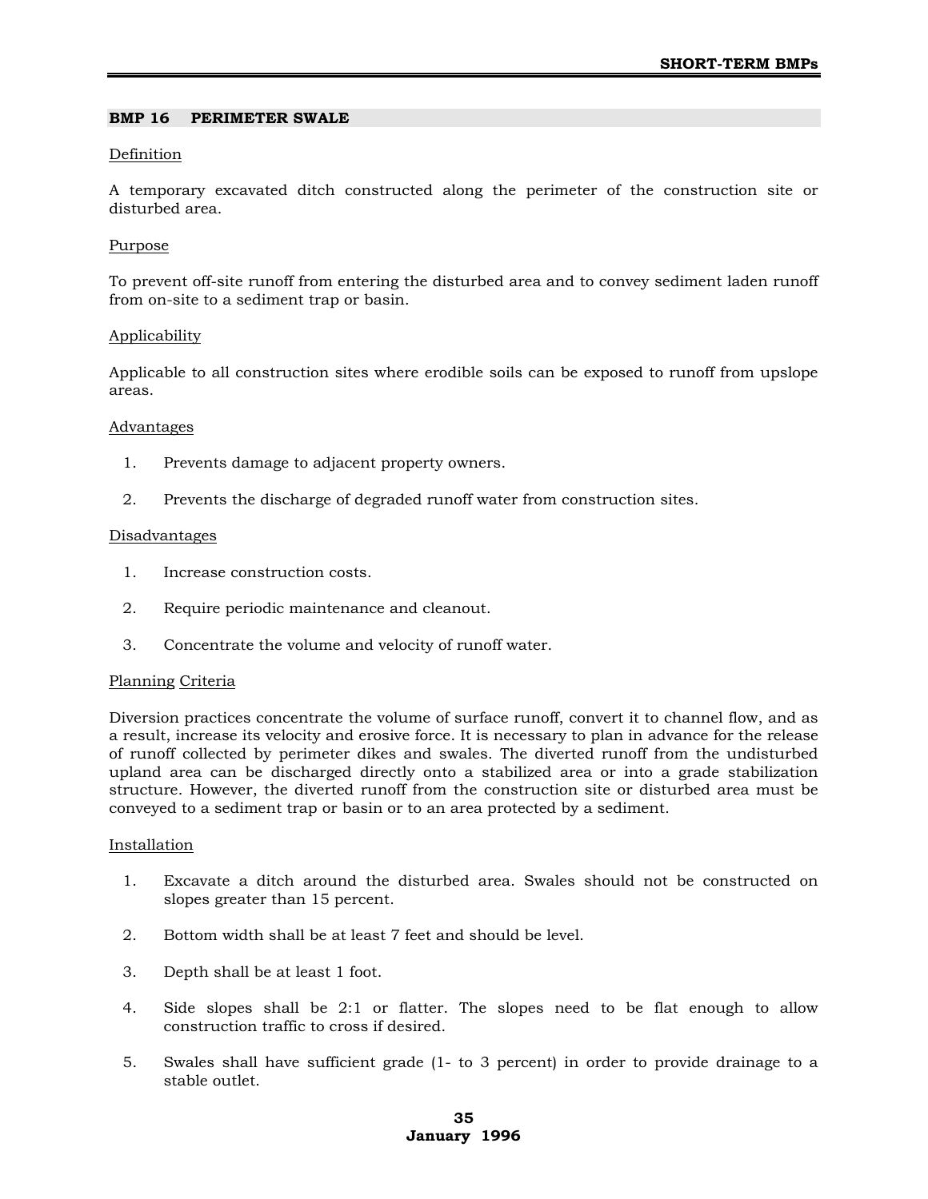## **BMP 16 PERIMETER SWALE**

## Definition

A temporary excavated ditch constructed along the perimeter of the construction site or disturbed area.

#### Purpose

To prevent off-site runoff from entering the disturbed area and to convey sediment laden runoff from on-site to a sediment trap or basin.

#### Applicability

Applicable to all construction sites where erodible soils can be exposed to runoff from upslope areas.

#### Advantages

- 1. Prevents damage to adjacent property owners.
- 2. Prevents the discharge of degraded runoff water from construction sites.

#### Disadvantages

- 1. Increase construction costs.
- 2. Require periodic maintenance and cleanout.
- 3. Concentrate the volume and velocity of runoff water.

## Planning Criteria

Diversion practices concentrate the volume of surface runoff, convert it to channel flow, and as a result, increase its velocity and erosive force. It is necessary to plan in advance for the release of runoff collected by perimeter dikes and swales. The diverted runoff from the undisturbed upland area can be discharged directly onto a stabilized area or into a grade stabilization structure. However, the diverted runoff from the construction site or disturbed area must be conveyed to a sediment trap or basin or to an area protected by a sediment.

## Installation

- 1. Excavate a ditch around the disturbed area. Swales should not be constructed on slopes greater than 15 percent.
- 2. Bottom width shall be at least 7 feet and should be level.
- 3. Depth shall be at least 1 foot.
- 4. Side slopes shall be 2:1 or flatter. The slopes need to be flat enough to allow construction traffic to cross if desired.
- 5. Swales shall have sufficient grade (1- to 3 percent) in order to provide drainage to a stable outlet.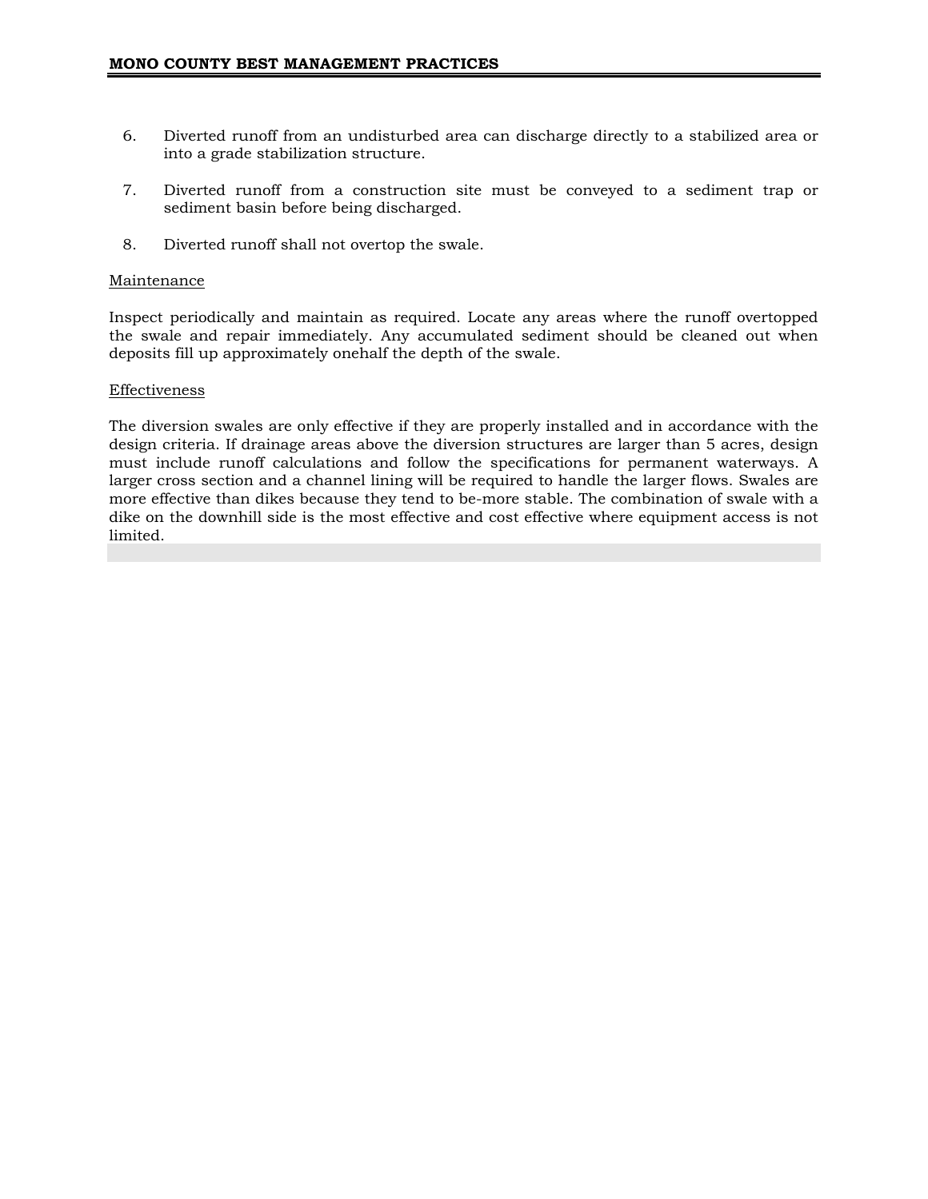- 6. Diverted runoff from an undisturbed area can discharge directly to a stabilized area or into a grade stabilization structure.
- 7. Diverted runoff from a construction site must be conveyed to a sediment trap or sediment basin before being discharged.
- 8. Diverted runoff shall not overtop the swale.

#### **Maintenance**

Inspect periodically and maintain as required. Locate any areas where the runoff overtopped the swale and repair immediately. Any accumulated sediment should be cleaned out when deposits fill up approximately onehalf the depth of the swale.

#### **Effectiveness**

The diversion swales are only effective if they are properly installed and in accordance with the design criteria. If drainage areas above the diversion structures are larger than 5 acres, design must include runoff calculations and follow the specifications for permanent waterways. A larger cross section and a channel lining will be required to handle the larger flows. Swales are more effective than dikes because they tend to be-more stable. The combination of swale with a dike on the downhill side is the most effective and cost effective where equipment access is not limited.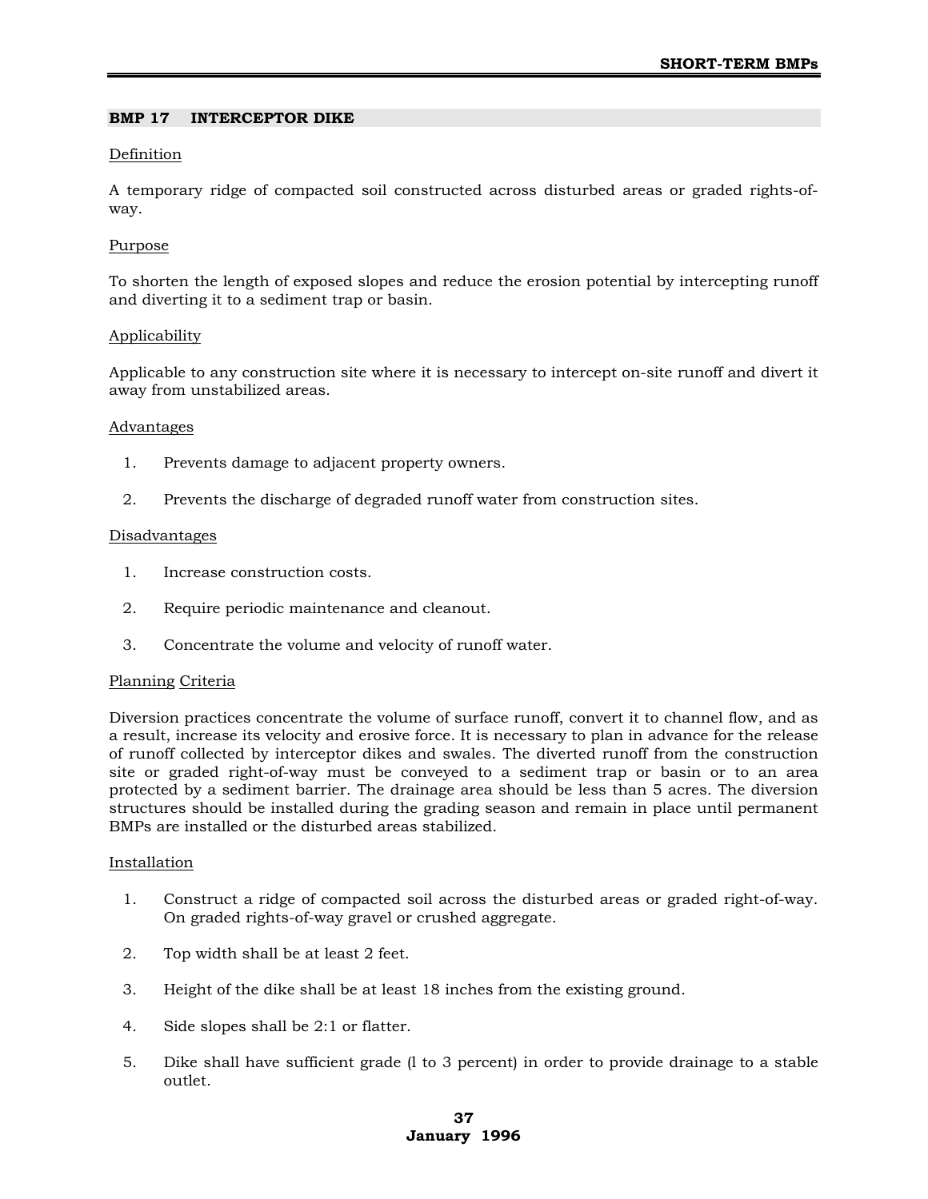## **BMP 17 INTERCEPTOR DIKE**

## Definition

A temporary ridge of compacted soil constructed across disturbed areas or graded rights-ofway.

## Purpose

To shorten the length of exposed slopes and reduce the erosion potential by intercepting runoff and diverting it to a sediment trap or basin.

## Applicability

Applicable to any construction site where it is necessary to intercept on-site runoff and divert it away from unstabilized areas.

## Advantages

- 1. Prevents damage to adjacent property owners.
- 2. Prevents the discharge of degraded runoff water from construction sites.

## Disadvantages

- 1. Increase construction costs.
- 2. Require periodic maintenance and cleanout.
- 3. Concentrate the volume and velocity of runoff water.

## Planning Criteria

Diversion practices concentrate the volume of surface runoff, convert it to channel flow, and as a result, increase its velocity and erosive force. It is necessary to plan in advance for the release of runoff collected by interceptor dikes and swales. The diverted runoff from the construction site or graded right-of-way must be conveyed to a sediment trap or basin or to an area protected by a sediment barrier. The drainage area should be less than 5 acres. The diversion structures should be installed during the grading season and remain in place until permanent BMPs are installed or the disturbed areas stabilized.

## Installation

- 1. Construct a ridge of compacted soil across the disturbed areas or graded right-of-way. On graded rights-of-way gravel or crushed aggregate.
- 2. Top width shall be at least 2 feet.
- 3. Height of the dike shall be at least 18 inches from the existing ground.
- 4. Side slopes shall be 2:1 or flatter.
- 5. Dike shall have sufficient grade (l to 3 percent) in order to provide drainage to a stable outlet.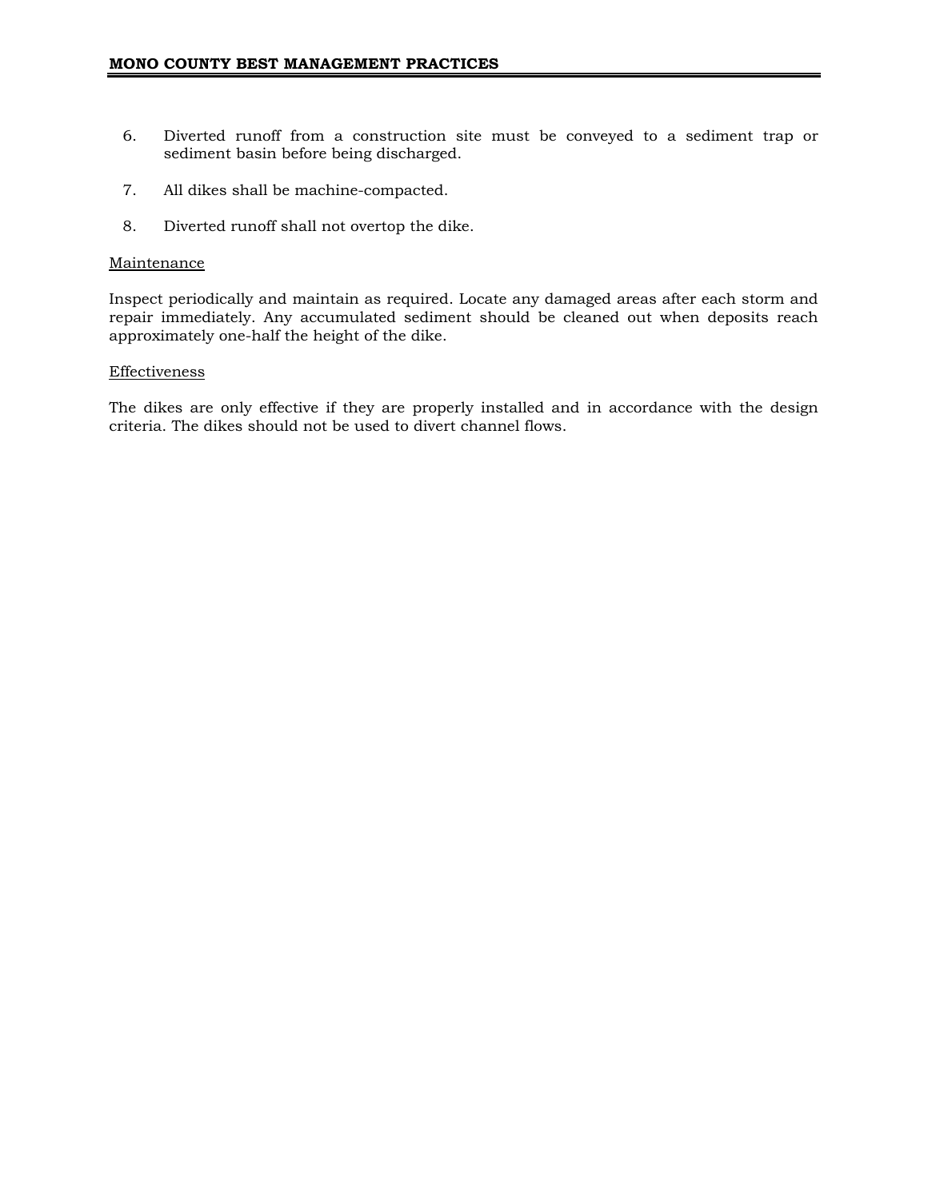- 6. Diverted runoff from a construction site must be conveyed to a sediment trap or sediment basin before being discharged.
- 7. All dikes shall be machine-compacted.
- 8. Diverted runoff shall not overtop the dike.

#### Maintenance

Inspect periodically and maintain as required. Locate any damaged areas after each storm and repair immediately. Any accumulated sediment should be cleaned out when deposits reach approximately one-half the height of the dike.

#### Effectiveness

The dikes are only effective if they are properly installed and in accordance with the design criteria. The dikes should not be used to divert channel flows.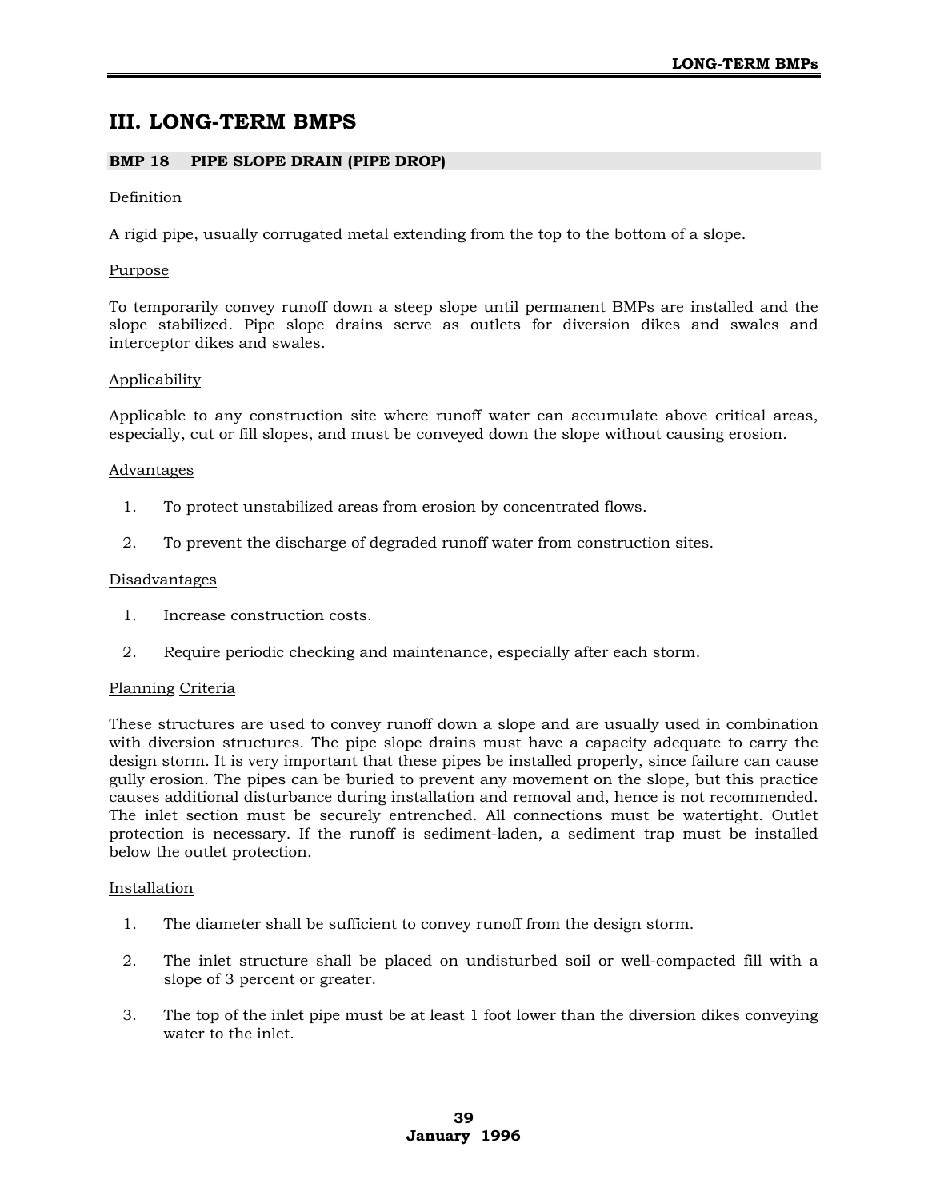# **III. LONG-TERM BMPS**

## **BMP 18 PIPE SLOPE DRAIN (PIPE DROP)**

## Definition

A rigid pipe, usually corrugated metal extending from the top to the bottom of a slope.

## Purpose

To temporarily convey runoff down a steep slope until permanent BMPs are installed and the slope stabilized. Pipe slope drains serve as outlets for diversion dikes and swales and interceptor dikes and swales.

## Applicability

Applicable to any construction site where runoff water can accumulate above critical areas, especially, cut or fill slopes, and must be conveyed down the slope without causing erosion.

## Advantages

- 1. To protect unstabilized areas from erosion by concentrated flows.
- 2. To prevent the discharge of degraded runoff water from construction sites.

## Disadvantages

- 1. Increase construction costs.
- 2. Require periodic checking and maintenance, especially after each storm.

## Planning Criteria

These structures are used to convey runoff down a slope and are usually used in combination with diversion structures. The pipe slope drains must have a capacity adequate to carry the design storm. It is very important that these pipes be installed properly, since failure can cause gully erosion. The pipes can be buried to prevent any movement on the slope, but this practice causes additional disturbance during installation and removal and, hence is not recommended. The inlet section must be securely entrenched. All connections must be watertight. Outlet protection is necessary. If the runoff is sediment-laden, a sediment trap must be installed below the outlet protection.

## Installation

- 1. The diameter shall be sufficient to convey runoff from the design storm.
- 2. The inlet structure shall be placed on undisturbed soil or well-compacted fill with a slope of 3 percent or greater.
- 3. The top of the inlet pipe must be at least 1 foot lower than the diversion dikes conveying water to the inlet.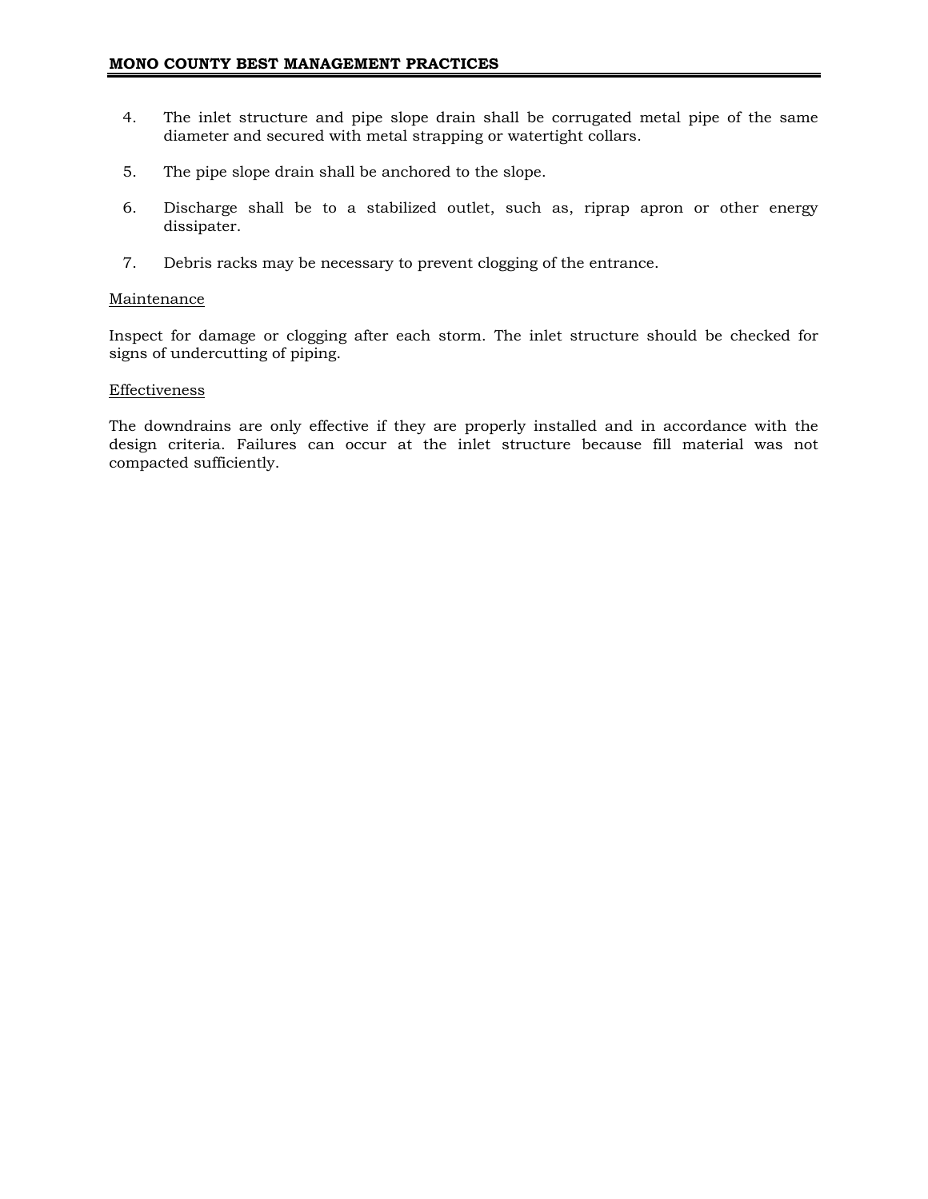- 4. The inlet structure and pipe slope drain shall be corrugated metal pipe of the same diameter and secured with metal strapping or watertight collars.
- 5. The pipe slope drain shall be anchored to the slope.
- 6. Discharge shall be to a stabilized outlet, such as, riprap apron or other energy dissipater.
- 7. Debris racks may be necessary to prevent clogging of the entrance.

#### Maintenance

Inspect for damage or clogging after each storm. The inlet structure should be checked for signs of undercutting of piping.

#### **Effectiveness**

The downdrains are only effective if they are properly installed and in accordance with the design criteria. Failures can occur at the inlet structure because fill material was not compacted sufficiently.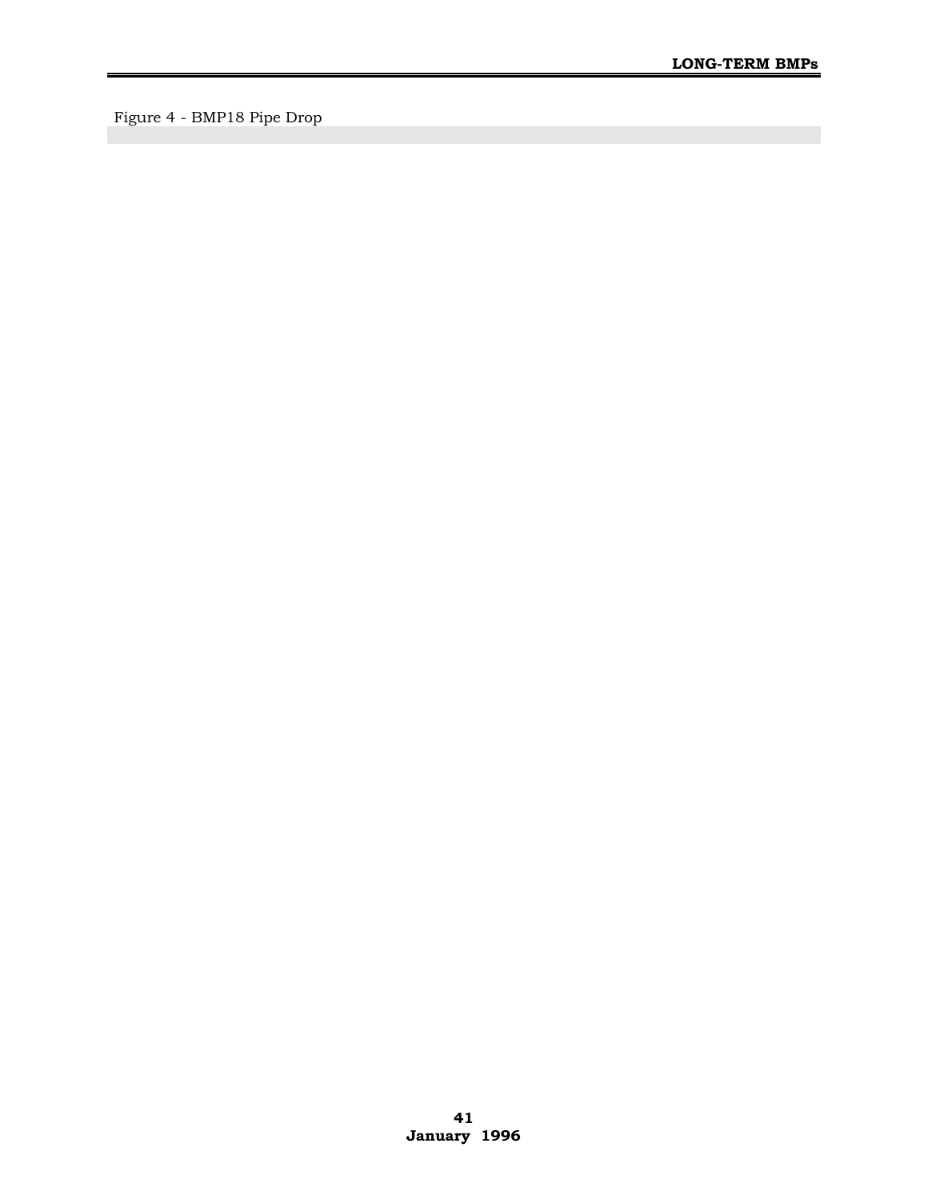Figure 4 - BMP18 Pipe Drop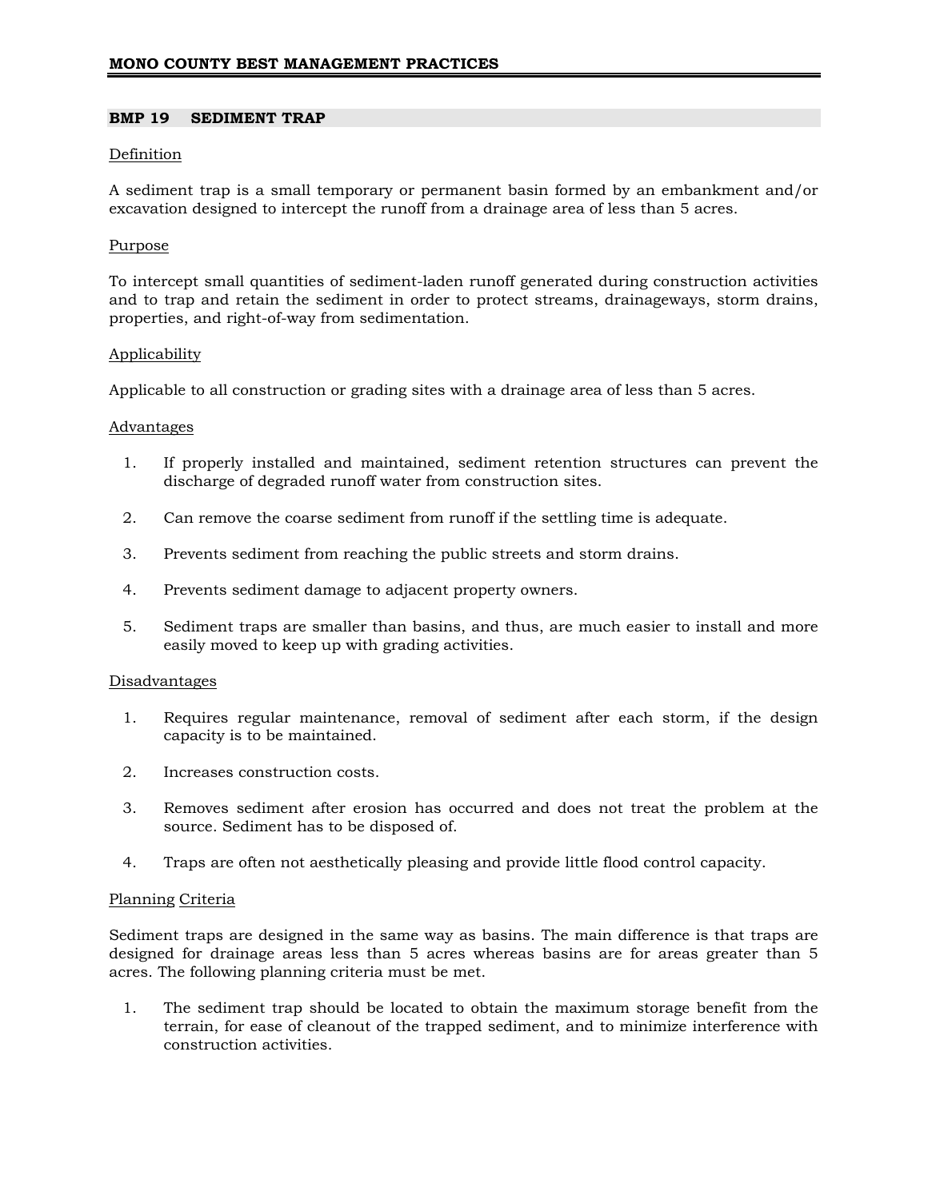## **BMP 19 SEDIMENT TRAP**

#### Definition

A sediment trap is a small temporary or permanent basin formed by an embankment and/or excavation designed to intercept the runoff from a drainage area of less than 5 acres.

#### Purpose

To intercept small quantities of sediment-laden runoff generated during construction activities and to trap and retain the sediment in order to protect streams, drainageways, storm drains, properties, and right-of-way from sedimentation.

## Applicability

Applicable to all construction or grading sites with a drainage area of less than 5 acres.

#### Advantages

- 1. If properly installed and maintained, sediment retention structures can prevent the discharge of degraded runoff water from construction sites.
- 2. Can remove the coarse sediment from runoff if the settling time is adequate.
- 3. Prevents sediment from reaching the public streets and storm drains.
- 4. Prevents sediment damage to adjacent property owners.
- 5. Sediment traps are smaller than basins, and thus, are much easier to install and more easily moved to keep up with grading activities.

## Disadvantages

- 1. Requires regular maintenance, removal of sediment after each storm, if the design capacity is to be maintained.
- 2. Increases construction costs.
- 3. Removes sediment after erosion has occurred and does not treat the problem at the source. Sediment has to be disposed of.
- 4. Traps are often not aesthetically pleasing and provide little flood control capacity.

## Planning Criteria

Sediment traps are designed in the same way as basins. The main difference is that traps are designed for drainage areas less than 5 acres whereas basins are for areas greater than 5 acres. The following planning criteria must be met.

1. The sediment trap should be located to obtain the maximum storage benefit from the terrain, for ease of cleanout of the trapped sediment, and to minimize interference with construction activities.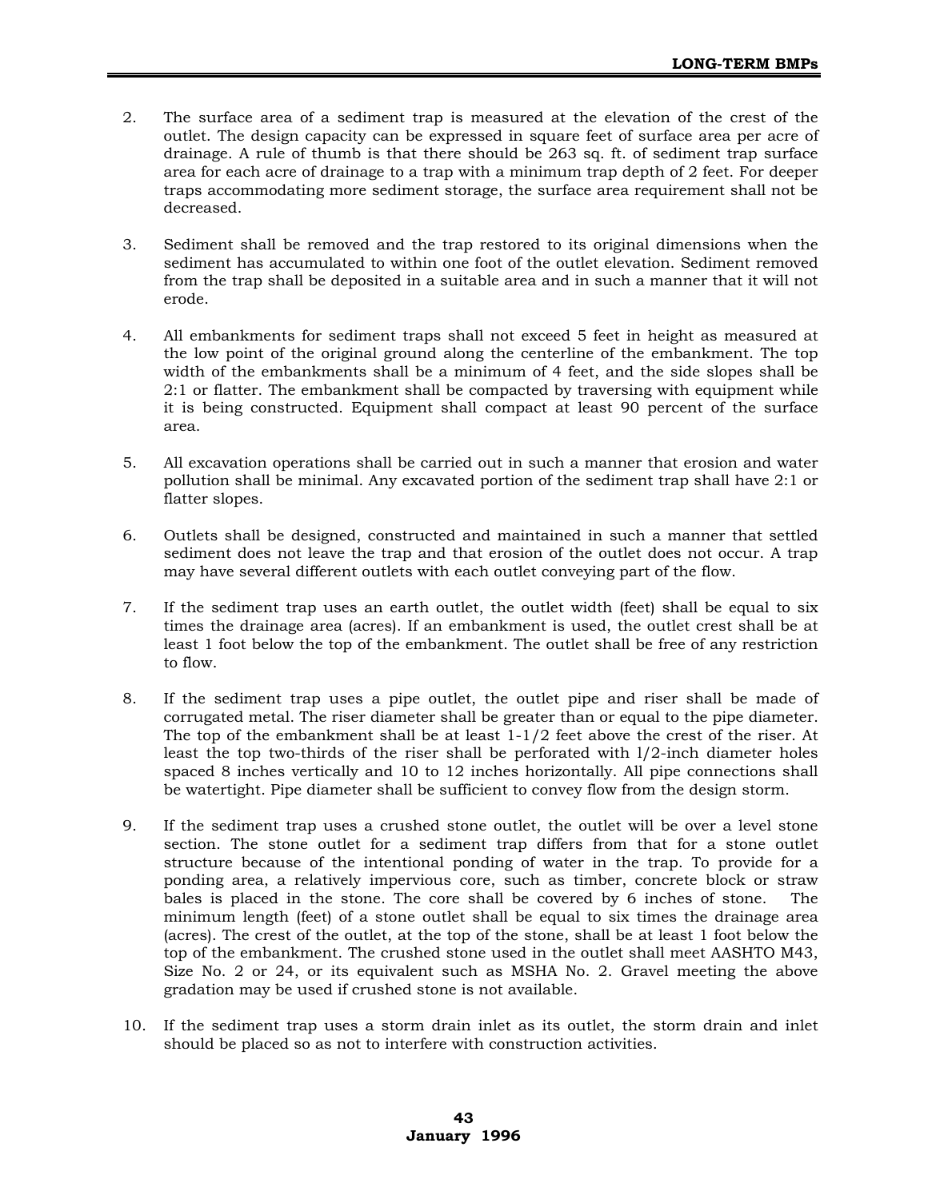- 2. The surface area of a sediment trap is measured at the elevation of the crest of the outlet. The design capacity can be expressed in square feet of surface area per acre of drainage. A rule of thumb is that there should be 263 sq. ft. of sediment trap surface area for each acre of drainage to a trap with a minimum trap depth of 2 feet. For deeper traps accommodating more sediment storage, the surface area requirement shall not be decreased.
- 3. Sediment shall be removed and the trap restored to its original dimensions when the sediment has accumulated to within one foot of the outlet elevation. Sediment removed from the trap shall be deposited in a suitable area and in such a manner that it will not erode.
- 4. All embankments for sediment traps shall not exceed 5 feet in height as measured at the low point of the original ground along the centerline of the embankment. The top width of the embankments shall be a minimum of 4 feet, and the side slopes shall be 2:1 or flatter. The embankment shall be compacted by traversing with equipment while it is being constructed. Equipment shall compact at least 90 percent of the surface area.
- 5. All excavation operations shall be carried out in such a manner that erosion and water pollution shall be minimal. Any excavated portion of the sediment trap shall have 2:1 or flatter slopes.
- 6. Outlets shall be designed, constructed and maintained in such a manner that settled sediment does not leave the trap and that erosion of the outlet does not occur. A trap may have several different outlets with each outlet conveying part of the flow.
- 7. If the sediment trap uses an earth outlet, the outlet width (feet) shall be equal to six times the drainage area (acres). If an embankment is used, the outlet crest shall be at least 1 foot below the top of the embankment. The outlet shall be free of any restriction to flow.
- 8. If the sediment trap uses a pipe outlet, the outlet pipe and riser shall be made of corrugated metal. The riser diameter shall be greater than or equal to the pipe diameter. The top of the embankment shall be at least  $1-1/2$  feet above the crest of the riser. At least the top two-thirds of the riser shall be perforated with l/2-inch diameter holes spaced 8 inches vertically and 10 to 12 inches horizontally. All pipe connections shall be watertight. Pipe diameter shall be sufficient to convey flow from the design storm.
- 9. If the sediment trap uses a crushed stone outlet, the outlet will be over a level stone section. The stone outlet for a sediment trap differs from that for a stone outlet structure because of the intentional ponding of water in the trap. To provide for a ponding area, a relatively impervious core, such as timber, concrete block or straw bales is placed in the stone. The core shall be covered by 6 inches of stone. The minimum length (feet) of a stone outlet shall be equal to six times the drainage area (acres). The crest of the outlet, at the top of the stone, shall be at least 1 foot below the top of the embankment. The crushed stone used in the outlet shall meet AASHTO M43, Size No. 2 or 24, or its equivalent such as MSHA No. 2. Gravel meeting the above gradation may be used if crushed stone is not available.
- 10. If the sediment trap uses a storm drain inlet as its outlet, the storm drain and inlet should be placed so as not to interfere with construction activities.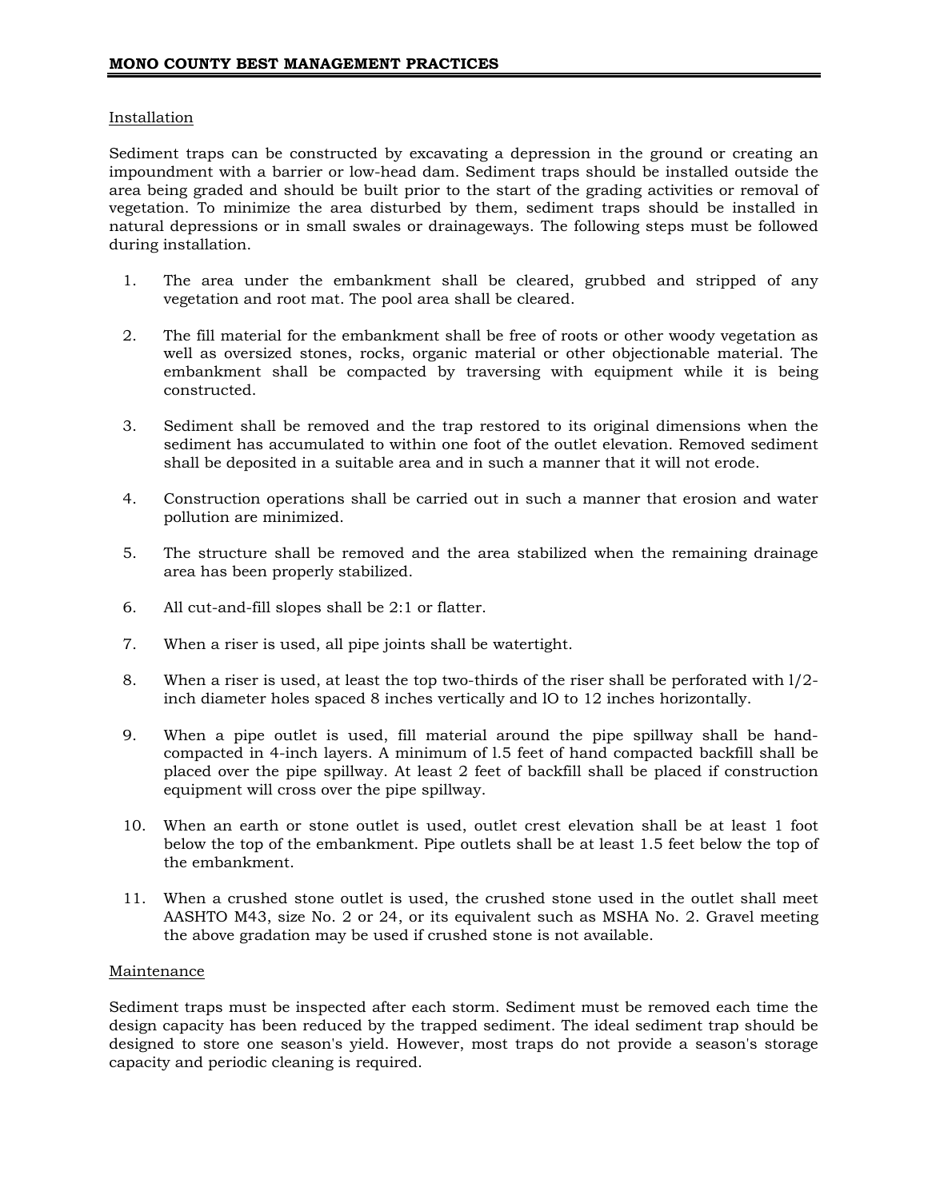#### Installation

Sediment traps can be constructed by excavating a depression in the ground or creating an impoundment with a barrier or low-head dam. Sediment traps should be installed outside the area being graded and should be built prior to the start of the grading activities or removal of vegetation. To minimize the area disturbed by them, sediment traps should be installed in natural depressions or in small swales or drainageways. The following steps must be followed during installation.

- 1. The area under the embankment shall be cleared, grubbed and stripped of any vegetation and root mat. The pool area shall be cleared.
- 2. The fill material for the embankment shall be free of roots or other woody vegetation as well as oversized stones, rocks, organic material or other objectionable material. The embankment shall be compacted by traversing with equipment while it is being constructed.
- 3. Sediment shall be removed and the trap restored to its original dimensions when the sediment has accumulated to within one foot of the outlet elevation. Removed sediment shall be deposited in a suitable area and in such a manner that it will not erode.
- 4. Construction operations shall be carried out in such a manner that erosion and water pollution are minimized.
- 5. The structure shall be removed and the area stabilized when the remaining drainage area has been properly stabilized.
- 6. All cut-and-fill slopes shall be 2:1 or flatter.
- 7. When a riser is used, all pipe joints shall be watertight.
- 8. When a riser is used, at least the top two-thirds of the riser shall be perforated with l/2 inch diameter holes spaced 8 inches vertically and lO to 12 inches horizontally.
- 9. When a pipe outlet is used, fill material around the pipe spillway shall be handcompacted in 4-inch layers. A minimum of l.5 feet of hand compacted backfill shall be placed over the pipe spillway. At least 2 feet of backfill shall be placed if construction equipment will cross over the pipe spillway.
- 10. When an earth or stone outlet is used, outlet crest elevation shall be at least 1 foot below the top of the embankment. Pipe outlets shall be at least 1.5 feet below the top of the embankment.
- 11. When a crushed stone outlet is used, the crushed stone used in the outlet shall meet AASHTO M43, size No. 2 or 24, or its equivalent such as MSHA No. 2. Gravel meeting the above gradation may be used if crushed stone is not available.

## Maintenance

Sediment traps must be inspected after each storm. Sediment must be removed each time the design capacity has been reduced by the trapped sediment. The ideal sediment trap should be designed to store one season's yield. However, most traps do not provide a season's storage capacity and periodic cleaning is required.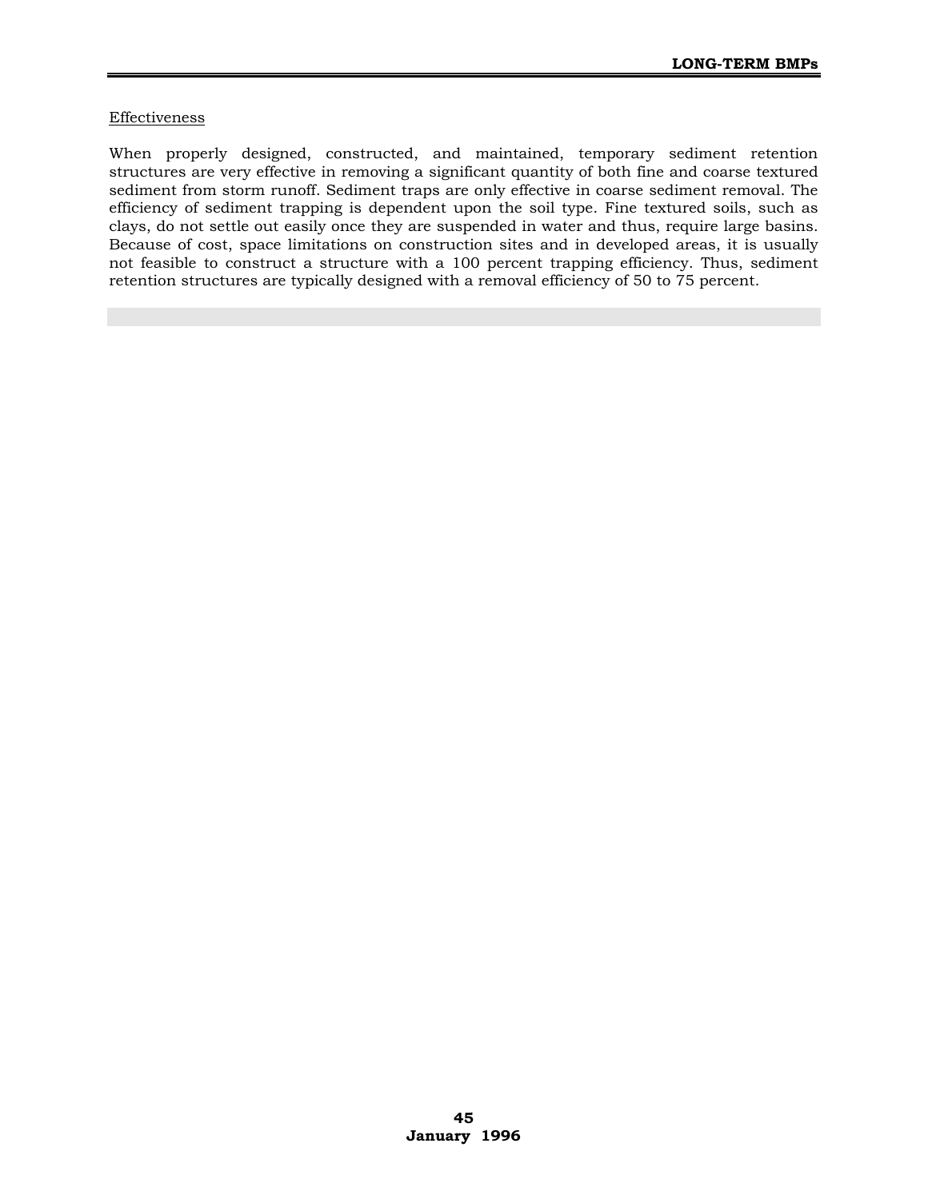## **Effectiveness**

When properly designed, constructed, and maintained, temporary sediment retention structures are very effective in removing a significant quantity of both fine and coarse textured sediment from storm runoff. Sediment traps are only effective in coarse sediment removal. The efficiency of sediment trapping is dependent upon the soil type. Fine textured soils, such as clays, do not settle out easily once they are suspended in water and thus, require large basins. Because of cost, space limitations on construction sites and in developed areas, it is usually not feasible to construct a structure with a 100 percent trapping efficiency. Thus, sediment retention structures are typically designed with a removal efficiency of 50 to 75 percent.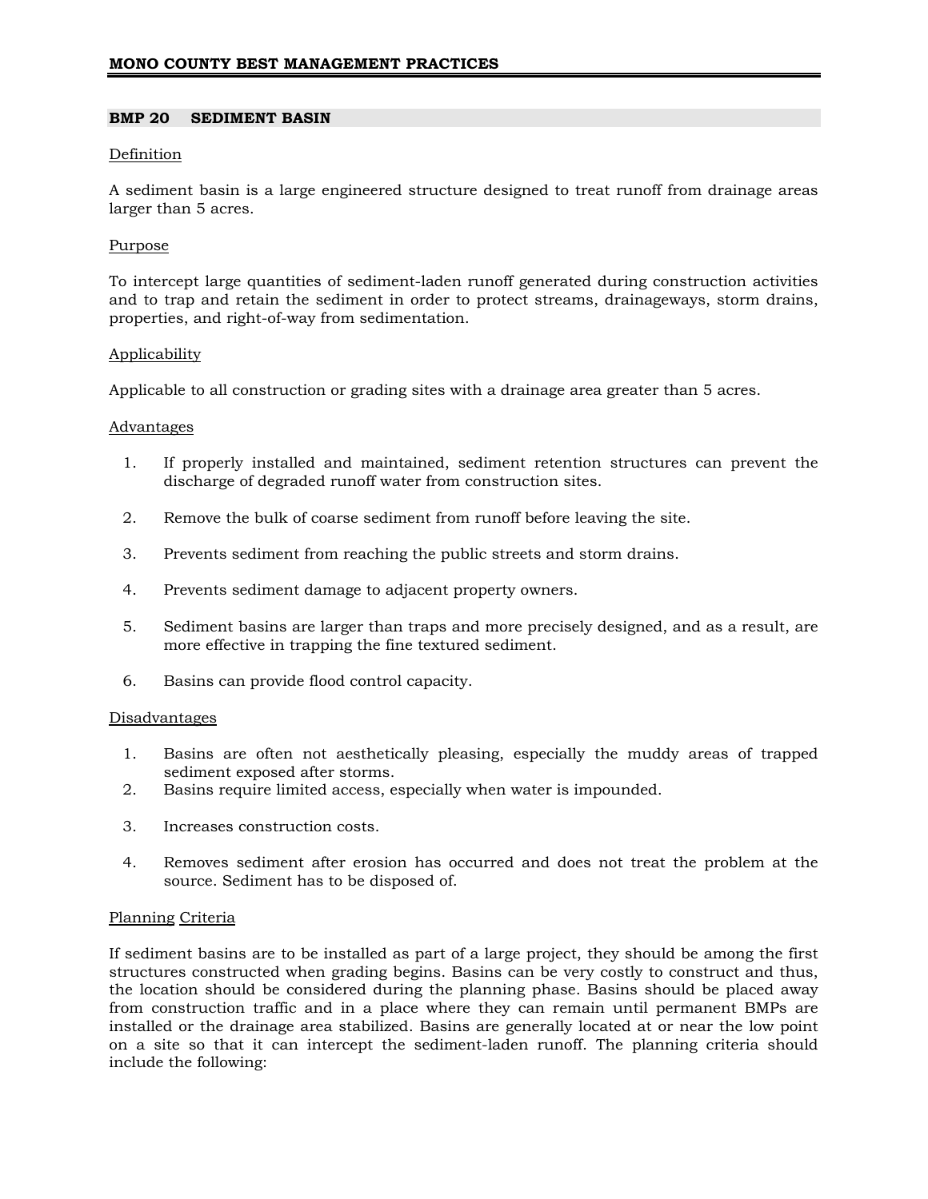## **BMP 20 SEDIMENT BASIN**

#### Definition

A sediment basin is a large engineered structure designed to treat runoff from drainage areas larger than 5 acres.

#### Purpose

To intercept large quantities of sediment-laden runoff generated during construction activities and to trap and retain the sediment in order to protect streams, drainageways, storm drains, properties, and right-of-way from sedimentation.

#### Applicability

Applicable to all construction or grading sites with a drainage area greater than 5 acres.

#### Advantages

- 1. If properly installed and maintained, sediment retention structures can prevent the discharge of degraded runoff water from construction sites.
- 2. Remove the bulk of coarse sediment from runoff before leaving the site.
- 3. Prevents sediment from reaching the public streets and storm drains.
- 4. Prevents sediment damage to adjacent property owners.
- 5. Sediment basins are larger than traps and more precisely designed, and as a result, are more effective in trapping the fine textured sediment.
- 6. Basins can provide flood control capacity.

#### Disadvantages

- 1. Basins are often not aesthetically pleasing, especially the muddy areas of trapped sediment exposed after storms.
- 2. Basins require limited access, especially when water is impounded.
- 3. Increases construction costs.
- 4. Removes sediment after erosion has occurred and does not treat the problem at the source. Sediment has to be disposed of.

## Planning Criteria

If sediment basins are to be installed as part of a large project, they should be among the first structures constructed when grading begins. Basins can be very costly to construct and thus, the location should be considered during the planning phase. Basins should be placed away from construction traffic and in a place where they can remain until permanent BMPs are installed or the drainage area stabilized. Basins are generally located at or near the low point on a site so that it can intercept the sediment-laden runoff. The planning criteria should include the following: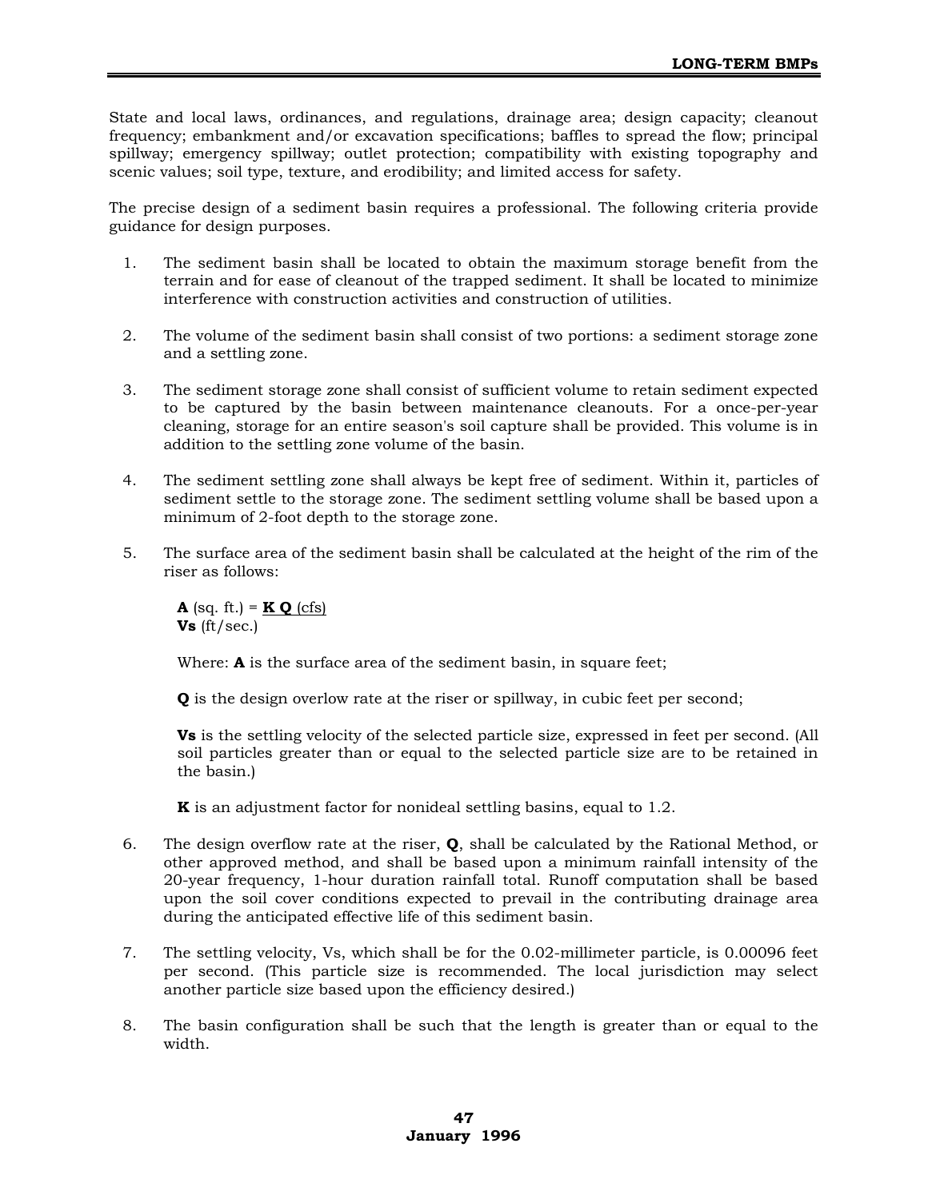State and local laws, ordinances, and regulations, drainage area; design capacity; cleanout frequency; embankment and/or excavation specifications; baffles to spread the flow; principal spillway; emergency spillway; outlet protection; compatibility with existing topography and scenic values; soil type, texture, and erodibility; and limited access for safety.

The precise design of a sediment basin requires a professional. The following criteria provide guidance for design purposes.

- 1. The sediment basin shall be located to obtain the maximum storage benefit from the terrain and for ease of cleanout of the trapped sediment. It shall be located to minimize interference with construction activities and construction of utilities.
- 2. The volume of the sediment basin shall consist of two portions: a sediment storage zone and a settling zone.
- 3. The sediment storage zone shall consist of sufficient volume to retain sediment expected to be captured by the basin between maintenance cleanouts. For a once-per-year cleaning, storage for an entire season's soil capture shall be provided. This volume is in addition to the settling zone volume of the basin.
- 4. The sediment settling zone shall always be kept free of sediment. Within it, particles of sediment settle to the storage zone. The sediment settling volume shall be based upon a minimum of 2-foot depth to the storage zone.
- 5. The surface area of the sediment basin shall be calculated at the height of the rim of the riser as follows:

 $\mathbf{A}$  (sq. ft.) =  $\mathbf{K} \mathbf{Q}$  (cfs) **Vs** (ft/sec.)

Where: **A** is the surface area of the sediment basin, in square feet;

**Q** is the design overlow rate at the riser or spillway, in cubic feet per second;

**Vs** is the settling velocity of the selected particle size, expressed in feet per second. (All soil particles greater than or equal to the selected particle size are to be retained in the basin.)

**K** is an adjustment factor for nonideal settling basins, equal to 1.2.

- 6. The design overflow rate at the riser, **Q**, shall be calculated by the Rational Method, or other approved method, and shall be based upon a minimum rainfall intensity of the 20-year frequency, 1-hour duration rainfall total. Runoff computation shall be based upon the soil cover conditions expected to prevail in the contributing drainage area during the anticipated effective life of this sediment basin.
- 7. The settling velocity, Vs, which shall be for the 0.02-millimeter particle, is 0.00096 feet per second. (This particle size is recommended. The local jurisdiction may select another particle size based upon the efficiency desired.)
- 8. The basin configuration shall be such that the length is greater than or equal to the width.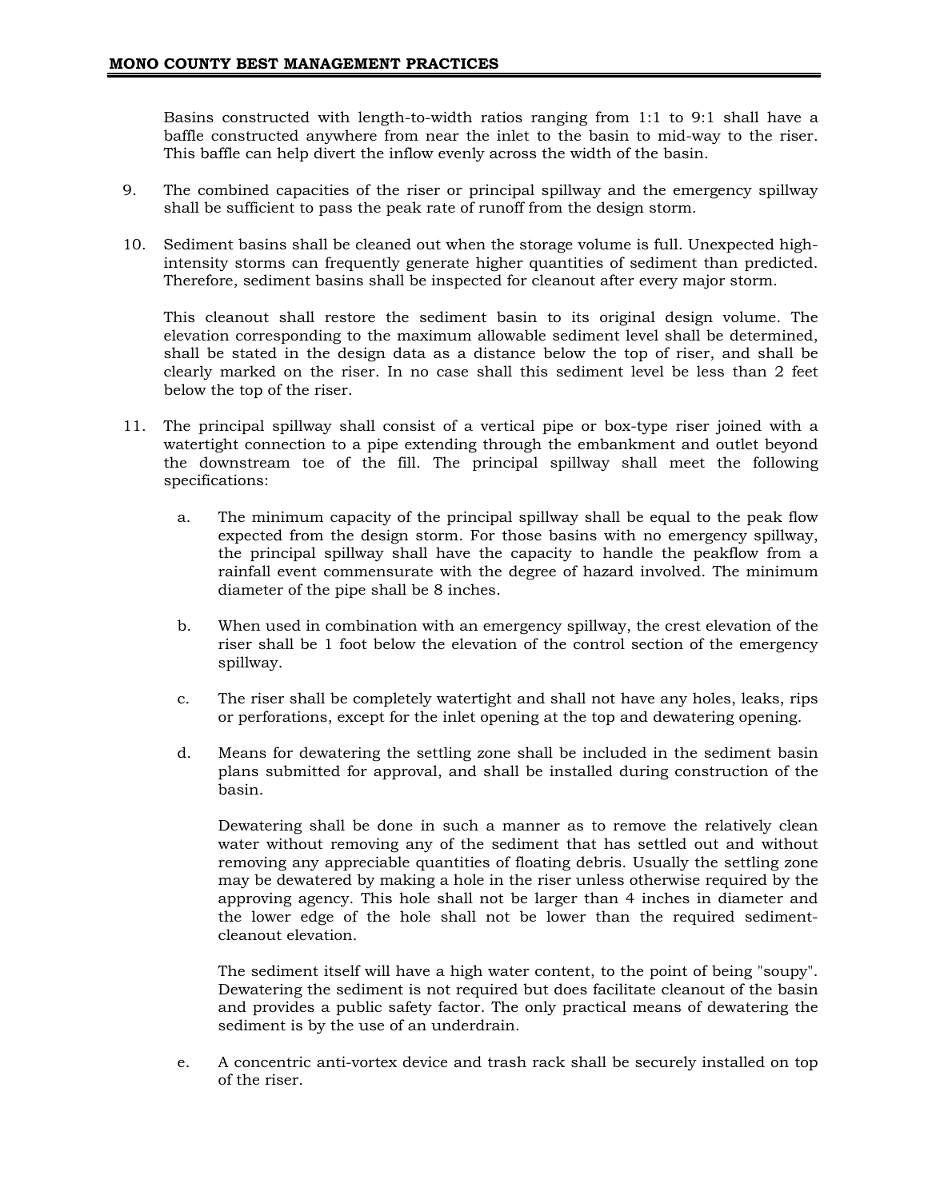Basins constructed with length-to-width ratios ranging from 1:1 to 9:1 shall have a baffle constructed anywhere from near the inlet to the basin to mid-way to the riser. This baffle can help divert the inflow evenly across the width of the basin.

- 9. The combined capacities of the riser or principal spillway and the emergency spillway shall be sufficient to pass the peak rate of runoff from the design storm.
- 10. Sediment basins shall be cleaned out when the storage volume is full. Unexpected highintensity storms can frequently generate higher quantities of sediment than predicted. Therefore, sediment basins shall be inspected for cleanout after every major storm.

 This cleanout shall restore the sediment basin to its original design volume. The elevation corresponding to the maximum allowable sediment level shall be determined, shall be stated in the design data as a distance below the top of riser, and shall be clearly marked on the riser. In no case shall this sediment level be less than 2 feet below the top of the riser.

- 11. The principal spillway shall consist of a vertical pipe or box-type riser joined with a watertight connection to a pipe extending through the embankment and outlet beyond the downstream toe of the fill. The principal spillway shall meet the following specifications:
	- a. The minimum capacity of the principal spillway shall be equal to the peak flow expected from the design storm. For those basins with no emergency spillway, the principal spillway shall have the capacity to handle the peakflow from a rainfall event commensurate with the degree of hazard involved. The minimum diameter of the pipe shall be 8 inches.
	- b. When used in combination with an emergency spillway, the crest elevation of the riser shall be 1 foot below the elevation of the control section of the emergency spillway.
	- c. The riser shall be completely watertight and shall not have any holes, leaks, rips or perforations, except for the inlet opening at the top and dewatering opening.
	- d. Means for dewatering the settling zone shall be included in the sediment basin plans submitted for approval, and shall be installed during construction of the basin.

 Dewatering shall be done in such a manner as to remove the relatively clean water without removing any of the sediment that has settled out and without removing any appreciable quantities of floating debris. Usually the settling zone may be dewatered by making a hole in the riser unless otherwise required by the approving agency. This hole shall not be larger than 4 inches in diameter and the lower edge of the hole shall not be lower than the required sedimentcleanout elevation.

 The sediment itself will have a high water content, to the point of being "soupy". Dewatering the sediment is not required but does facilitate cleanout of the basin and provides a public safety factor. The only practical means of dewatering the sediment is by the use of an underdrain.

e. A concentric anti-vortex device and trash rack shall be securely installed on top of the riser.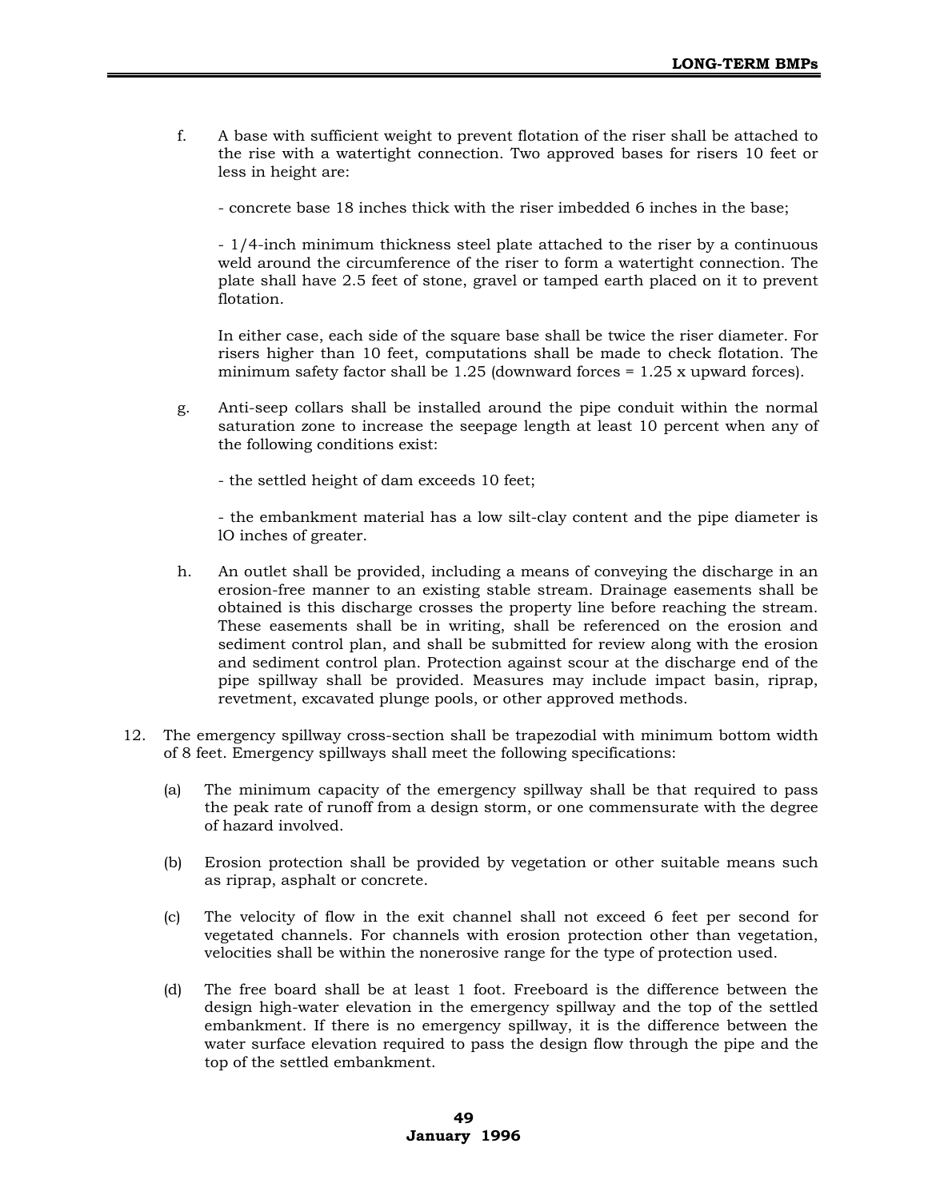f. A base with sufficient weight to prevent flotation of the riser shall be attached to the rise with a watertight connection. Two approved bases for risers 10 feet or less in height are:

- concrete base 18 inches thick with the riser imbedded 6 inches in the base;

 - 1/4-inch minimum thickness steel plate attached to the riser by a continuous weld around the circumference of the riser to form a watertight connection. The plate shall have 2.5 feet of stone, gravel or tamped earth placed on it to prevent flotation.

 In either case, each side of the square base shall be twice the riser diameter. For risers higher than 10 feet, computations shall be made to check flotation. The minimum safety factor shall be 1.25 (downward forces = 1.25 x upward forces).

- g. Anti-seep collars shall be installed around the pipe conduit within the normal saturation zone to increase the seepage length at least 10 percent when any of the following conditions exist:
	- the settled height of dam exceeds 10 feet;

 - the embankment material has a low silt-clay content and the pipe diameter is lO inches of greater.

- h. An outlet shall be provided, including a means of conveying the discharge in an erosion-free manner to an existing stable stream. Drainage easements shall be obtained is this discharge crosses the property line before reaching the stream. These easements shall be in writing, shall be referenced on the erosion and sediment control plan, and shall be submitted for review along with the erosion and sediment control plan. Protection against scour at the discharge end of the pipe spillway shall be provided. Measures may include impact basin, riprap, revetment, excavated plunge pools, or other approved methods.
- 12. The emergency spillway cross-section shall be trapezodial with minimum bottom width of 8 feet. Emergency spillways shall meet the following specifications:
	- (a) The minimum capacity of the emergency spillway shall be that required to pass the peak rate of runoff from a design storm, or one commensurate with the degree of hazard involved.
	- (b) Erosion protection shall be provided by vegetation or other suitable means such as riprap, asphalt or concrete.
	- (c) The velocity of flow in the exit channel shall not exceed 6 feet per second for vegetated channels. For channels with erosion protection other than vegetation, velocities shall be within the nonerosive range for the type of protection used.
	- (d) The free board shall be at least 1 foot. Freeboard is the difference between the design high-water elevation in the emergency spillway and the top of the settled embankment. If there is no emergency spillway, it is the difference between the water surface elevation required to pass the design flow through the pipe and the top of the settled embankment.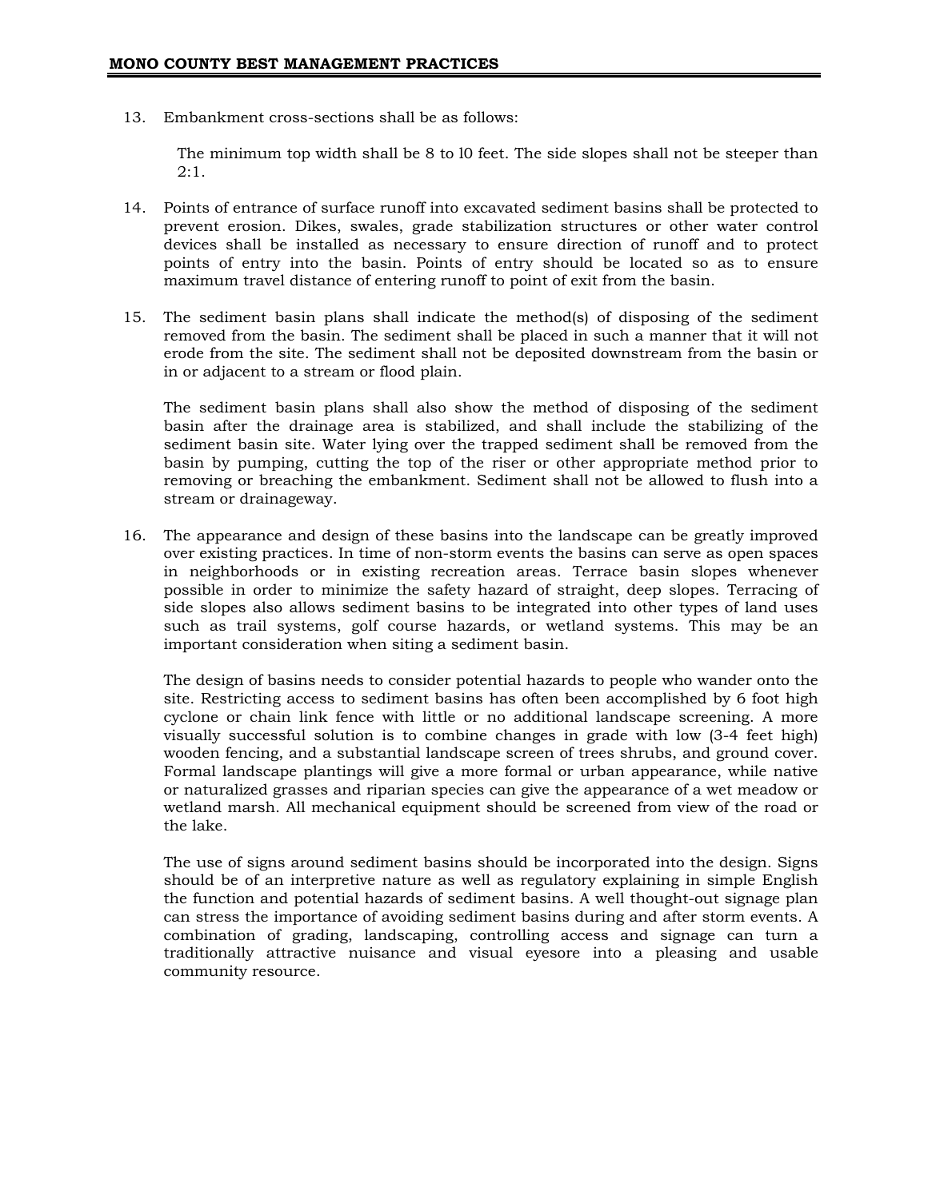13. Embankment cross-sections shall be as follows:

The minimum top width shall be 8 to l0 feet. The side slopes shall not be steeper than 2:1.

- 14. Points of entrance of surface runoff into excavated sediment basins shall be protected to prevent erosion. Dikes, swales, grade stabilization structures or other water control devices shall be installed as necessary to ensure direction of runoff and to protect points of entry into the basin. Points of entry should be located so as to ensure maximum travel distance of entering runoff to point of exit from the basin.
- 15. The sediment basin plans shall indicate the method(s) of disposing of the sediment removed from the basin. The sediment shall be placed in such a manner that it will not erode from the site. The sediment shall not be deposited downstream from the basin or in or adjacent to a stream or flood plain.

 The sediment basin plans shall also show the method of disposing of the sediment basin after the drainage area is stabilized, and shall include the stabilizing of the sediment basin site. Water lying over the trapped sediment shall be removed from the basin by pumping, cutting the top of the riser or other appropriate method prior to removing or breaching the embankment. Sediment shall not be allowed to flush into a stream or drainageway.

16. The appearance and design of these basins into the landscape can be greatly improved over existing practices. In time of non-storm events the basins can serve as open spaces in neighborhoods or in existing recreation areas. Terrace basin slopes whenever possible in order to minimize the safety hazard of straight, deep slopes. Terracing of side slopes also allows sediment basins to be integrated into other types of land uses such as trail systems, golf course hazards, or wetland systems. This may be an important consideration when siting a sediment basin.

 The design of basins needs to consider potential hazards to people who wander onto the site. Restricting access to sediment basins has often been accomplished by 6 foot high cyclone or chain link fence with little or no additional landscape screening. A more visually successful solution is to combine changes in grade with low (3-4 feet high) wooden fencing, and a substantial landscape screen of trees shrubs, and ground cover. Formal landscape plantings will give a more formal or urban appearance, while native or naturalized grasses and riparian species can give the appearance of a wet meadow or wetland marsh. All mechanical equipment should be screened from view of the road or the lake.

 The use of signs around sediment basins should be incorporated into the design. Signs should be of an interpretive nature as well as regulatory explaining in simple English the function and potential hazards of sediment basins. A well thought-out signage plan can stress the importance of avoiding sediment basins during and after storm events. A combination of grading, landscaping, controlling access and signage can turn a traditionally attractive nuisance and visual eyesore into a pleasing and usable community resource.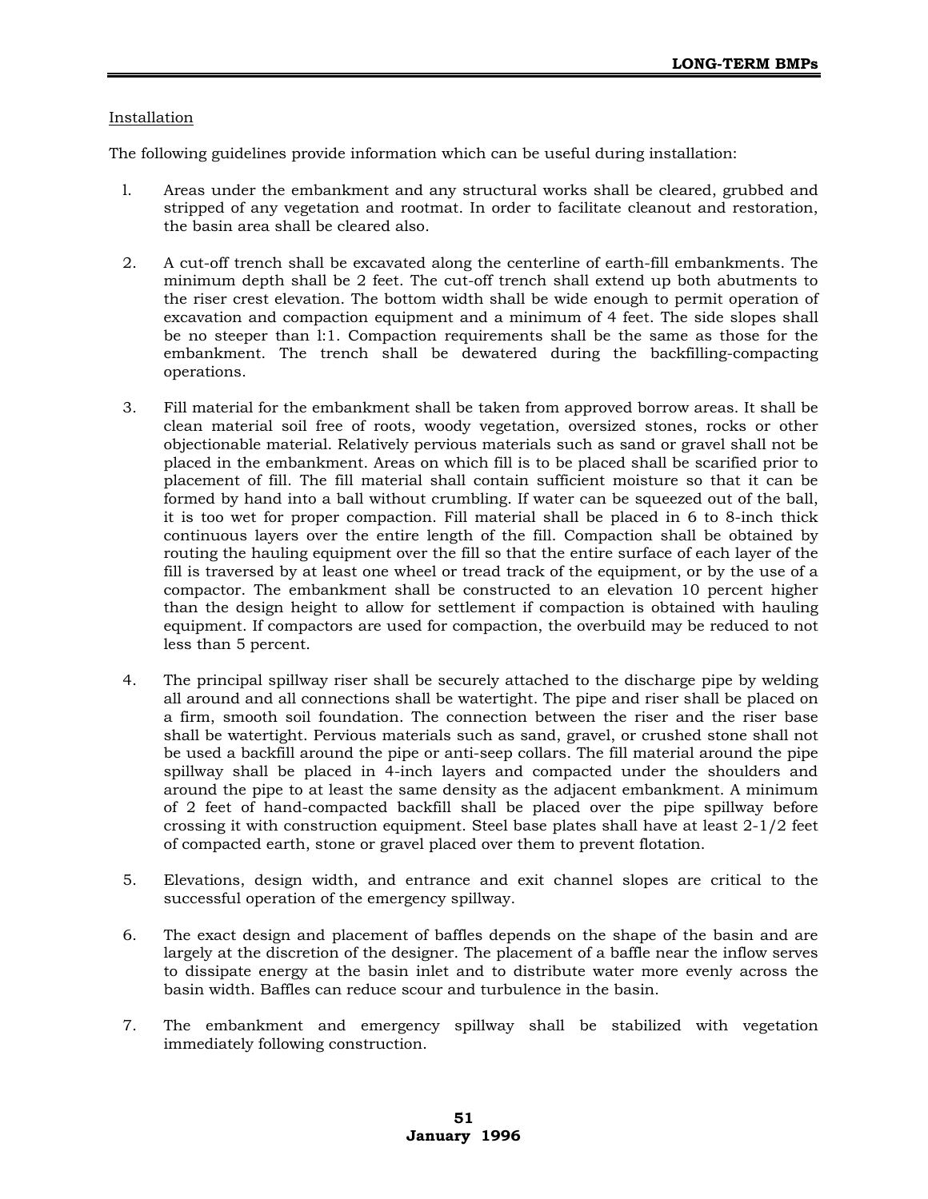## Installation

The following guidelines provide information which can be useful during installation:

- l. Areas under the embankment and any structural works shall be cleared, grubbed and stripped of any vegetation and rootmat. In order to facilitate cleanout and restoration, the basin area shall be cleared also.
- 2. A cut-off trench shall be excavated along the centerline of earth-fill embankments. The minimum depth shall be 2 feet. The cut-off trench shall extend up both abutments to the riser crest elevation. The bottom width shall be wide enough to permit operation of excavation and compaction equipment and a minimum of 4 feet. The side slopes shall be no steeper than l:1. Compaction requirements shall be the same as those for the embankment. The trench shall be dewatered during the backfilling-compacting operations.
- 3. Fill material for the embankment shall be taken from approved borrow areas. It shall be clean material soil free of roots, woody vegetation, oversized stones, rocks or other objectionable material. Relatively pervious materials such as sand or gravel shall not be placed in the embankment. Areas on which fill is to be placed shall be scarified prior to placement of fill. The fill material shall contain sufficient moisture so that it can be formed by hand into a ball without crumbling. If water can be squeezed out of the ball, it is too wet for proper compaction. Fill material shall be placed in 6 to 8-inch thick continuous layers over the entire length of the fill. Compaction shall be obtained by routing the hauling equipment over the fill so that the entire surface of each layer of the fill is traversed by at least one wheel or tread track of the equipment, or by the use of a compactor. The embankment shall be constructed to an elevation 10 percent higher than the design height to allow for settlement if compaction is obtained with hauling equipment. If compactors are used for compaction, the overbuild may be reduced to not less than 5 percent.
- 4. The principal spillway riser shall be securely attached to the discharge pipe by welding all around and all connections shall be watertight. The pipe and riser shall be placed on a firm, smooth soil foundation. The connection between the riser and the riser base shall be watertight. Pervious materials such as sand, gravel, or crushed stone shall not be used a backfill around the pipe or anti-seep collars. The fill material around the pipe spillway shall be placed in 4-inch layers and compacted under the shoulders and around the pipe to at least the same density as the adjacent embankment. A minimum of 2 feet of hand-compacted backfill shall be placed over the pipe spillway before crossing it with construction equipment. Steel base plates shall have at least 2-1/2 feet of compacted earth, stone or gravel placed over them to prevent flotation.
- 5. Elevations, design width, and entrance and exit channel slopes are critical to the successful operation of the emergency spillway.
- 6. The exact design and placement of baffles depends on the shape of the basin and are largely at the discretion of the designer. The placement of a baffle near the inflow serves to dissipate energy at the basin inlet and to distribute water more evenly across the basin width. Baffles can reduce scour and turbulence in the basin.
- 7. The embankment and emergency spillway shall be stabilized with vegetation immediately following construction.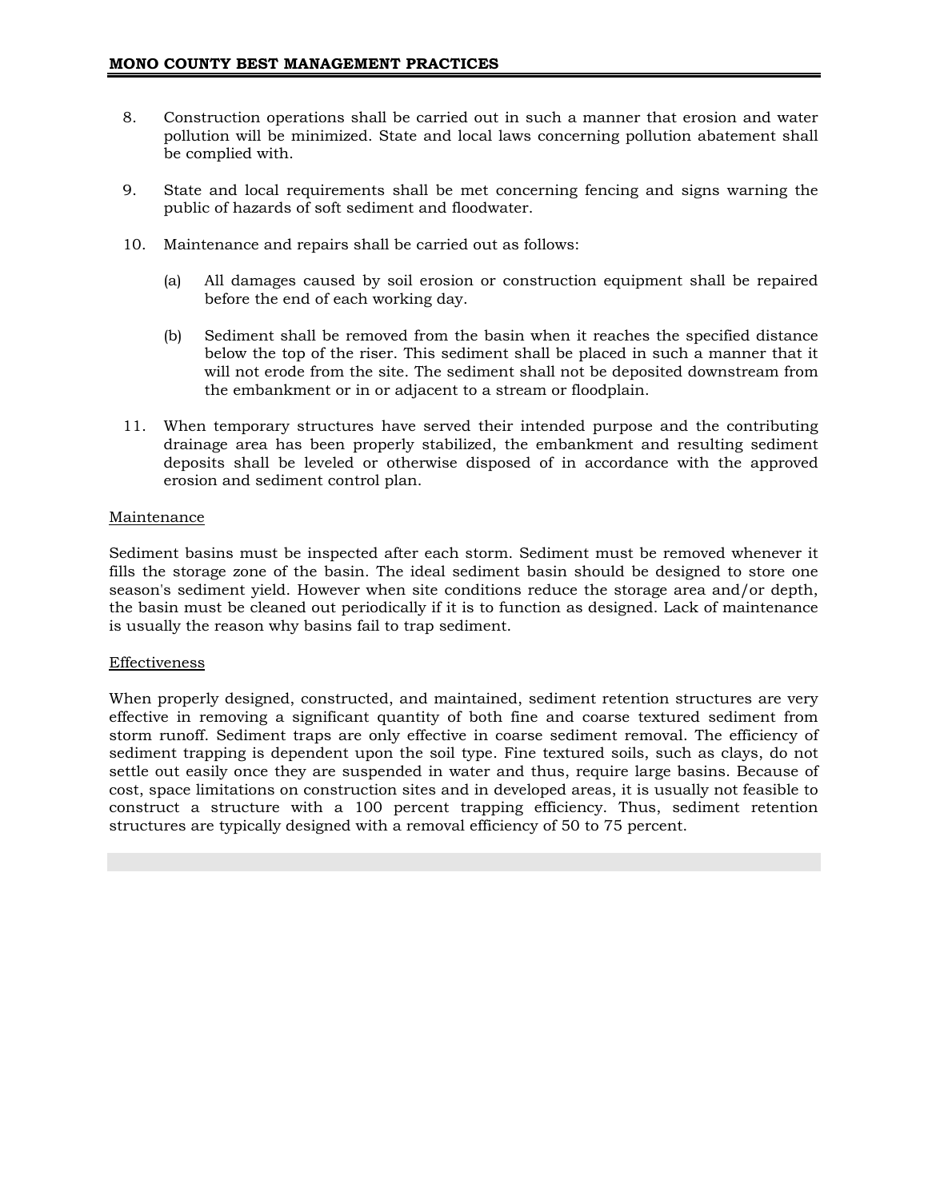- 8. Construction operations shall be carried out in such a manner that erosion and water pollution will be minimized. State and local laws concerning pollution abatement shall be complied with.
- 9. State and local requirements shall be met concerning fencing and signs warning the public of hazards of soft sediment and floodwater.
- 10. Maintenance and repairs shall be carried out as follows:
	- (a) All damages caused by soil erosion or construction equipment shall be repaired before the end of each working day.
	- (b) Sediment shall be removed from the basin when it reaches the specified distance below the top of the riser. This sediment shall be placed in such a manner that it will not erode from the site. The sediment shall not be deposited downstream from the embankment or in or adjacent to a stream or floodplain.
- 11. When temporary structures have served their intended purpose and the contributing drainage area has been properly stabilized, the embankment and resulting sediment deposits shall be leveled or otherwise disposed of in accordance with the approved erosion and sediment control plan.

## Maintenance

Sediment basins must be inspected after each storm. Sediment must be removed whenever it fills the storage zone of the basin. The ideal sediment basin should be designed to store one season's sediment yield. However when site conditions reduce the storage area and/or depth, the basin must be cleaned out periodically if it is to function as designed. Lack of maintenance is usually the reason why basins fail to trap sediment.

## Effectiveness

When properly designed, constructed, and maintained, sediment retention structures are very effective in removing a significant quantity of both fine and coarse textured sediment from storm runoff. Sediment traps are only effective in coarse sediment removal. The efficiency of sediment trapping is dependent upon the soil type. Fine textured soils, such as clays, do not settle out easily once they are suspended in water and thus, require large basins. Because of cost, space limitations on construction sites and in developed areas, it is usually not feasible to construct a structure with a 100 percent trapping efficiency. Thus, sediment retention structures are typically designed with a removal efficiency of 50 to 75 percent.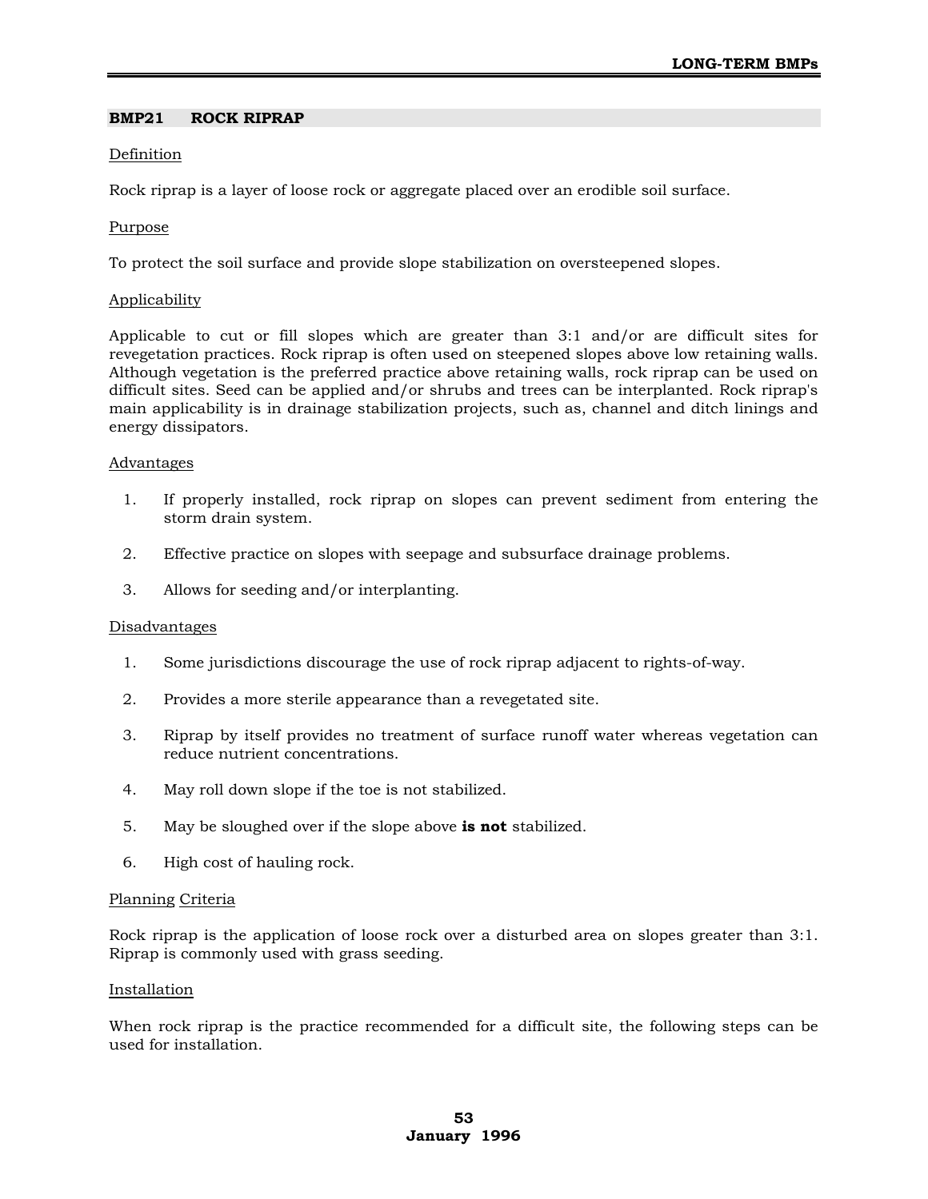## **BMP21 ROCK RIPRAP**

## Definition

Rock riprap is a layer of loose rock or aggregate placed over an erodible soil surface.

## Purpose

To protect the soil surface and provide slope stabilization on oversteepened slopes.

## Applicability

Applicable to cut or fill slopes which are greater than 3:1 and/or are difficult sites for revegetation practices. Rock riprap is often used on steepened slopes above low retaining walls. Although vegetation is the preferred practice above retaining walls, rock riprap can be used on difficult sites. Seed can be applied and/or shrubs and trees can be interplanted. Rock riprap's main applicability is in drainage stabilization projects, such as, channel and ditch linings and energy dissipators.

## Advantages

- 1. If properly installed, rock riprap on slopes can prevent sediment from entering the storm drain system.
- 2. Effective practice on slopes with seepage and subsurface drainage problems.
- 3. Allows for seeding and/or interplanting.

## Disadvantages

- 1. Some jurisdictions discourage the use of rock riprap adjacent to rights-of-way.
- 2. Provides a more sterile appearance than a revegetated site.
- 3. Riprap by itself provides no treatment of surface runoff water whereas vegetation can reduce nutrient concentrations.
- 4. May roll down slope if the toe is not stabilized.
- 5. May be sloughed over if the slope above **is not** stabilized.
- 6. High cost of hauling rock.

## Planning Criteria

Rock riprap is the application of loose rock over a disturbed area on slopes greater than 3:1. Riprap is commonly used with grass seeding.

## Installation

When rock riprap is the practice recommended for a difficult site, the following steps can be used for installation.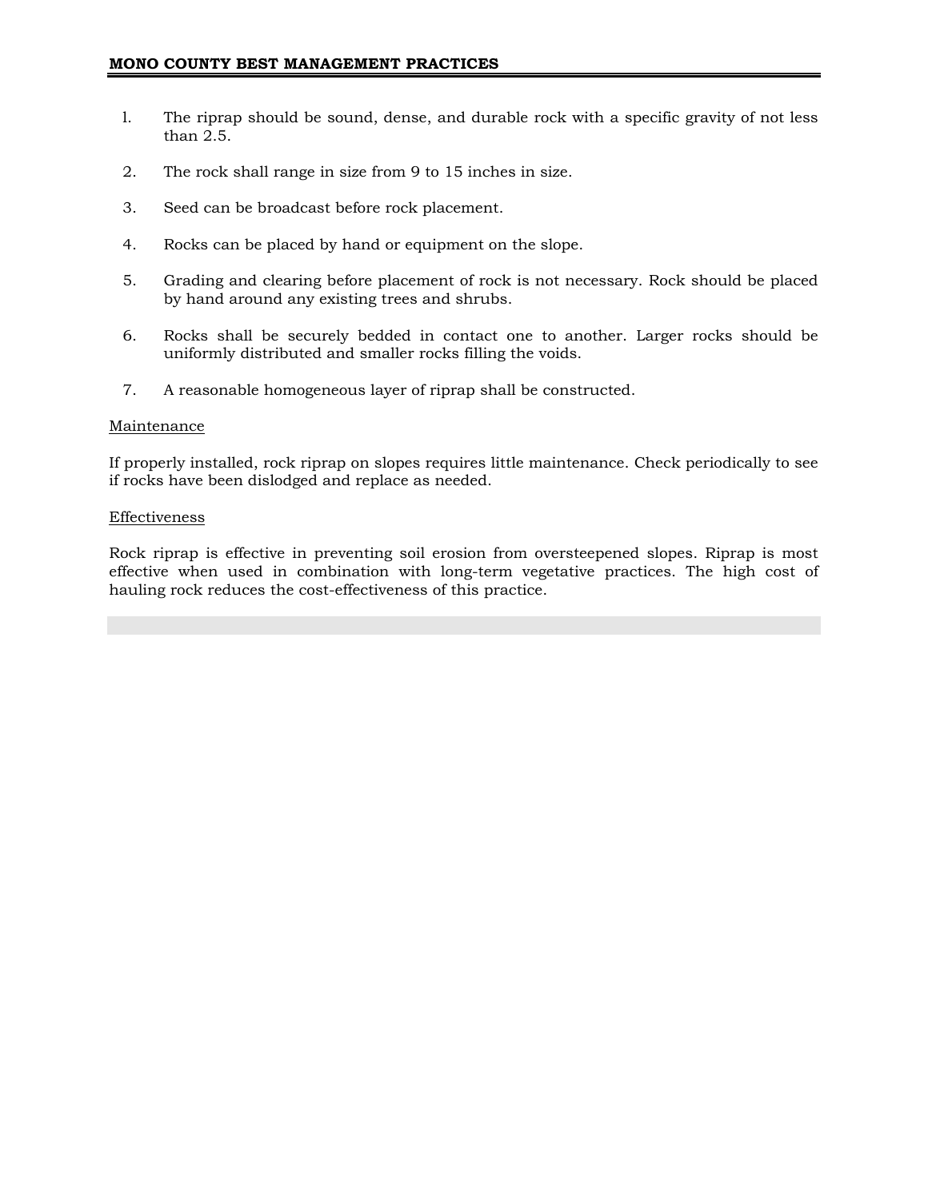- l. The riprap should be sound, dense, and durable rock with a specific gravity of not less than 2.5.
- 2. The rock shall range in size from 9 to 15 inches in size.
- 3. Seed can be broadcast before rock placement.
- 4. Rocks can be placed by hand or equipment on the slope.
- 5. Grading and clearing before placement of rock is not necessary. Rock should be placed by hand around any existing trees and shrubs.
- 6. Rocks shall be securely bedded in contact one to another. Larger rocks should be uniformly distributed and smaller rocks filling the voids.
- 7. A reasonable homogeneous layer of riprap shall be constructed.

#### Maintenance

If properly installed, rock riprap on slopes requires little maintenance. Check periodically to see if rocks have been dislodged and replace as needed.

#### **Effectiveness**

Rock riprap is effective in preventing soil erosion from oversteepened slopes. Riprap is most effective when used in combination with long-term vegetative practices. The high cost of hauling rock reduces the cost-effectiveness of this practice.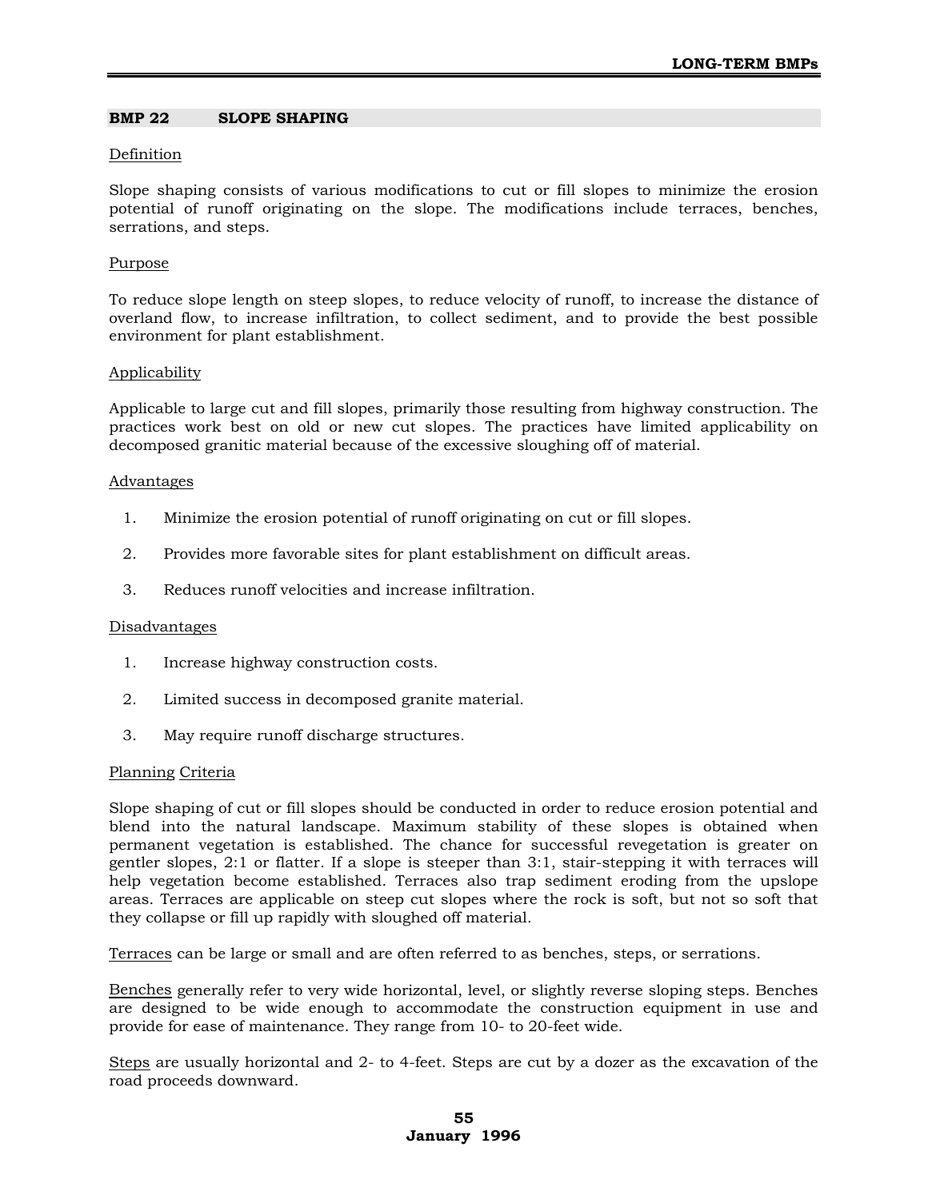## **BMP 22 SLOPE SHAPING**

## Definition

Slope shaping consists of various modifications to cut or fill slopes to minimize the erosion potential of runoff originating on the slope. The modifications include terraces, benches, serrations, and steps.

## Purpose

To reduce slope length on steep slopes, to reduce velocity of runoff, to increase the distance of overland flow, to increase infiltration, to collect sediment, and to provide the best possible environment for plant establishment.

## Applicability

Applicable to large cut and fill slopes, primarily those resulting from highway construction. The practices work best on old or new cut slopes. The practices have limited applicability on decomposed granitic material because of the excessive sloughing off of material.

## Advantages

- 1. Minimize the erosion potential of runoff originating on cut or fill slopes.
- 2. Provides more favorable sites for plant establishment on difficult areas.
- 3. Reduces runoff velocities and increase infiltration.

## Disadvantages

- 1. Increase highway construction costs.
- 2. Limited success in decomposed granite material.
- 3. May require runoff discharge structures.

## Planning Criteria

Slope shaping of cut or fill slopes should be conducted in order to reduce erosion potential and blend into the natural landscape. Maximum stability of these slopes is obtained when permanent vegetation is established. The chance for successful revegetation is greater on gentler slopes, 2:1 or flatter. If a slope is steeper than 3:1, stair-stepping it with terraces will help vegetation become established. Terraces also trap sediment eroding from the upslope areas. Terraces are applicable on steep cut slopes where the rock is soft, but not so soft that they collapse or fill up rapidly with sloughed off material.

Terraces can be large or small and are often referred to as benches, steps, or serrations.

Benches generally refer to very wide horizontal, level, or slightly reverse sloping steps. Benches are designed to be wide enough to accommodate the construction equipment in use and provide for ease of maintenance. They range from 10- to 20-feet wide.

Steps are usually horizontal and 2- to 4-feet. Steps are cut by a dozer as the excavation of the road proceeds downward.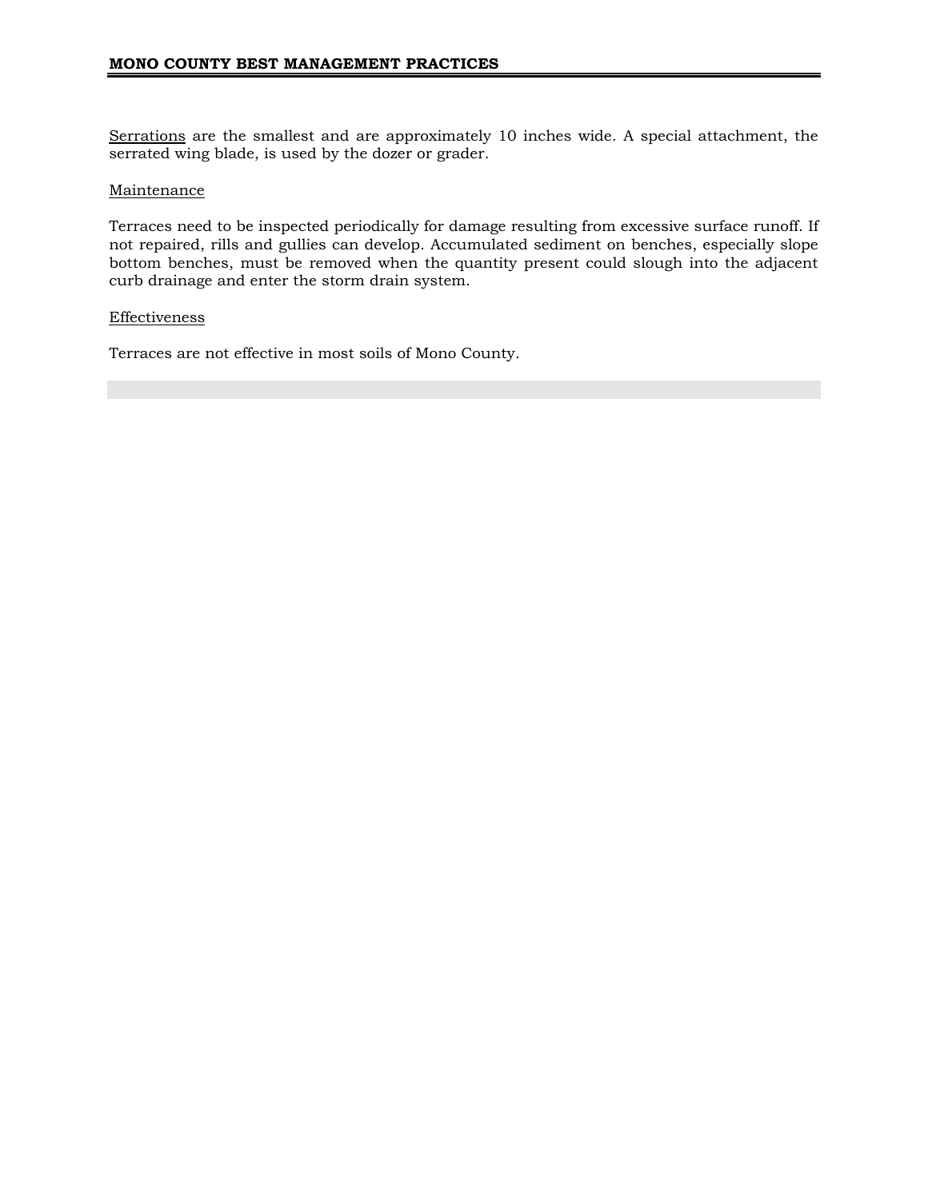Serrations are the smallest and are approximately 10 inches wide. A special attachment, the serrated wing blade, is used by the dozer or grader.

#### Maintenance

Terraces need to be inspected periodically for damage resulting from excessive surface runoff. If not repaired, rills and gullies can develop. Accumulated sediment on benches, especially slope bottom benches, must be removed when the quantity present could slough into the adjacent curb drainage and enter the storm drain system.

#### **Effectiveness**

Terraces are not effective in most soils of Mono County.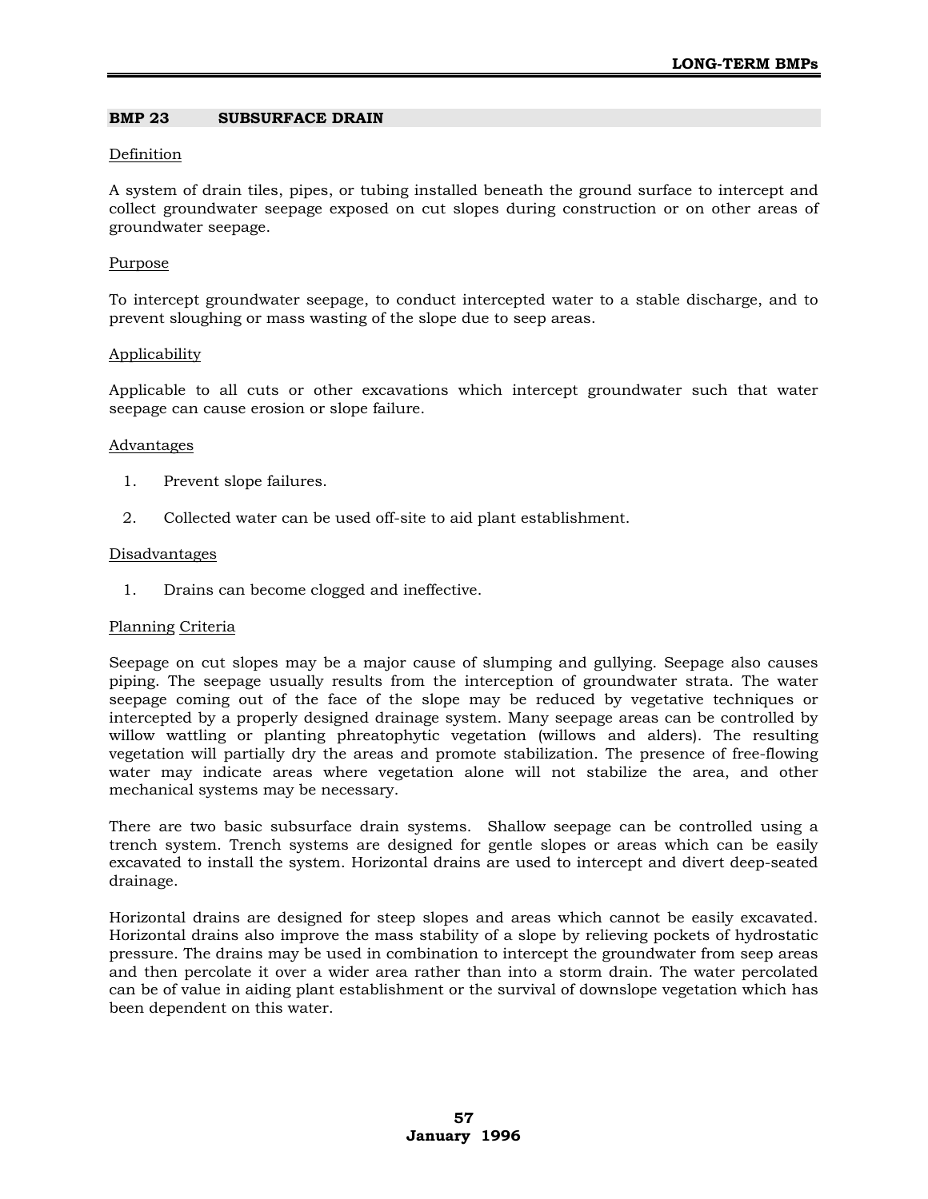## **BMP 23 SUBSURFACE DRAIN**

#### Definition

A system of drain tiles, pipes, or tubing installed beneath the ground surface to intercept and collect groundwater seepage exposed on cut slopes during construction or on other areas of groundwater seepage.

#### Purpose

To intercept groundwater seepage, to conduct intercepted water to a stable discharge, and to prevent sloughing or mass wasting of the slope due to seep areas.

#### Applicability

Applicable to all cuts or other excavations which intercept groundwater such that water seepage can cause erosion or slope failure.

#### **Advantages**

- 1. Prevent slope failures.
- 2. Collected water can be used off-site to aid plant establishment.

#### Disadvantages

1. Drains can become clogged and ineffective.

## Planning Criteria

Seepage on cut slopes may be a major cause of slumping and gullying. Seepage also causes piping. The seepage usually results from the interception of groundwater strata. The water seepage coming out of the face of the slope may be reduced by vegetative techniques or intercepted by a properly designed drainage system. Many seepage areas can be controlled by willow wattling or planting phreatophytic vegetation (willows and alders). The resulting vegetation will partially dry the areas and promote stabilization. The presence of free-flowing water may indicate areas where vegetation alone will not stabilize the area, and other mechanical systems may be necessary.

There are two basic subsurface drain systems. Shallow seepage can be controlled using a trench system. Trench systems are designed for gentle slopes or areas which can be easily excavated to install the system. Horizontal drains are used to intercept and divert deep-seated drainage.

Horizontal drains are designed for steep slopes and areas which cannot be easily excavated. Horizontal drains also improve the mass stability of a slope by relieving pockets of hydrostatic pressure. The drains may be used in combination to intercept the groundwater from seep areas and then percolate it over a wider area rather than into a storm drain. The water percolated can be of value in aiding plant establishment or the survival of downslope vegetation which has been dependent on this water.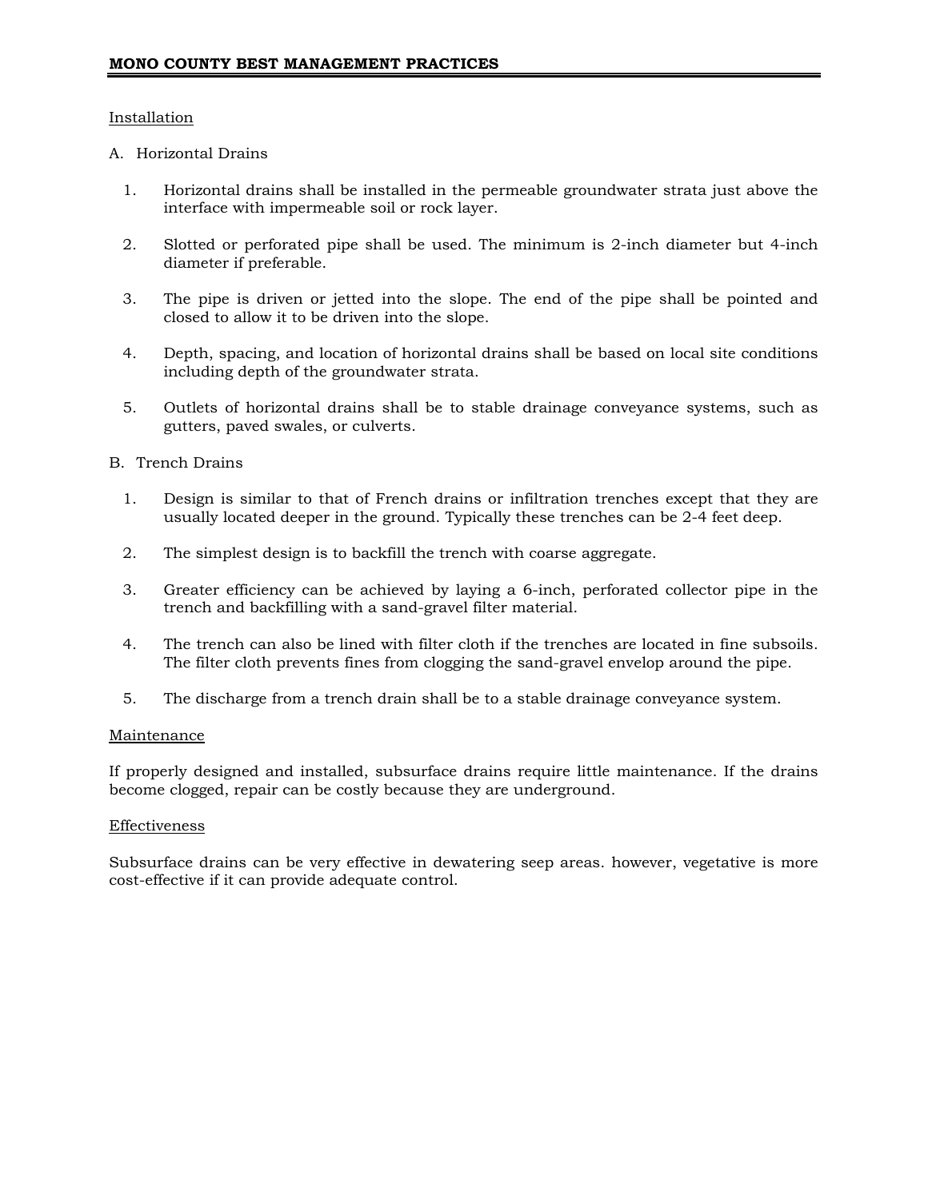Installation

- A. Horizontal Drains
	- 1. Horizontal drains shall be installed in the permeable groundwater strata just above the interface with impermeable soil or rock layer.
	- 2. Slotted or perforated pipe shall be used. The minimum is 2-inch diameter but 4-inch diameter if preferable.
	- 3. The pipe is driven or jetted into the slope. The end of the pipe shall be pointed and closed to allow it to be driven into the slope.
	- 4. Depth, spacing, and location of horizontal drains shall be based on local site conditions including depth of the groundwater strata.
	- 5. Outlets of horizontal drains shall be to stable drainage conveyance systems, such as gutters, paved swales, or culverts.
- B. Trench Drains
	- 1. Design is similar to that of French drains or infiltration trenches except that they are usually located deeper in the ground. Typically these trenches can be 2-4 feet deep.
	- 2. The simplest design is to backfill the trench with coarse aggregate.
	- 3. Greater efficiency can be achieved by laying a 6-inch, perforated collector pipe in the trench and backfilling with a sand-gravel filter material.
	- 4. The trench can also be lined with filter cloth if the trenches are located in fine subsoils. The filter cloth prevents fines from clogging the sand-gravel envelop around the pipe.
	- 5. The discharge from a trench drain shall be to a stable drainage conveyance system.

## Maintenance

If properly designed and installed, subsurface drains require little maintenance. If the drains become clogged, repair can be costly because they are underground.

## Effectiveness

Subsurface drains can be very effective in dewatering seep areas. however, vegetative is more cost-effective if it can provide adequate control.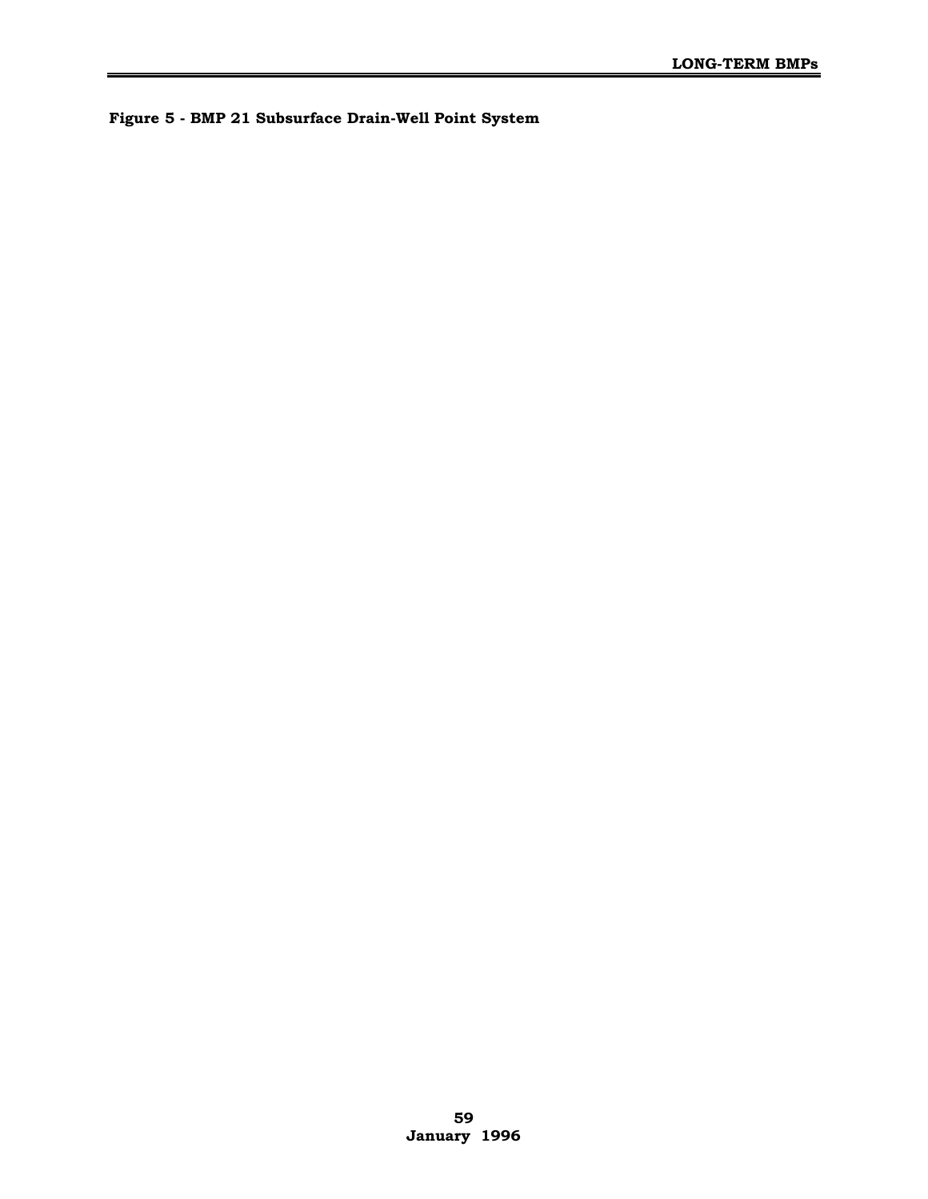**Figure 5 - BMP 21 Subsurface Drain-Well Point System**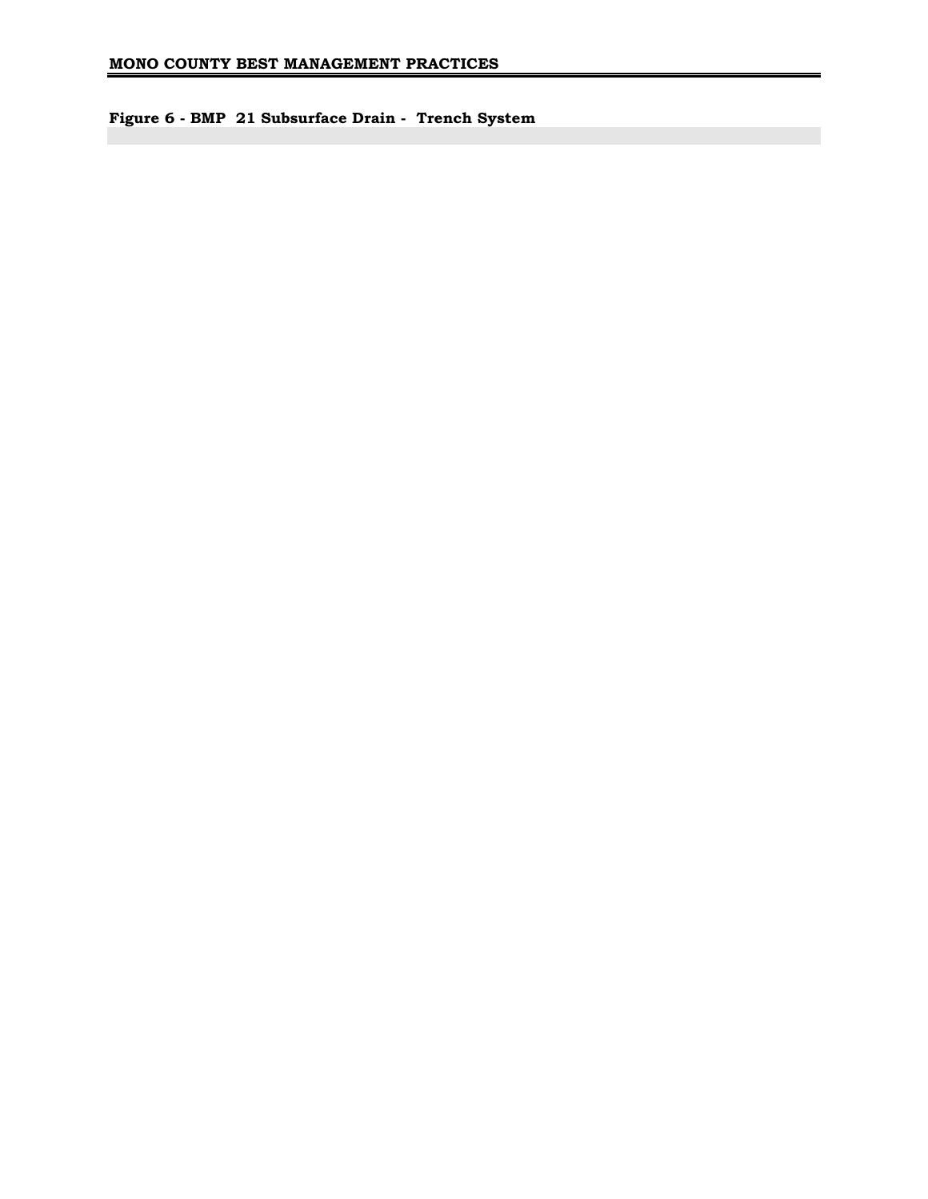**Figure 6 - BMP 21 Subsurface Drain - Trench System**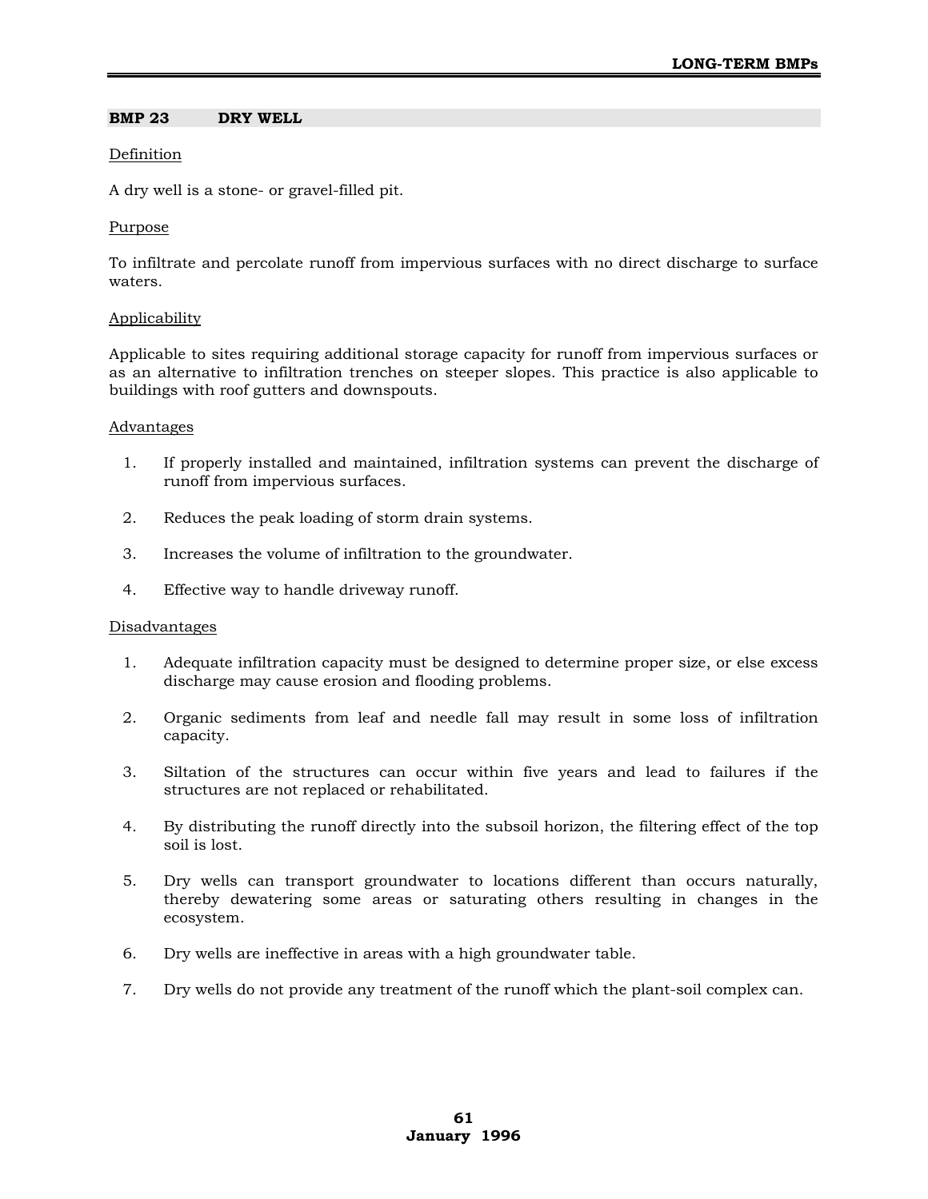#### **BMP 23 DRY WELL**

## Definition

A dry well is a stone- or gravel-filled pit.

## Purpose

To infiltrate and percolate runoff from impervious surfaces with no direct discharge to surface waters.

## Applicability

Applicable to sites requiring additional storage capacity for runoff from impervious surfaces or as an alternative to infiltration trenches on steeper slopes. This practice is also applicable to buildings with roof gutters and downspouts.

## Advantages

- 1. If properly installed and maintained, infiltration systems can prevent the discharge of runoff from impervious surfaces.
- 2. Reduces the peak loading of storm drain systems.
- 3. Increases the volume of infiltration to the groundwater.
- 4. Effective way to handle driveway runoff.

## Disadvantages

- 1. Adequate infiltration capacity must be designed to determine proper size, or else excess discharge may cause erosion and flooding problems.
- 2. Organic sediments from leaf and needle fall may result in some loss of infiltration capacity.
- 3. Siltation of the structures can occur within five years and lead to failures if the structures are not replaced or rehabilitated.
- 4. By distributing the runoff directly into the subsoil horizon, the filtering effect of the top soil is lost.
- 5. Dry wells can transport groundwater to locations different than occurs naturally, thereby dewatering some areas or saturating others resulting in changes in the ecosystem.
- 6. Dry wells are ineffective in areas with a high groundwater table.
- 7. Dry wells do not provide any treatment of the runoff which the plant-soil complex can.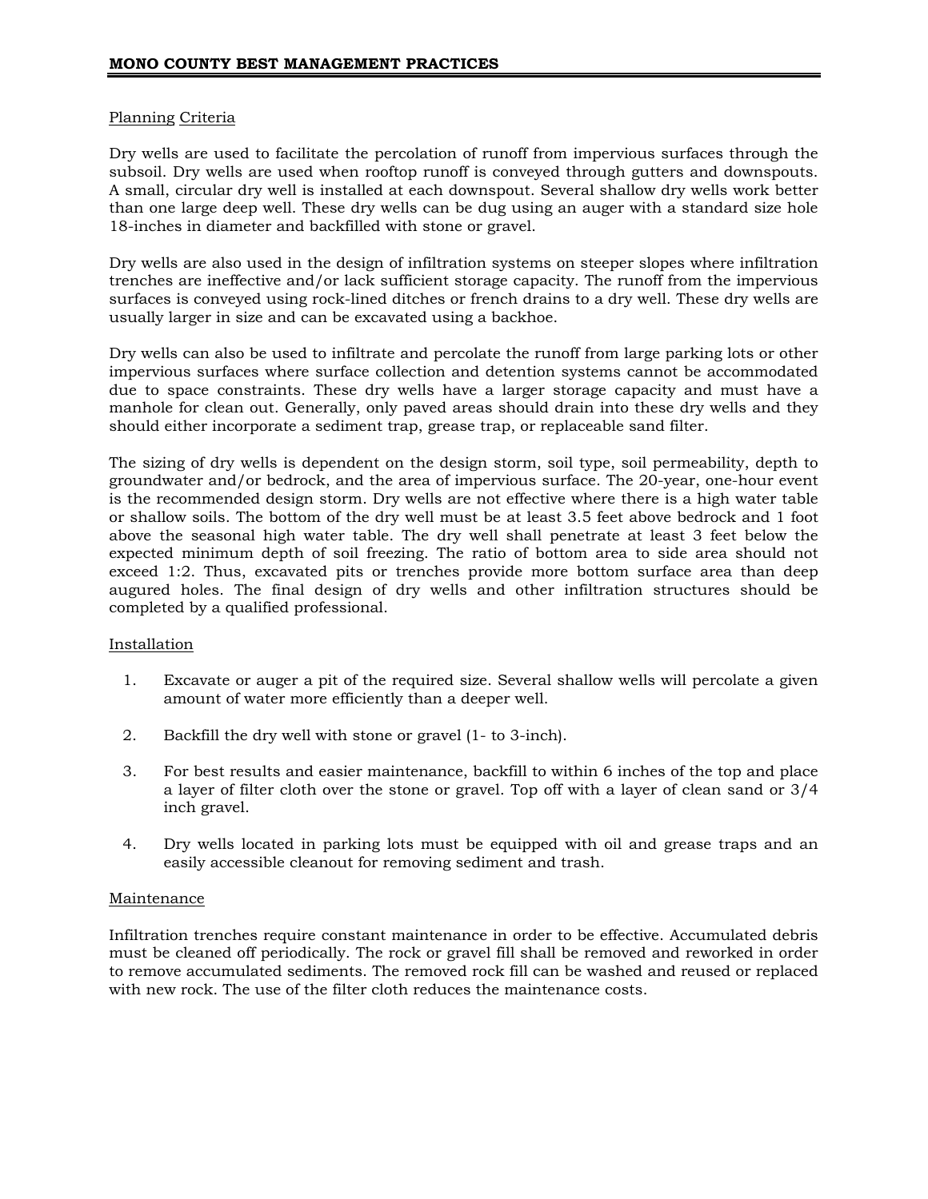## Planning Criteria

Dry wells are used to facilitate the percolation of runoff from impervious surfaces through the subsoil. Dry wells are used when rooftop runoff is conveyed through gutters and downspouts. A small, circular dry well is installed at each downspout. Several shallow dry wells work better than one large deep well. These dry wells can be dug using an auger with a standard size hole 18-inches in diameter and backfilled with stone or gravel.

Dry wells are also used in the design of infiltration systems on steeper slopes where infiltration trenches are ineffective and/or lack sufficient storage capacity. The runoff from the impervious surfaces is conveyed using rock-lined ditches or french drains to a dry well. These dry wells are usually larger in size and can be excavated using a backhoe.

Dry wells can also be used to infiltrate and percolate the runoff from large parking lots or other impervious surfaces where surface collection and detention systems cannot be accommodated due to space constraints. These dry wells have a larger storage capacity and must have a manhole for clean out. Generally, only paved areas should drain into these dry wells and they should either incorporate a sediment trap, grease trap, or replaceable sand filter.

The sizing of dry wells is dependent on the design storm, soil type, soil permeability, depth to groundwater and/or bedrock, and the area of impervious surface. The 20-year, one-hour event is the recommended design storm. Dry wells are not effective where there is a high water table or shallow soils. The bottom of the dry well must be at least 3.5 feet above bedrock and 1 foot above the seasonal high water table. The dry well shall penetrate at least 3 feet below the expected minimum depth of soil freezing. The ratio of bottom area to side area should not exceed 1:2. Thus, excavated pits or trenches provide more bottom surface area than deep augured holes. The final design of dry wells and other infiltration structures should be completed by a qualified professional.

## Installation

- 1. Excavate or auger a pit of the required size. Several shallow wells will percolate a given amount of water more efficiently than a deeper well.
- 2. Backfill the dry well with stone or gravel (1- to 3-inch).
- 3. For best results and easier maintenance, backfill to within 6 inches of the top and place a layer of filter cloth over the stone or gravel. Top off with a layer of clean sand or 3/4 inch gravel.
- 4. Dry wells located in parking lots must be equipped with oil and grease traps and an easily accessible cleanout for removing sediment and trash.

## Maintenance

Infiltration trenches require constant maintenance in order to be effective. Accumulated debris must be cleaned off periodically. The rock or gravel fill shall be removed and reworked in order to remove accumulated sediments. The removed rock fill can be washed and reused or replaced with new rock. The use of the filter cloth reduces the maintenance costs.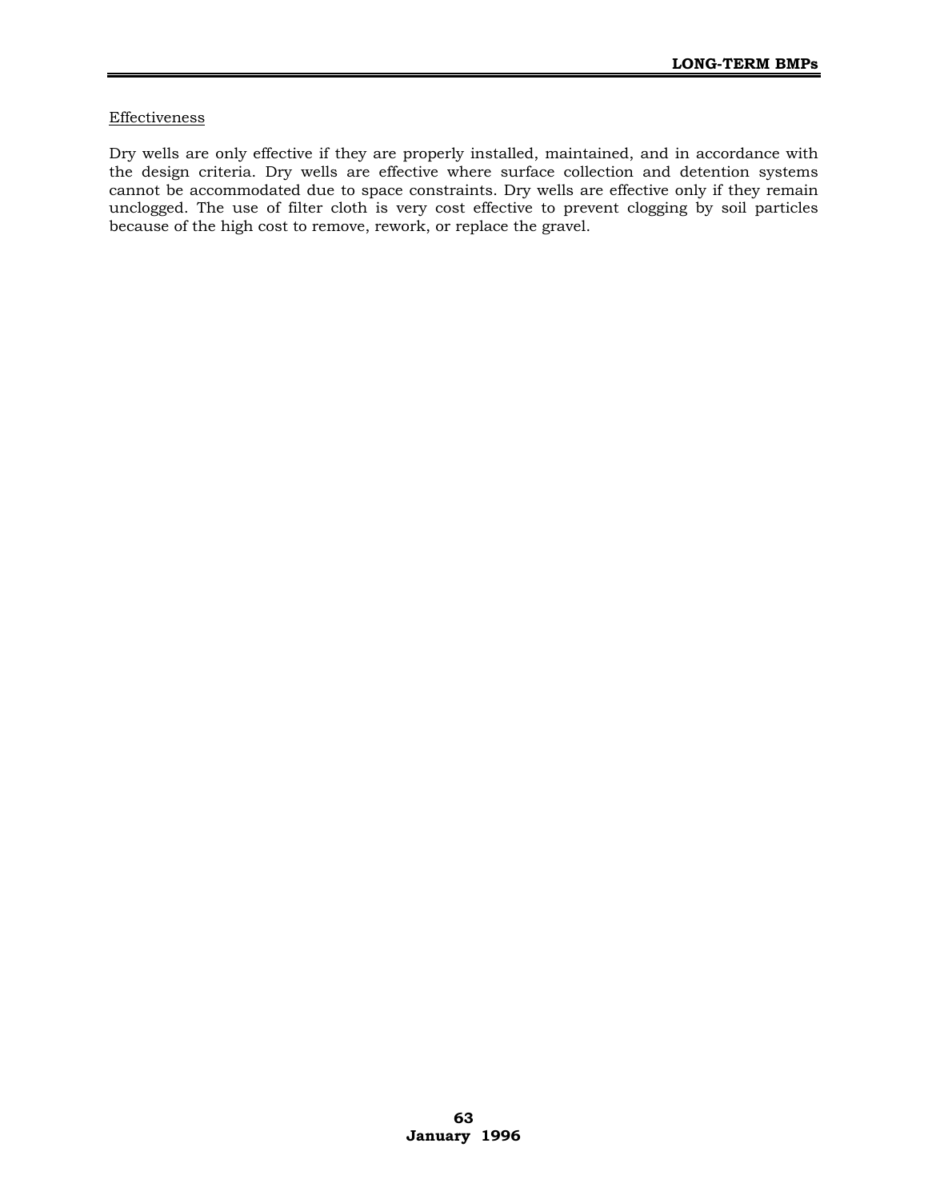## **Effectiveness**

Dry wells are only effective if they are properly installed, maintained, and in accordance with the design criteria. Dry wells are effective where surface collection and detention systems cannot be accommodated due to space constraints. Dry wells are effective only if they remain unclogged. The use of filter cloth is very cost effective to prevent clogging by soil particles because of the high cost to remove, rework, or replace the gravel.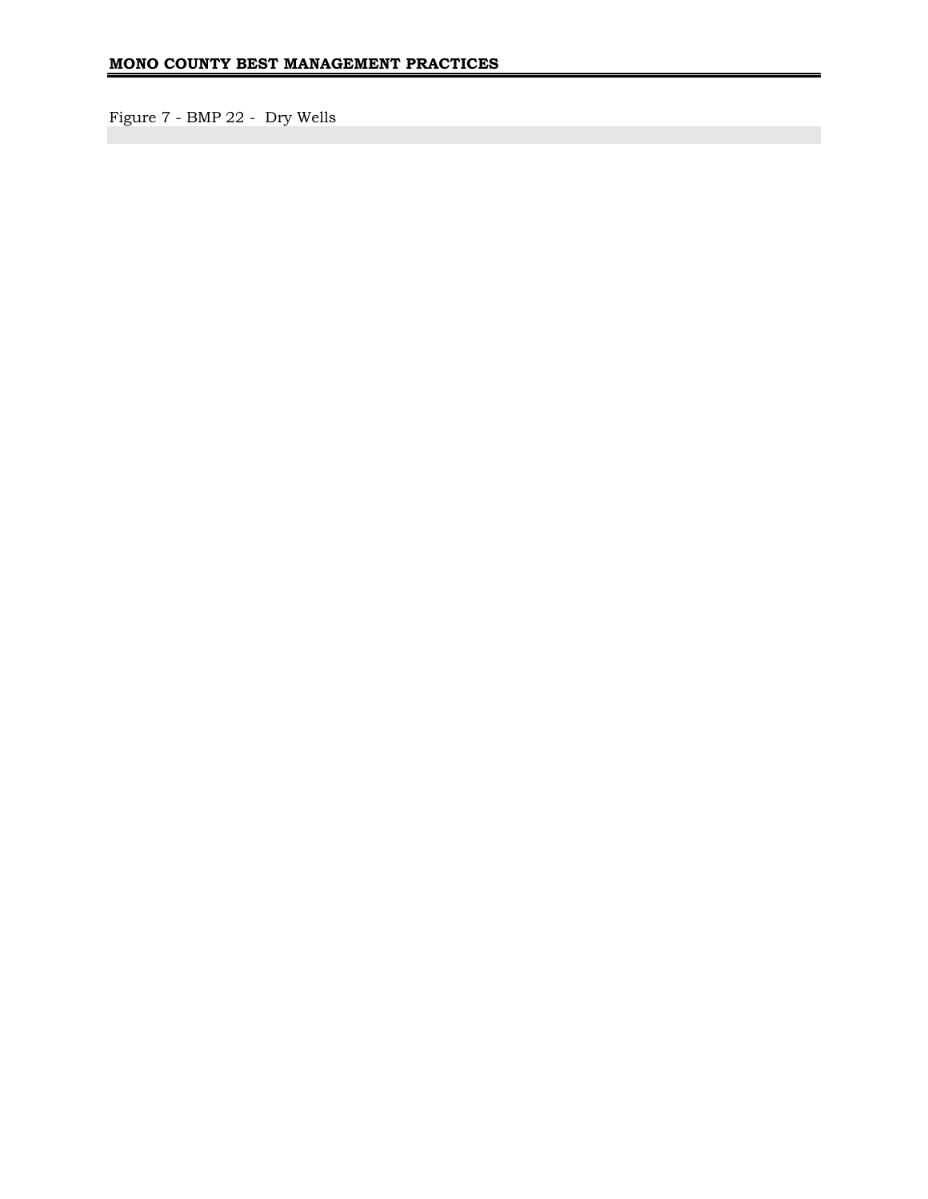Figure 7 - BMP 22 - Dry Wells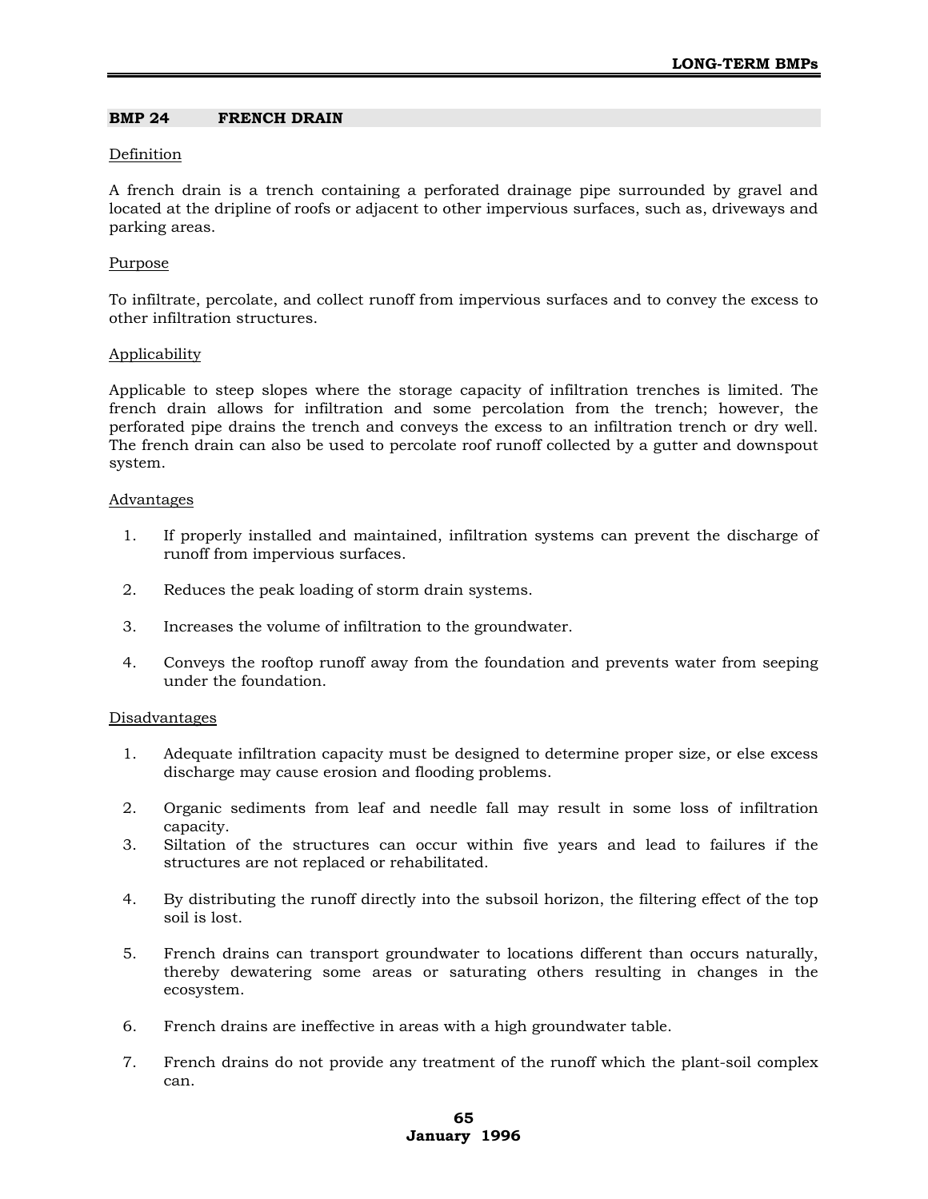## **BMP 24 FRENCH DRAIN**

#### Definition

A french drain is a trench containing a perforated drainage pipe surrounded by gravel and located at the dripline of roofs or adjacent to other impervious surfaces, such as, driveways and parking areas.

## Purpose

To infiltrate, percolate, and collect runoff from impervious surfaces and to convey the excess to other infiltration structures.

#### Applicability

Applicable to steep slopes where the storage capacity of infiltration trenches is limited. The french drain allows for infiltration and some percolation from the trench; however, the perforated pipe drains the trench and conveys the excess to an infiltration trench or dry well. The french drain can also be used to percolate roof runoff collected by a gutter and downspout system.

#### Advantages

- 1. If properly installed and maintained, infiltration systems can prevent the discharge of runoff from impervious surfaces.
- 2. Reduces the peak loading of storm drain systems.
- 3. Increases the volume of infiltration to the groundwater.
- 4. Conveys the rooftop runoff away from the foundation and prevents water from seeping under the foundation.

#### Disadvantages

- 1. Adequate infiltration capacity must be designed to determine proper size, or else excess discharge may cause erosion and flooding problems.
- 2. Organic sediments from leaf and needle fall may result in some loss of infiltration capacity.
- 3. Siltation of the structures can occur within five years and lead to failures if the structures are not replaced or rehabilitated.
- 4. By distributing the runoff directly into the subsoil horizon, the filtering effect of the top soil is lost.
- 5. French drains can transport groundwater to locations different than occurs naturally, thereby dewatering some areas or saturating others resulting in changes in the ecosystem.
- 6. French drains are ineffective in areas with a high groundwater table.
- 7. French drains do not provide any treatment of the runoff which the plant-soil complex can.